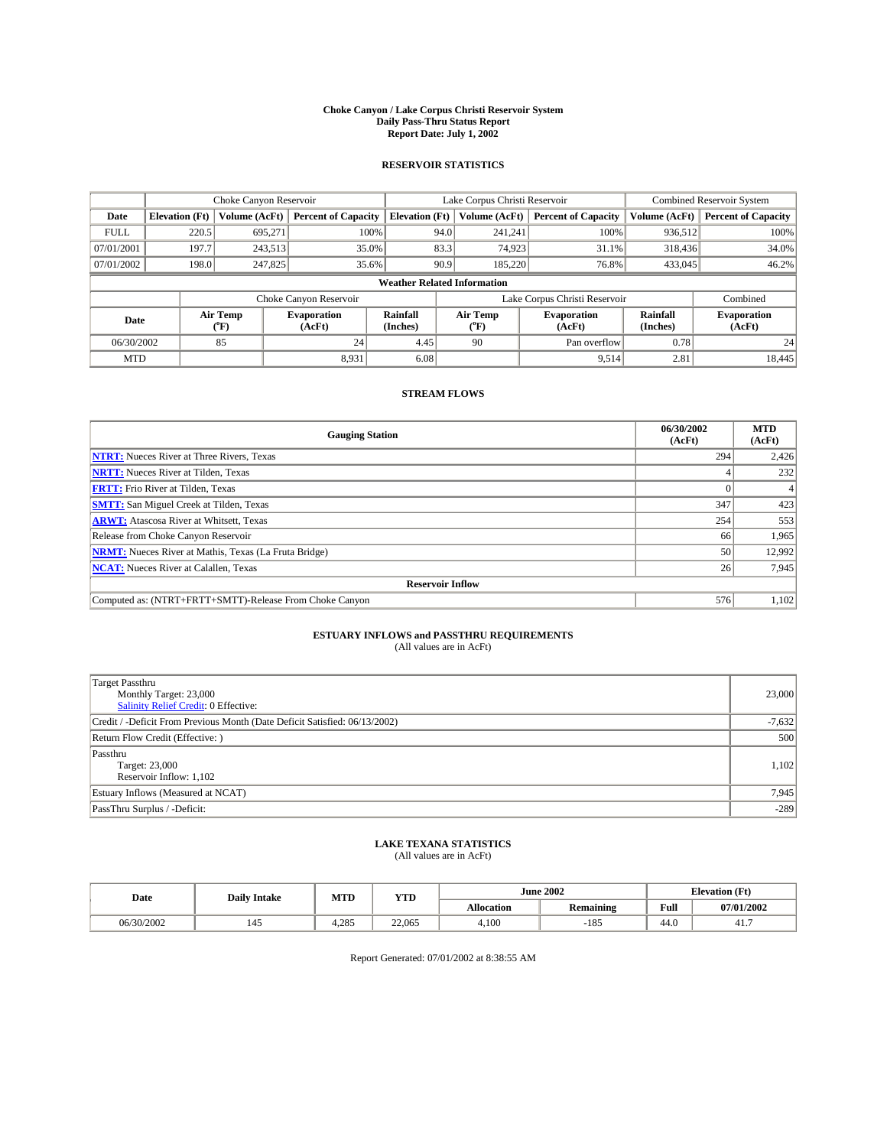#### **Choke Canyon / Lake Corpus Christi Reservoir System Daily Pass-Thru Status Report Report Date: July 1, 2002**

### **RESERVOIR STATISTICS**

|             | Choke Canyon Reservoir             |                          | Lake Corpus Christi Reservoir |                       |      |                          | <b>Combined Reservoir System</b> |                      |                              |  |
|-------------|------------------------------------|--------------------------|-------------------------------|-----------------------|------|--------------------------|----------------------------------|----------------------|------------------------------|--|
| Date        | <b>Elevation</b> (Ft)              | Volume (AcFt)            | <b>Percent of Capacity</b>    | <b>Elevation (Ft)</b> |      | Volume (AcFt)            | <b>Percent of Capacity</b>       | Volume (AcFt)        | <b>Percent of Capacity</b>   |  |
| <b>FULL</b> | 220.5                              | 695,271                  | 100%                          |                       | 94.0 | 241,241                  | 100%                             | 936.512              | 100%                         |  |
| 07/01/2001  | 197.7                              | 243,513                  | $35.0\%$                      |                       | 83.3 | 74.923                   | $31.1\%$                         | 318,436              | 34.0%                        |  |
| 07/01/2002  | 198.0                              | 247,825                  | 35.6%                         |                       | 90.9 | 185,220                  | 76.8%                            | 433,045              | 46.2%                        |  |
|             | <b>Weather Related Information</b> |                          |                               |                       |      |                          |                                  |                      |                              |  |
|             |                                    |                          | Choke Canyon Reservoir        |                       |      |                          | Lake Corpus Christi Reservoir    |                      | Combined                     |  |
| Date        |                                    | Air Temp<br>$\rm ^{o}F)$ | <b>Evaporation</b><br>(AcFt)  | Rainfall<br>(Inches)  |      | Air Temp<br>$\rm ^{o}F)$ | <b>Evaporation</b><br>(AcFt)     | Rainfall<br>(Inches) | <b>Evaporation</b><br>(AcFt) |  |
| 06/30/2002  |                                    | 85                       | 24                            | 4.45                  |      | 90                       | Pan overflow                     | 0.78                 | 24                           |  |
| <b>MTD</b>  |                                    |                          | 8,931                         | 6.08                  |      |                          | 9,514                            | 2.81                 | 18,445                       |  |

## **STREAM FLOWS**

| <b>Gauging Station</b>                                       | 06/30/2002<br>(AcFt) | <b>MTD</b><br>(AcFt) |
|--------------------------------------------------------------|----------------------|----------------------|
| <b>NTRT:</b> Nueces River at Three Rivers, Texas             | 294                  | 2,426                |
| <b>NRTT:</b> Nueces River at Tilden, Texas                   |                      | 232                  |
| <b>FRTT:</b> Frio River at Tilden, Texas                     |                      |                      |
| <b>SMTT:</b> San Miguel Creek at Tilden, Texas               | 347                  | 423                  |
| <b>ARWT:</b> Atascosa River at Whitsett, Texas               | 254                  | 553                  |
| Release from Choke Canyon Reservoir                          | 66                   | 1,965                |
| <b>NRMT:</b> Nueces River at Mathis, Texas (La Fruta Bridge) | 50                   | 12,992               |
| <b>NCAT:</b> Nueces River at Calallen, Texas                 | 26                   | 7,945                |
| <b>Reservoir Inflow</b>                                      |                      |                      |
| Computed as: (NTRT+FRTT+SMTT)-Release From Choke Canyon      | 576                  | 1,102                |

## **ESTUARY INFLOWS and PASSTHRU REQUIREMENTS**<br>(All values are in AcFt)

| Target Passthru<br>Monthly Target: 23,000<br>Salinity Relief Credit: 0 Effective: | 23,000   |
|-----------------------------------------------------------------------------------|----------|
| Credit / -Deficit From Previous Month (Date Deficit Satisfied: 06/13/2002)        | $-7,632$ |
| Return Flow Credit (Effective:)                                                   | 500      |
| Passthru<br>Target: 23,000<br>Reservoir Inflow: 1,102                             | 1,102    |
| Estuary Inflows (Measured at NCAT)                                                | 7,945    |
| PassThru Surplus / -Deficit:                                                      | $-289$   |

# **LAKE TEXANA STATISTICS** (All values are in AcFt)

| Date       | <b>Daily Intake</b>             | MTD   | VTF<br>1. L.D | <b>June 2002</b> |           | <b>Elevation</b> (Ft) |            |
|------------|---------------------------------|-------|---------------|------------------|-----------|-----------------------|------------|
|            |                                 |       |               | Allocation       | Remaining | Full                  | 07/01/2002 |
| 06/30/2002 | $\overline{\phantom{a}}$<br>145 | 4.285 | 22,065        | 4.100            | $-185$    | 44.0                  | 41.,       |

Report Generated: 07/01/2002 at 8:38:55 AM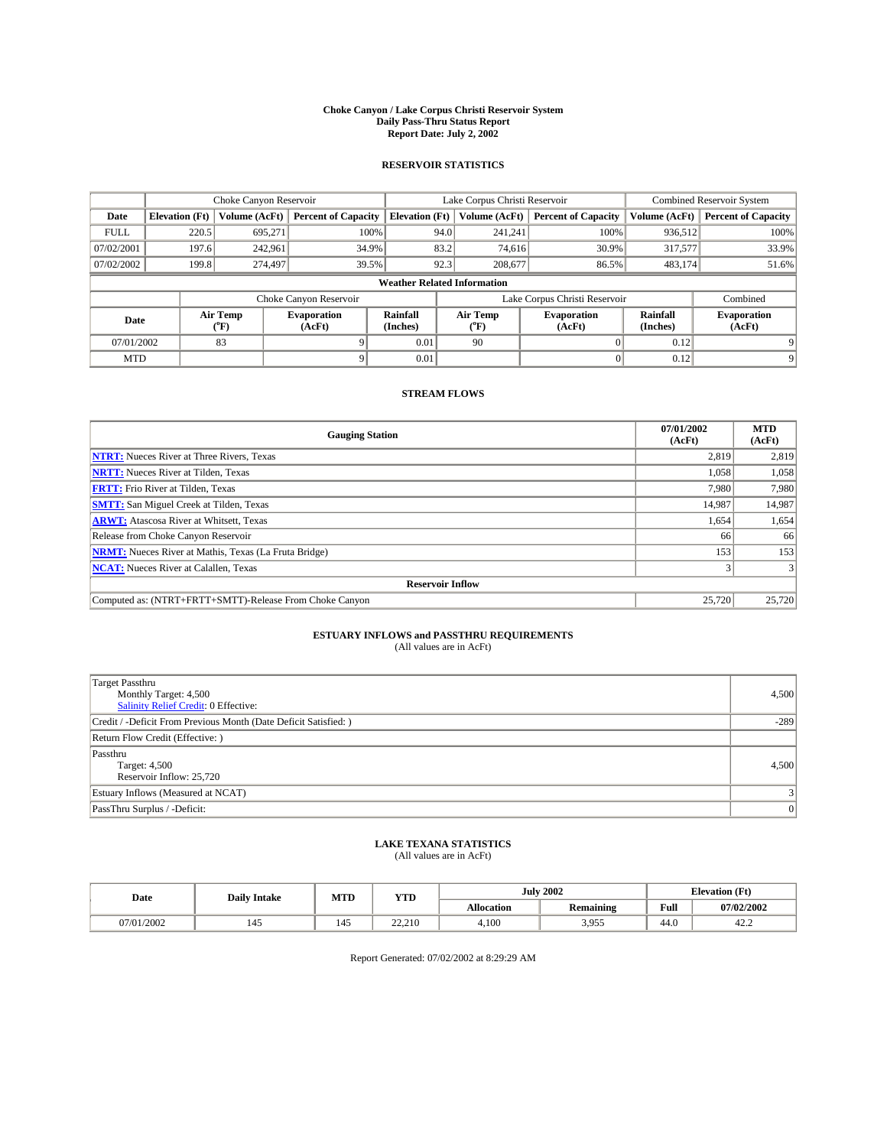#### **Choke Canyon / Lake Corpus Christi Reservoir System Daily Pass-Thru Status Report Report Date: July 2, 2002**

### **RESERVOIR STATISTICS**

|             |                                    |                  | Lake Corpus Christi Reservoir |                             |      |                  | Combined Reservoir System     |                      |                              |  |
|-------------|------------------------------------|------------------|-------------------------------|-----------------------------|------|------------------|-------------------------------|----------------------|------------------------------|--|
| Date        | <b>Elevation</b> (Ft)              | Volume (AcFt)    | <b>Percent of Capacity</b>    | <b>Elevation</b> (Ft)       |      | Volume (AcFt)    | <b>Percent of Capacity</b>    | Volume (AcFt)        | <b>Percent of Capacity</b>   |  |
| <b>FULL</b> | 220.5                              | 695.271          |                               | 100%                        | 94.0 | 241,241          | 100%                          | 936.512              | 100%                         |  |
| 07/02/2001  | 197.6                              | 242,961          | 34.9%                         |                             | 83.2 | 74.616           | 30.9%                         | 317,577              | 33.9%                        |  |
| 07/02/2002  | 199.8                              | 274,497          | 39.5%                         |                             | 92.3 | 208,677          | 86.5%                         | 483,174              | 51.6%                        |  |
|             | <b>Weather Related Information</b> |                  |                               |                             |      |                  |                               |                      |                              |  |
|             |                                    |                  | Choke Canyon Reservoir        |                             |      |                  | Lake Corpus Christi Reservoir |                      | Combined                     |  |
| Date        |                                    | Air Temp<br>(°F) | <b>Evaporation</b><br>(AcFt)  | <b>Rainfall</b><br>(Inches) |      | Air Temp<br>("F) | <b>Evaporation</b><br>(AcFt)  | Rainfall<br>(Inches) | <b>Evaporation</b><br>(AcFt) |  |
| 07/01/2002  |                                    | 83               |                               | 0.01                        |      | 90               |                               | 0.12                 |                              |  |
| <b>MTD</b>  |                                    |                  |                               | 0.01                        |      |                  |                               | 0.12                 | 9                            |  |

## **STREAM FLOWS**

| <b>Gauging Station</b>                                       | 07/01/2002<br>(AcFt) | <b>MTD</b><br>(AcFt) |
|--------------------------------------------------------------|----------------------|----------------------|
| <b>NTRT:</b> Nueces River at Three Rivers, Texas             | 2,819                | 2,819                |
| <b>NRTT:</b> Nueces River at Tilden, Texas                   | 1,058                | 1,058                |
| <b>FRTT:</b> Frio River at Tilden, Texas                     | 7.980                | 7,980                |
| <b>SMTT:</b> San Miguel Creek at Tilden, Texas               | 14,987               | 14,987               |
| <b>ARWT:</b> Atascosa River at Whitsett, Texas               | 1,654                | 1,654                |
| Release from Choke Canyon Reservoir                          | 66                   | 66                   |
| <b>NRMT:</b> Nueces River at Mathis, Texas (La Fruta Bridge) | 153                  | 153                  |
| <b>NCAT:</b> Nueces River at Calallen, Texas                 |                      |                      |
| <b>Reservoir Inflow</b>                                      |                      |                      |
| Computed as: (NTRT+FRTT+SMTT)-Release From Choke Canyon      | 25,720               | 25,720               |

## **ESTUARY INFLOWS and PASSTHRU REQUIREMENTS**<br>(All values are in AcFt)

| <b>Target Passthru</b><br>Monthly Target: 4,500<br>Salinity Relief Credit: 0 Effective: | 4,500  |
|-----------------------------------------------------------------------------------------|--------|
| Credit / -Deficit From Previous Month (Date Deficit Satisfied: )                        | $-289$ |
| Return Flow Credit (Effective: )                                                        |        |
| Passthru<br>Target: 4,500<br>Reservoir Inflow: 25,720                                   | 4.500  |
| Estuary Inflows (Measured at NCAT)                                                      |        |
| PassThru Surplus / -Deficit:                                                            | 0      |

# **LAKE TEXANA STATISTICS** (All values are in AcFt)

| Date       | <b>Daily Intake</b> | MTD        | <b>YTD</b> |                   | <b>July 2002</b>         | <b>Elevation</b> (Ft) |                |
|------------|---------------------|------------|------------|-------------------|--------------------------|-----------------------|----------------|
|            |                     |            |            | <b>Allocation</b> | Remaining                | Full                  | 07/02/2002     |
| 07/01/2002 | 145                 | . .<br>145 | 22.210     | 4,100             | 3 055<br>J. <i>J.J.J</i> | 44.0                  | $\sim$<br>42.2 |

Report Generated: 07/02/2002 at 8:29:29 AM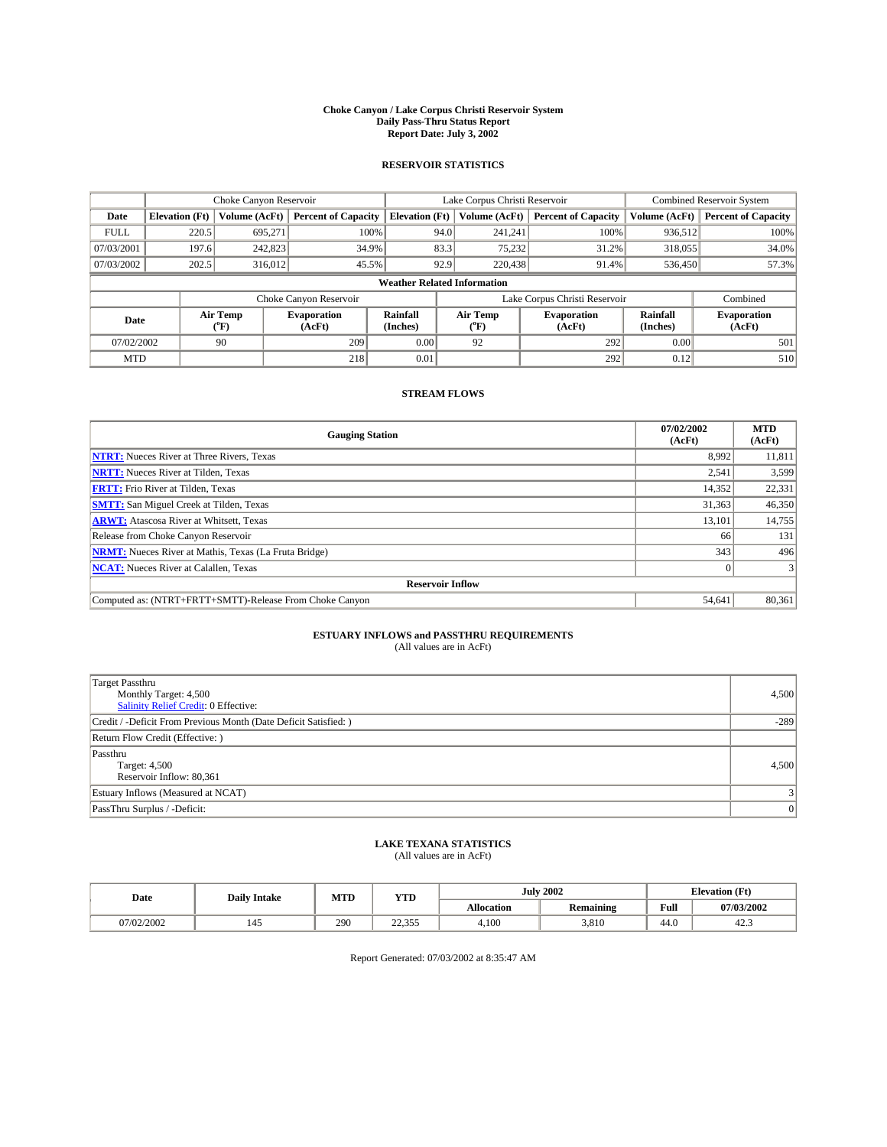#### **Choke Canyon / Lake Corpus Christi Reservoir System Daily Pass-Thru Status Report Report Date: July 3, 2002**

### **RESERVOIR STATISTICS**

|             | Choke Canyon Reservoir             |                  | Lake Corpus Christi Reservoir |                       |      |                  | <b>Combined Reservoir System</b> |                      |                              |  |
|-------------|------------------------------------|------------------|-------------------------------|-----------------------|------|------------------|----------------------------------|----------------------|------------------------------|--|
| Date        | <b>Elevation</b> (Ft)              | Volume (AcFt)    | <b>Percent of Capacity</b>    | <b>Elevation (Ft)</b> |      | Volume (AcFt)    | <b>Percent of Capacity</b>       | Volume (AcFt)        | <b>Percent of Capacity</b>   |  |
| <b>FULL</b> | 220.5                              | 695,271          | 100%                          |                       | 94.0 | 241,241          | 100%                             | 936.512              | 100%                         |  |
| 07/03/2001  | 197.6                              | 242,823          | 34.9%                         |                       | 83.3 | 75,232           | 31.2%                            | 318,055              | 34.0%                        |  |
| 07/03/2002  | 202.5                              | 316,012          | 45.5%                         |                       | 92.9 | 220,438          | 91.4%                            | 536,450              | 57.3%                        |  |
|             | <b>Weather Related Information</b> |                  |                               |                       |      |                  |                                  |                      |                              |  |
|             |                                    |                  | Choke Canyon Reservoir        |                       |      |                  | Lake Corpus Christi Reservoir    |                      | Combined                     |  |
| Date        |                                    | Air Temp<br>(°F) | <b>Evaporation</b><br>(AcFt)  | Rainfall<br>(Inches)  |      | Air Temp<br>("F) | <b>Evaporation</b><br>(AcFt)     | Rainfall<br>(Inches) | <b>Evaporation</b><br>(AcFt) |  |
| 07/02/2002  |                                    | 90               | 209                           | 0.00                  |      | 92               | 292                              | 0.00                 | 501                          |  |
| <b>MTD</b>  |                                    |                  | 218                           | 0.01                  |      |                  | 292                              | 0.12                 | 510                          |  |

## **STREAM FLOWS**

| <b>Gauging Station</b>                                       | 07/02/2002<br>(AcFt) | <b>MTD</b><br>(AcFt) |
|--------------------------------------------------------------|----------------------|----------------------|
| <b>NTRT:</b> Nueces River at Three Rivers, Texas             | 8,992                | 11,811               |
| <b>NRTT:</b> Nueces River at Tilden, Texas                   | 2,541                | 3,599                |
| <b>FRTT:</b> Frio River at Tilden, Texas                     | 14,352               | 22,331               |
| <b>SMTT:</b> San Miguel Creek at Tilden, Texas               | 31,363               | 46,350               |
| <b>ARWT:</b> Atascosa River at Whitsett, Texas               | 13,101               | 14,755               |
| Release from Choke Canyon Reservoir                          | 66                   | 131                  |
| <b>NRMT:</b> Nueces River at Mathis, Texas (La Fruta Bridge) | 343                  | 496                  |
| <b>NCAT:</b> Nueces River at Calallen, Texas                 | $\Omega$             |                      |
| <b>Reservoir Inflow</b>                                      |                      |                      |
| Computed as: (NTRT+FRTT+SMTT)-Release From Choke Canyon      | 54.641               | 80,361               |

## **ESTUARY INFLOWS and PASSTHRU REQUIREMENTS**<br>(All values are in AcFt)

| <b>Target Passthru</b><br>Monthly Target: 4,500<br><b>Salinity Relief Credit: 0 Effective:</b> | 4,500          |
|------------------------------------------------------------------------------------------------|----------------|
| Credit / -Deficit From Previous Month (Date Deficit Satisfied: )                               | $-289$         |
| Return Flow Credit (Effective:)                                                                |                |
| Passthru<br>Target: 4,500<br>Reservoir Inflow: 80,361                                          | 4.500          |
| Estuary Inflows (Measured at NCAT)                                                             |                |
| PassThru Surplus / -Deficit:                                                                   | $\overline{0}$ |

# **LAKE TEXANA STATISTICS** (All values are in AcFt)

| Date      | <b>Daily Intake</b> | MTD | <b>VTT</b><br>1 I D |                   | <b>July 2002</b> | <b>Elevation (Ft)</b> |            |
|-----------|---------------------|-----|---------------------|-------------------|------------------|-----------------------|------------|
|           |                     |     |                     | <b>Allocation</b> | <b>Remaining</b> | Full                  | 07/03/2002 |
| 7/02/2002 | 145                 | 290 | 2222<br>ر ر د د د   | 4.100             | 3.810            | 44.v                  | 42.5       |

Report Generated: 07/03/2002 at 8:35:47 AM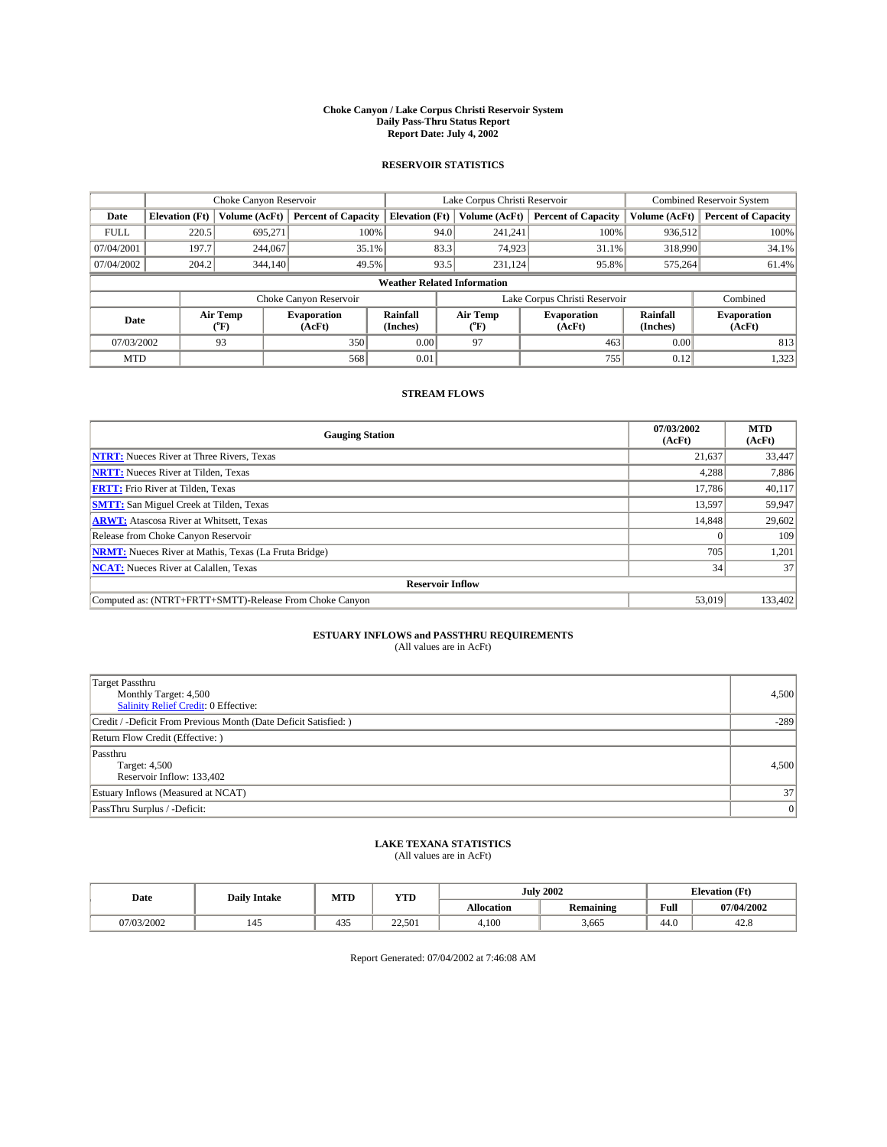#### **Choke Canyon / Lake Corpus Christi Reservoir System Daily Pass-Thru Status Report Report Date: July 4, 2002**

### **RESERVOIR STATISTICS**

|             | Choke Canyon Reservoir             |                  | Lake Corpus Christi Reservoir |                       |      |                  | <b>Combined Reservoir System</b> |                      |                              |  |
|-------------|------------------------------------|------------------|-------------------------------|-----------------------|------|------------------|----------------------------------|----------------------|------------------------------|--|
| Date        | <b>Elevation</b> (Ft)              | Volume (AcFt)    | <b>Percent of Capacity</b>    | <b>Elevation (Ft)</b> |      | Volume (AcFt)    | <b>Percent of Capacity</b>       | Volume (AcFt)        | <b>Percent of Capacity</b>   |  |
| <b>FULL</b> | 220.5                              | 695,271          | 100%                          |                       | 94.0 | 241,241          | 100%                             | 936.512              | 100%                         |  |
| 07/04/2001  | 197.7                              | 244,067          | $35.1\%$                      |                       | 83.3 | 74,923           | $31.1\%$                         | 318,990              | 34.1%                        |  |
| 07/04/2002  | 204.2                              | 344,140          | 49.5%                         |                       | 93.5 | 231.124          | 95.8%                            | 575,264              | 61.4%                        |  |
|             | <b>Weather Related Information</b> |                  |                               |                       |      |                  |                                  |                      |                              |  |
|             |                                    |                  | Choke Canyon Reservoir        |                       |      |                  | Lake Corpus Christi Reservoir    |                      | Combined                     |  |
| Date        |                                    | Air Temp<br>(°F) | <b>Evaporation</b><br>(AcFt)  | Rainfall<br>(Inches)  |      | Air Temp<br>("F) | <b>Evaporation</b><br>(AcFt)     | Rainfall<br>(Inches) | <b>Evaporation</b><br>(AcFt) |  |
| 07/03/2002  |                                    | 93               | 350                           | 0.00                  |      | 97               | 463                              | 0.00                 | 813                          |  |
| <b>MTD</b>  |                                    |                  | 568                           | 0.01                  |      |                  | 755                              | 0.12                 | 1,323                        |  |

## **STREAM FLOWS**

| <b>Gauging Station</b>                                       | 07/03/2002<br>(AcFt) | <b>MTD</b><br>(AcFt) |
|--------------------------------------------------------------|----------------------|----------------------|
| <b>NTRT:</b> Nueces River at Three Rivers, Texas             | 21,637               | 33,447               |
| <b>NRTT:</b> Nueces River at Tilden, Texas                   | 4.288                | 7,886                |
| <b>FRTT:</b> Frio River at Tilden, Texas                     | 17.786               | 40,117               |
| <b>SMTT:</b> San Miguel Creek at Tilden, Texas               | 13.597               | 59,947               |
| <b>ARWT:</b> Atascosa River at Whitsett, Texas               | 14,848               | 29,602               |
| Release from Choke Canyon Reservoir                          |                      | 109                  |
| <b>NRMT:</b> Nueces River at Mathis, Texas (La Fruta Bridge) | 705                  | 1,201                |
| <b>NCAT:</b> Nueces River at Calallen, Texas                 | 34                   | 37                   |
| <b>Reservoir Inflow</b>                                      |                      |                      |
| Computed as: (NTRT+FRTT+SMTT)-Release From Choke Canyon      | 53,019               | 133,402              |

## **ESTUARY INFLOWS and PASSTHRU REQUIREMENTS**<br>(All values are in AcFt)

| <b>Target Passthru</b><br>Monthly Target: 4,500<br>Salinity Relief Credit: 0 Effective: | 4,500           |
|-----------------------------------------------------------------------------------------|-----------------|
| Credit / -Deficit From Previous Month (Date Deficit Satisfied: )                        | $-289$          |
| Return Flow Credit (Effective:)                                                         |                 |
| Passthru<br>Target: 4,500<br>Reservoir Inflow: 133,402                                  | 4.500           |
| Estuary Inflows (Measured at NCAT)                                                      | 37 <sup>1</sup> |
| PassThru Surplus / -Deficit:                                                            | 0               |

# **LAKE TEXANA STATISTICS** (All values are in AcFt)

| Date      | <b>Daily Intake</b> | MTD           | <b>VTT</b><br>1 I.D       | <b>July 2002</b>  |           | Elevation (Ft)<br>$\sim$ |            |
|-----------|---------------------|---------------|---------------------------|-------------------|-----------|--------------------------|------------|
|           |                     |               |                           | <b>Allocation</b> | Remaining | Full                     | 07/04/2002 |
| 7/03/2002 | 145                 | $\sim$<br>43. | $\sim$<br>، دە،<br>22.501 | 4.100             | 3,665     | 44.0                     | 42.6       |

Report Generated: 07/04/2002 at 7:46:08 AM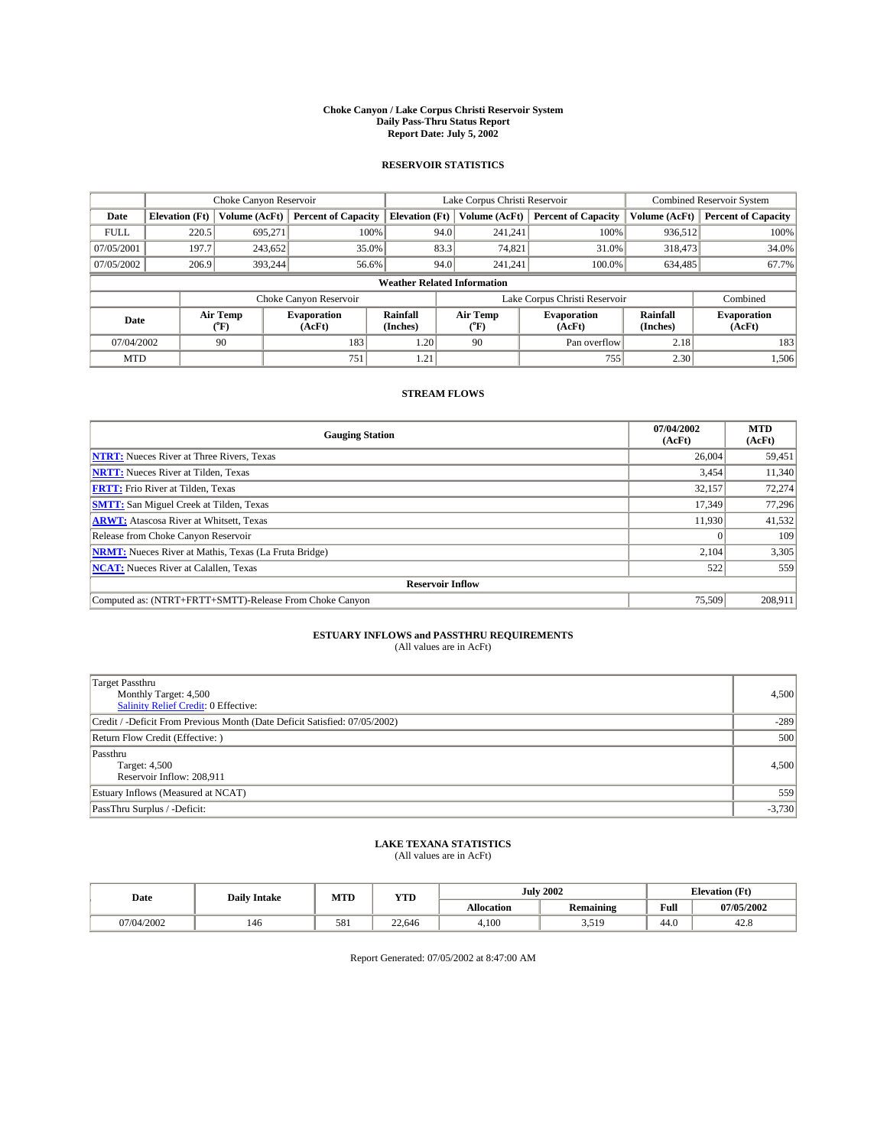#### **Choke Canyon / Lake Corpus Christi Reservoir System Daily Pass-Thru Status Report Report Date: July 5, 2002**

### **RESERVOIR STATISTICS**

|             |                                    |                  | Lake Corpus Christi Reservoir |                       |      |                          | <b>Combined Reservoir System</b> |                      |                              |  |
|-------------|------------------------------------|------------------|-------------------------------|-----------------------|------|--------------------------|----------------------------------|----------------------|------------------------------|--|
| Date        | <b>Elevation</b> (Ft)              | Volume (AcFt)    | <b>Percent of Capacity</b>    | <b>Elevation</b> (Ft) |      | Volume (AcFt)            | <b>Percent of Capacity</b>       | Volume (AcFt)        | <b>Percent of Capacity</b>   |  |
| <b>FULL</b> | 220.5                              | 695.271          |                               | 100%                  | 94.0 | 241,241                  | 100%                             | 936,512              | 100%                         |  |
| 07/05/2001  | 197.7                              | 243,652          | $35.0\%$                      |                       | 83.3 | 74,821                   | 31.0%                            | 318,473              | 34.0%                        |  |
| 07/05/2002  | 206.9                              | 393.244          | 56.6%                         |                       | 94.0 | 241,241                  | 100.0%                           | 634,485              | 67.7%                        |  |
|             | <b>Weather Related Information</b> |                  |                               |                       |      |                          |                                  |                      |                              |  |
|             |                                    |                  | Choke Canyon Reservoir        |                       |      |                          | Lake Corpus Christi Reservoir    |                      | Combined                     |  |
| Date        |                                    | Air Temp<br>(°F) | <b>Evaporation</b><br>(AcFt)  | Rainfall<br>(Inches)  |      | Air Temp<br>$\rm ^{o}F)$ | <b>Evaporation</b><br>(AcFt)     | Rainfall<br>(Inches) | <b>Evaporation</b><br>(AcFt) |  |
| 07/04/2002  |                                    | 90               | 183                           | 1.20                  |      | 90                       | Pan overflow                     | 2.18                 | 183                          |  |
| <b>MTD</b>  |                                    |                  | 751                           | 1.21                  |      |                          | 755                              | 2.30                 | 1,506                        |  |

## **STREAM FLOWS**

| <b>Gauging Station</b>                                       | 07/04/2002<br>(AcFt) | <b>MTD</b><br>(AcFt) |
|--------------------------------------------------------------|----------------------|----------------------|
| <b>NTRT:</b> Nueces River at Three Rivers, Texas             | 26,004               | 59,451               |
| <b>NRTT:</b> Nueces River at Tilden, Texas                   | 3,454                | 11.340               |
| <b>FRTT:</b> Frio River at Tilden, Texas                     | 32,157               | 72,274               |
| <b>SMTT:</b> San Miguel Creek at Tilden, Texas               | 17.349               | 77,296               |
| <b>ARWT:</b> Atascosa River at Whitsett, Texas               | 11.930               | 41,532               |
| Release from Choke Canyon Reservoir                          | $\Omega$             | 109                  |
| <b>NRMT:</b> Nueces River at Mathis, Texas (La Fruta Bridge) | 2,104                | 3,305                |
| <b>NCAT:</b> Nueces River at Calallen, Texas                 | 522                  | 559                  |
| <b>Reservoir Inflow</b>                                      |                      |                      |
| Computed as: (NTRT+FRTT+SMTT)-Release From Choke Canyon      | 75.509               | 208.911              |

## **ESTUARY INFLOWS and PASSTHRU REQUIREMENTS**<br>(All values are in AcFt)

| Target Passthru<br>Monthly Target: 4,500<br>Salinity Relief Credit: 0 Effective: | 4,500    |
|----------------------------------------------------------------------------------|----------|
| Credit / -Deficit From Previous Month (Date Deficit Satisfied: 07/05/2002)       | $-289$   |
| Return Flow Credit (Effective:)                                                  | 500      |
| Passthru<br>Target: 4,500<br>Reservoir Inflow: 208,911                           | 4,500    |
| Estuary Inflows (Measured at NCAT)                                               | 559      |
| PassThru Surplus / -Deficit:                                                     | $-3,730$ |

## **LAKE TEXANA STATISTICS** (All values are in AcFt)

| Date      | <b>Daily Intake</b> | MTD | <b>YTD</b> |                   | <b>July 2002</b> | <b>Elevation</b> (Ft) |            |
|-----------|---------------------|-----|------------|-------------------|------------------|-----------------------|------------|
|           |                     |     |            | <b>Allocation</b> | Remaining        | Full                  | 07/05/2002 |
| 7/04/2002 | 146                 | 581 | 22,646     | 4,100             | 510<br>زاليدر    | 44.0                  | 42.6       |

Report Generated: 07/05/2002 at 8:47:00 AM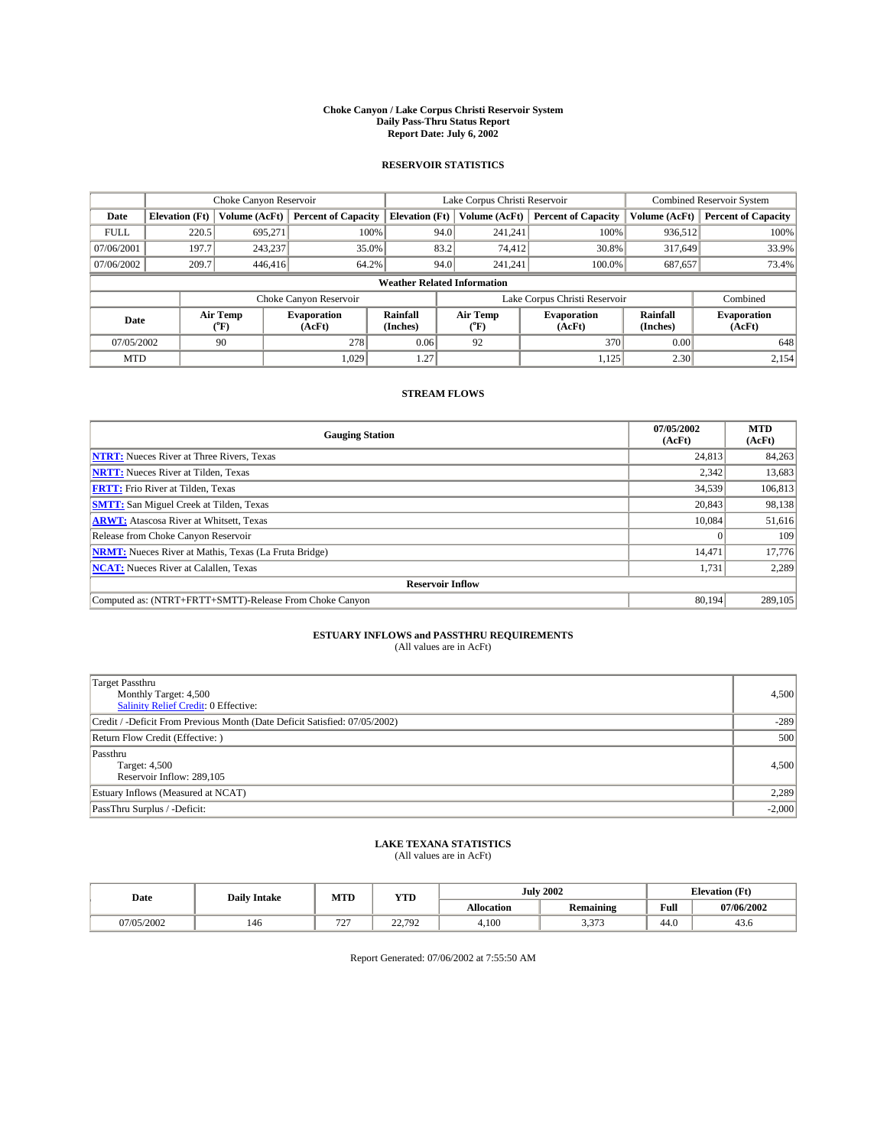#### **Choke Canyon / Lake Corpus Christi Reservoir System Daily Pass-Thru Status Report Report Date: July 6, 2002**

### **RESERVOIR STATISTICS**

|             | Choke Canyon Reservoir             |                          |                              |                       | Lake Corpus Christi Reservoir |                  |                               |                      | <b>Combined Reservoir System</b> |  |  |
|-------------|------------------------------------|--------------------------|------------------------------|-----------------------|-------------------------------|------------------|-------------------------------|----------------------|----------------------------------|--|--|
| Date        | <b>Elevation</b> (Ft)              | Volume (AcFt)            | <b>Percent of Capacity</b>   | <b>Elevation</b> (Ft) |                               | Volume (AcFt)    | <b>Percent of Capacity</b>    | Volume (AcFt)        | <b>Percent of Capacity</b>       |  |  |
| <b>FULL</b> | 220.5                              | 695,271                  | 100%                         |                       | 94.0                          | 241,241          | 100%                          | 936,512              | 100%                             |  |  |
| 07/06/2001  | 197.7                              | 243,237                  | $35.0\%$                     |                       | 83.2                          | 74,412           | 30.8%                         | 317.649              | 33.9%                            |  |  |
| 07/06/2002  | 209.7                              | 446,416                  | 64.2%                        |                       | 94.0                          | 241.241          | $100.0\%$                     | 687,657              | 73.4%                            |  |  |
|             | <b>Weather Related Information</b> |                          |                              |                       |                               |                  |                               |                      |                                  |  |  |
|             |                                    |                          | Choke Canyon Reservoir       |                       |                               |                  | Lake Corpus Christi Reservoir |                      | Combined                         |  |  |
| Date        |                                    | Air Temp<br>$\rm ^{o}F)$ | <b>Evaporation</b><br>(AcFt) | Rainfall<br>(Inches)  |                               | Air Temp<br>("F) | <b>Evaporation</b><br>(AcFt)  | Rainfall<br>(Inches) | <b>Evaporation</b><br>(AcFt)     |  |  |
| 07/05/2002  |                                    | 90                       | 278                          | 0.06                  |                               | 92               | 370                           | 0.00                 | 648                              |  |  |
| <b>MTD</b>  |                                    |                          | 1,029                        | 1.27                  |                               |                  | 1,125                         | 2.30                 | 2,154                            |  |  |

## **STREAM FLOWS**

| <b>Gauging Station</b>                                       | 07/05/2002<br>(AcFt) | <b>MTD</b><br>(AcFt) |  |  |  |  |  |
|--------------------------------------------------------------|----------------------|----------------------|--|--|--|--|--|
| <b>NTRT:</b> Nueces River at Three Rivers, Texas             | 24,813               | 84,263               |  |  |  |  |  |
| <b>NRTT:</b> Nueces River at Tilden, Texas                   | 2.342                | 13,683               |  |  |  |  |  |
| <b>FRTT:</b> Frio River at Tilden, Texas                     | 34,539               | 106,813              |  |  |  |  |  |
| <b>SMTT:</b> San Miguel Creek at Tilden, Texas               | 20,843               | 98,138               |  |  |  |  |  |
| <b>ARWT:</b> Atascosa River at Whitsett, Texas               | 10,084               | 51,616               |  |  |  |  |  |
| Release from Choke Canyon Reservoir                          | $\theta$             | 109                  |  |  |  |  |  |
| <b>NRMT:</b> Nueces River at Mathis, Texas (La Fruta Bridge) | 14,471               | 17,776               |  |  |  |  |  |
| <b>NCAT:</b> Nueces River at Calallen, Texas                 | 1,731                | 2,289                |  |  |  |  |  |
| <b>Reservoir Inflow</b>                                      |                      |                      |  |  |  |  |  |
| Computed as: (NTRT+FRTT+SMTT)-Release From Choke Canyon      | 80.194               | 289,105              |  |  |  |  |  |

## **ESTUARY INFLOWS and PASSTHRU REQUIREMENTS**<br>(All values are in AcFt)

| Target Passthru<br>Monthly Target: 4,500<br>Salinity Relief Credit: 0 Effective: | 4,500    |
|----------------------------------------------------------------------------------|----------|
| Credit / -Deficit From Previous Month (Date Deficit Satisfied: 07/05/2002)       | $-289$   |
| Return Flow Credit (Effective:)                                                  | 500      |
| Passthru<br>Target: 4,500<br>Reservoir Inflow: 289,105                           | 4,500    |
| Estuary Inflows (Measured at NCAT)                                               | 2,289    |
| PassThru Surplus / -Deficit:                                                     | $-2,000$ |

## **LAKE TEXANA STATISTICS** (All values are in AcFt)

| Date              | <b>Daily Intake</b> | MTD                | <b>VTT</b><br>1. L.D      |            | <b>July 2002</b> | <b>Elevation</b> (Ft) |            |
|-------------------|---------------------|--------------------|---------------------------|------------|------------------|-----------------------|------------|
|                   |                     |                    |                           | Allocation | Remaining        | Full                  | 07/06/2002 |
| 7/05/2002<br>7702 | 146                 | $\sim$ $\sim$<br>. | 22.792<br>フム<br><u>__</u> | 4.100      | 2.272<br>3,313   | 44.0                  | 45.0       |

Report Generated: 07/06/2002 at 7:55:50 AM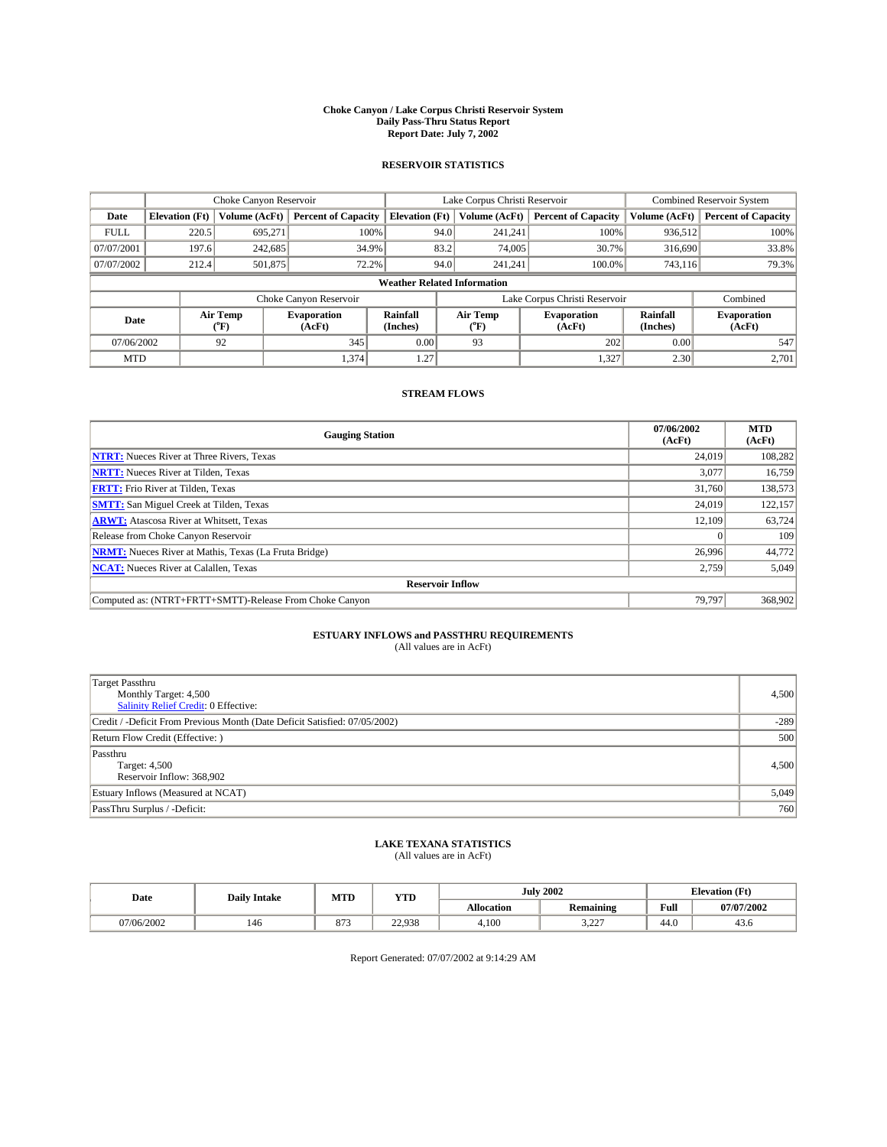#### **Choke Canyon / Lake Corpus Christi Reservoir System Daily Pass-Thru Status Report Report Date: July 7, 2002**

### **RESERVOIR STATISTICS**

|             | Choke Canyon Reservoir             |                             |                              |                             | Lake Corpus Christi Reservoir |                  |                               |                      | Combined Reservoir System    |  |  |
|-------------|------------------------------------|-----------------------------|------------------------------|-----------------------------|-------------------------------|------------------|-------------------------------|----------------------|------------------------------|--|--|
| Date        | <b>Elevation</b> (Ft)              | Volume (AcFt)               | <b>Percent of Capacity</b>   | <b>Elevation</b> (Ft)       |                               | Volume (AcFt)    | <b>Percent of Capacity</b>    | Volume (AcFt)        | <b>Percent of Capacity</b>   |  |  |
| <b>FULL</b> | 220.5                              | 695,271                     | 100%                         |                             | 94.0                          | 241,241          | 100%                          | 936.512              | 100%                         |  |  |
| 07/07/2001  | 197.6                              | 242,685                     | 34.9%                        |                             | 83.2                          | 74,005           | 30.7%                         | 316,690              | 33.8%                        |  |  |
| 07/07/2002  | 212.4                              | 501,875                     | 72.2%                        |                             | 94.0                          | 241.241          | $100.0\%$                     | 743,116              | 79.3%                        |  |  |
|             | <b>Weather Related Information</b> |                             |                              |                             |                               |                  |                               |                      |                              |  |  |
|             |                                    |                             | Choke Canyon Reservoir       |                             |                               |                  | Lake Corpus Christi Reservoir |                      | Combined                     |  |  |
| Date        |                                    | Air Temp<br>${}^{\circ}$ F) | <b>Evaporation</b><br>(AcFt) | <b>Rainfall</b><br>(Inches) |                               | Air Temp<br>("F) | <b>Evaporation</b><br>(AcFt)  | Rainfall<br>(Inches) | <b>Evaporation</b><br>(AcFt) |  |  |
| 07/06/2002  |                                    | 92                          | 345                          | 0.00                        |                               | 93               | 202                           | 0.00                 | 547                          |  |  |
| <b>MTD</b>  |                                    |                             | 1,374                        | 1.27                        |                               |                  | 1,327                         | 2.30                 | 2,701                        |  |  |

## **STREAM FLOWS**

| <b>Gauging Station</b>                                       | 07/06/2002<br>(AcFt) | <b>MTD</b><br>(AcFt) |
|--------------------------------------------------------------|----------------------|----------------------|
| <b>NTRT:</b> Nueces River at Three Rivers, Texas             | 24,019               | 108,282              |
| <b>NRTT:</b> Nueces River at Tilden, Texas                   | 3,077                | 16,759               |
| <b>FRTT:</b> Frio River at Tilden, Texas                     | 31,760               | 138,573              |
| <b>SMTT:</b> San Miguel Creek at Tilden, Texas               | 24,019               | 122,157              |
| <b>ARWT:</b> Atascosa River at Whitsett, Texas               | 12,109               | 63,724               |
| Release from Choke Canyon Reservoir                          | $\theta$             | 109                  |
| <b>NRMT:</b> Nueces River at Mathis, Texas (La Fruta Bridge) | 26,996               | 44,772               |
| <b>NCAT:</b> Nueces River at Calallen, Texas                 | 2,759                | 5,049                |
| <b>Reservoir Inflow</b>                                      |                      |                      |
| Computed as: (NTRT+FRTT+SMTT)-Release From Choke Canyon      | 79.797               | 368,902              |

## **ESTUARY INFLOWS and PASSTHRU REQUIREMENTS**<br>(All values are in AcFt)

| <b>Target Passthru</b><br>Monthly Target: 4,500<br>Salinity Relief Credit: 0 Effective: | 4,500  |
|-----------------------------------------------------------------------------------------|--------|
| Credit / -Deficit From Previous Month (Date Deficit Satisfied: 07/05/2002)              | $-289$ |
| Return Flow Credit (Effective:)                                                         | 500    |
| Passthru<br>Target: 4,500<br>Reservoir Inflow: 368,902                                  | 4,500  |
| Estuary Inflows (Measured at NCAT)                                                      | 5,049  |
| PassThru Surplus / -Deficit:                                                            | 760    |

## **LAKE TEXANA STATISTICS** (All values are in AcFt)

| Date       | <b>Daily Intake</b> | MTD                            | <b>YTD</b> |                   | <b>July 2002</b>      | <b>Elevation</b> (Ft) |            |
|------------|---------------------|--------------------------------|------------|-------------------|-----------------------|-----------------------|------------|
|            |                     |                                |            | <b>Allocation</b> | .<br><b>Remaining</b> | Full                  | 07/07/2002 |
| )7/06/2002 | 146                 | $\Omega$<br>$\circ$ $\prime$ . | 22.938     | 4,100             | 0.27<br>. عصور        | $\sqrt{ }$<br>44.0    | 45.0       |

Report Generated: 07/07/2002 at 9:14:29 AM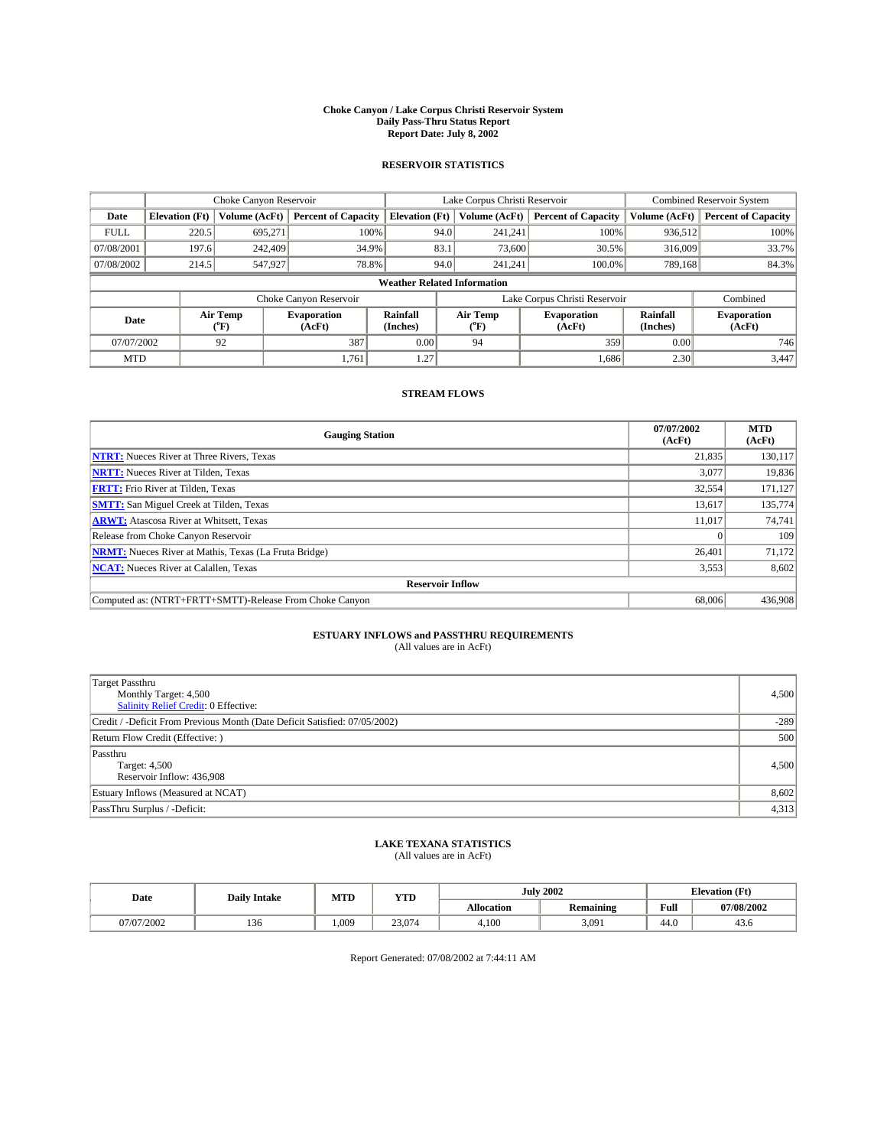#### **Choke Canyon / Lake Corpus Christi Reservoir System Daily Pass-Thru Status Report Report Date: July 8, 2002**

### **RESERVOIR STATISTICS**

|             | Choke Canyon Reservoir             |                             |                              |                             | Lake Corpus Christi Reservoir |                  |                               |                      | Combined Reservoir System    |  |  |
|-------------|------------------------------------|-----------------------------|------------------------------|-----------------------------|-------------------------------|------------------|-------------------------------|----------------------|------------------------------|--|--|
| Date        | <b>Elevation</b> (Ft)              | Volume (AcFt)               | <b>Percent of Capacity</b>   | <b>Elevation</b> (Ft)       |                               | Volume (AcFt)    | <b>Percent of Capacity</b>    | Volume (AcFt)        | <b>Percent of Capacity</b>   |  |  |
| <b>FULL</b> | 220.5                              | 695,271                     |                              | 100%                        | 94.0                          | 241,241          | 100%                          | 936.512              | 100%                         |  |  |
| 07/08/2001  | 197.6                              | 242,409                     | 34.9%                        |                             | 83.1                          | 73,600           | 30.5%                         | 316,009              | 33.7%                        |  |  |
| 07/08/2002  | 214.5                              | 547,927                     | 78.8%                        |                             | 94.0                          | 241.241          | $100.0\%$                     | 789,168              | 84.3%                        |  |  |
|             | <b>Weather Related Information</b> |                             |                              |                             |                               |                  |                               |                      |                              |  |  |
|             |                                    |                             | Choke Canyon Reservoir       |                             |                               |                  | Lake Corpus Christi Reservoir |                      | Combined                     |  |  |
| Date        |                                    | Air Temp<br>${}^{\circ}$ F) | <b>Evaporation</b><br>(AcFt) | <b>Rainfall</b><br>(Inches) |                               | Air Temp<br>("F) | <b>Evaporation</b><br>(AcFt)  | Rainfall<br>(Inches) | <b>Evaporation</b><br>(AcFt) |  |  |
| 07/07/2002  |                                    | 92                          | 387                          | 0.00                        |                               | 94               | 359                           | 0.00                 | 746                          |  |  |
| <b>MTD</b>  |                                    |                             | 1,761                        | 1.27                        |                               |                  | 1,686                         | 2.30                 | 3,447                        |  |  |

### **STREAM FLOWS**

| <b>Gauging Station</b>                                       | 07/07/2002<br>(AcFt) | <b>MTD</b><br>(AcFt) |
|--------------------------------------------------------------|----------------------|----------------------|
| <b>NTRT:</b> Nueces River at Three Rivers, Texas             | 21,835               | 130,117              |
| <b>NRTT:</b> Nueces River at Tilden, Texas                   | 3.077                | 19,836               |
| <b>FRTT:</b> Frio River at Tilden, Texas                     | 32,554               | 171,127              |
| <b>SMTT:</b> San Miguel Creek at Tilden, Texas               | 13,617               | 135,774              |
| <b>ARWT:</b> Atascosa River at Whitsett, Texas               | 11.017               | 74,741               |
| Release from Choke Canyon Reservoir                          | $\theta$             | 109                  |
| <b>NRMT:</b> Nueces River at Mathis, Texas (La Fruta Bridge) | 26.401               | 71,172               |
| <b>NCAT:</b> Nueces River at Calallen, Texas                 | 3,553                | 8,602                |
| <b>Reservoir Inflow</b>                                      |                      |                      |
| Computed as: (NTRT+FRTT+SMTT)-Release From Choke Canyon      | 68,006               | 436,908              |

## **ESTUARY INFLOWS and PASSTHRU REQUIREMENTS**<br>(All values are in AcFt)

| Target Passthru<br>Monthly Target: 4,500<br>Salinity Relief Credit: 0 Effective: | 4,500  |
|----------------------------------------------------------------------------------|--------|
| Credit / -Deficit From Previous Month (Date Deficit Satisfied: 07/05/2002)       | $-289$ |
| Return Flow Credit (Effective: )                                                 | 500    |
| Passthru<br>Target: 4,500<br>Reservoir Inflow: 436,908                           | 4,500  |
| Estuary Inflows (Measured at NCAT)                                               | 8,602  |
| PassThru Surplus / -Deficit:                                                     | 4,313  |

## **LAKE TEXANA STATISTICS** (All values are in AcFt)

| Date       | <b>Daily Intake</b> | MTD  | <b>YTD</b> |                   | <b>July 2002</b> | <b>Elevation</b> (Ft) |            |
|------------|---------------------|------|------------|-------------------|------------------|-----------------------|------------|
|            |                     |      |            | <b>Allocation</b> | Remaining        | Full                  | 07/08/2002 |
| 07/07/2002 | 1 J U               | .009 | 23,074     | 4,100             | 3,091            | 44.0                  | 43.0       |

Report Generated: 07/08/2002 at 7:44:11 AM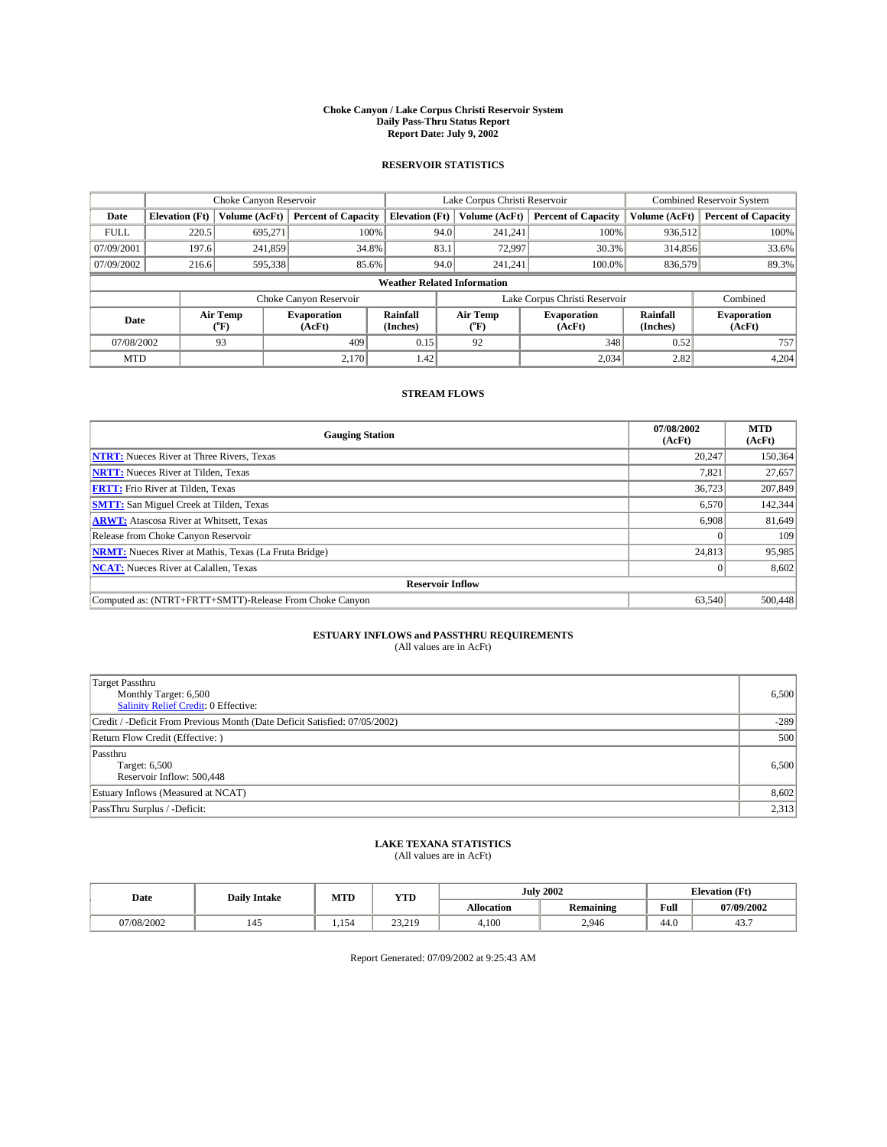#### **Choke Canyon / Lake Corpus Christi Reservoir System Daily Pass-Thru Status Report Report Date: July 9, 2002**

### **RESERVOIR STATISTICS**

|             | Choke Canyon Reservoir             |                             |                              |                             | Lake Corpus Christi Reservoir |                  |                               |                      | <b>Combined Reservoir System</b> |  |  |
|-------------|------------------------------------|-----------------------------|------------------------------|-----------------------------|-------------------------------|------------------|-------------------------------|----------------------|----------------------------------|--|--|
| Date        | <b>Elevation</b> (Ft)              | Volume (AcFt)               | <b>Percent of Capacity</b>   | <b>Elevation</b> (Ft)       |                               | Volume (AcFt)    | <b>Percent of Capacity</b>    | Volume (AcFt)        | <b>Percent of Capacity</b>       |  |  |
| <b>FULL</b> | 220.5                              | 695,271                     | 100%                         |                             | 94.0                          | 241,241          | 100%                          | 936.512              | 100%                             |  |  |
| 07/09/2001  | 197.6                              | 241,859                     | 34.8%                        |                             | 83.1                          | 72,997           | 30.3%                         | 314,856              | 33.6%                            |  |  |
| 07/09/2002  | 216.6                              | 595,338                     | 85.6%                        |                             | 94.0                          | 241.241          | $100.0\%$                     | 836,579              | 89.3%                            |  |  |
|             | <b>Weather Related Information</b> |                             |                              |                             |                               |                  |                               |                      |                                  |  |  |
|             |                                    |                             | Choke Canyon Reservoir       |                             |                               |                  | Lake Corpus Christi Reservoir |                      | Combined                         |  |  |
| Date        |                                    | Air Temp<br>${}^{\circ}$ F) | <b>Evaporation</b><br>(AcFt) | <b>Rainfall</b><br>(Inches) |                               | Air Temp<br>("F) | <b>Evaporation</b><br>(AcFt)  | Rainfall<br>(Inches) | <b>Evaporation</b><br>(AcFt)     |  |  |
| 07/08/2002  |                                    | 93                          | 409                          | 0.15                        |                               | 92               | 348                           | 0.52                 | 757                              |  |  |
| <b>MTD</b>  |                                    |                             | 2,170                        | 1.42                        |                               |                  | 2,034                         | 2.82                 | 4,204                            |  |  |

## **STREAM FLOWS**

| <b>Gauging Station</b>                                       | 07/08/2002<br>(AcFt) | <b>MTD</b><br>(AcFt) |
|--------------------------------------------------------------|----------------------|----------------------|
| <b>NTRT:</b> Nueces River at Three Rivers, Texas             | 20.247               | 150,364              |
| <b>NRTT:</b> Nueces River at Tilden, Texas                   | 7,821                | 27,657               |
| <b>FRTT:</b> Frio River at Tilden, Texas                     | 36,723               | 207,849              |
| <b>SMTT:</b> San Miguel Creek at Tilden, Texas               | 6,570                | 142,344              |
| <b>ARWT:</b> Atascosa River at Whitsett, Texas               | 6,908                | 81,649               |
| Release from Choke Canyon Reservoir                          | $\theta$             | 109                  |
| <b>NRMT:</b> Nueces River at Mathis, Texas (La Fruta Bridge) | 24,813               | 95,985               |
| <b>NCAT:</b> Nueces River at Calallen, Texas                 | $\theta$             | 8,602                |
| <b>Reservoir Inflow</b>                                      |                      |                      |
| Computed as: (NTRT+FRTT+SMTT)-Release From Choke Canyon      | 63.540               | 500,448              |

## **ESTUARY INFLOWS and PASSTHRU REQUIREMENTS**<br>(All values are in AcFt)

| Target Passthru<br>Monthly Target: 6,500<br>Salinity Relief Credit: 0 Effective: | 6,500  |
|----------------------------------------------------------------------------------|--------|
| Credit / -Deficit From Previous Month (Date Deficit Satisfied: 07/05/2002)       | $-289$ |
| Return Flow Credit (Effective: )                                                 | 500    |
| Passthru<br>Target: 6,500<br>Reservoir Inflow: 500,448                           | 6,500  |
| Estuary Inflows (Measured at NCAT)                                               | 8,602  |
| PassThru Surplus / -Deficit:                                                     | 2,313  |

## **LAKE TEXANA STATISTICS** (All values are in AcFt)

| Date      | <b>Daily Intake</b> | MTD                | <b>VTT</b><br>1 I D |                   | <b>July 2002</b> |                    | <b>Elevation</b> (Ft) |
|-----------|---------------------|--------------------|---------------------|-------------------|------------------|--------------------|-----------------------|
|           |                     |                    |                     | <b>Allocation</b> | <b>Remaining</b> | Full               | 07/09/2002            |
| 7/08/2002 | 145                 | $-$<br>154<br>1.17 | 22.210<br>نلك دكت   | 4,100             | 2,946            | $\sqrt{2}$<br>44.V | 45                    |

Report Generated: 07/09/2002 at 9:25:43 AM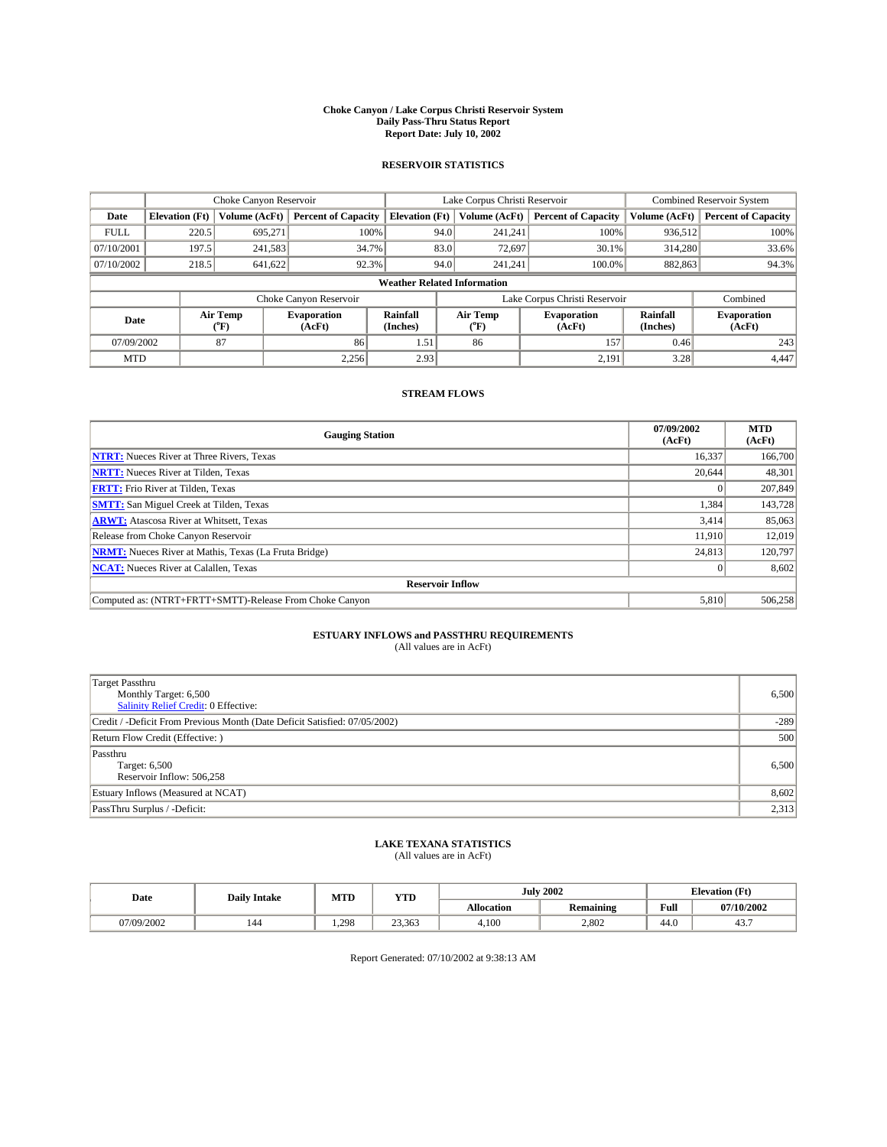#### **Choke Canyon / Lake Corpus Christi Reservoir System Daily Pass-Thru Status Report Report Date: July 10, 2002**

### **RESERVOIR STATISTICS**

|             | Choke Canyon Reservoir             |                             | Lake Corpus Christi Reservoir |                             |      |                  | <b>Combined Reservoir System</b> |                      |                              |  |
|-------------|------------------------------------|-----------------------------|-------------------------------|-----------------------------|------|------------------|----------------------------------|----------------------|------------------------------|--|
| Date        | <b>Elevation</b> (Ft)              | Volume (AcFt)               | <b>Percent of Capacity</b>    | <b>Elevation</b> (Ft)       |      | Volume (AcFt)    | <b>Percent of Capacity</b>       | Volume (AcFt)        | <b>Percent of Capacity</b>   |  |
| <b>FULL</b> | 220.5                              | 695,271                     |                               | 100%                        | 94.0 | 241,241          | 100%                             | 936.512              | 100%                         |  |
| 07/10/2001  | 197.5                              | 241,583                     | 34.7%                         |                             | 83.0 | 72,697           | 30.1%                            | 314.280              | 33.6%                        |  |
| 07/10/2002  | 218.5                              | 641,622                     | 92.3%                         |                             | 94.0 | 241.241          | $100.0\%$                        | 882,863              | 94.3%                        |  |
|             | <b>Weather Related Information</b> |                             |                               |                             |      |                  |                                  |                      |                              |  |
|             |                                    |                             | Choke Canyon Reservoir        |                             |      |                  | Lake Corpus Christi Reservoir    |                      | Combined                     |  |
| Date        |                                    | Air Temp<br>${}^{\circ}$ F) | <b>Evaporation</b><br>(AcFt)  | <b>Rainfall</b><br>(Inches) |      | Air Temp<br>("F) | <b>Evaporation</b><br>(AcFt)     | Rainfall<br>(Inches) | <b>Evaporation</b><br>(AcFt) |  |
| 07/09/2002  |                                    | 87                          | 86                            | 1.51                        |      | 86               | 157                              | 0.46                 | 243                          |  |
| <b>MTD</b>  |                                    |                             | 2,256                         | 2.93                        |      |                  | 2,191                            | 3.28                 | 4,447                        |  |

## **STREAM FLOWS**

| <b>Gauging Station</b>                                       | 07/09/2002<br>(AcFt) | <b>MTD</b><br>(AcFt) |  |  |  |  |  |
|--------------------------------------------------------------|----------------------|----------------------|--|--|--|--|--|
| <b>NTRT:</b> Nueces River at Three Rivers, Texas             | 16,337               | 166,700              |  |  |  |  |  |
| <b>NRTT:</b> Nueces River at Tilden, Texas                   | 20,644               | 48,301               |  |  |  |  |  |
| <b>FRTT:</b> Frio River at Tilden, Texas                     |                      | 207,849              |  |  |  |  |  |
| <b>SMTT:</b> San Miguel Creek at Tilden, Texas               | 1,384                | 143,728              |  |  |  |  |  |
| <b>ARWT:</b> Atascosa River at Whitsett, Texas               | 3,414                | 85,063               |  |  |  |  |  |
| Release from Choke Canyon Reservoir                          | 11.910               | 12.019               |  |  |  |  |  |
| <b>NRMT:</b> Nueces River at Mathis, Texas (La Fruta Bridge) | 24,813               | 120,797              |  |  |  |  |  |
| <b>NCAT:</b> Nueces River at Calallen, Texas                 | $\Omega$             | 8,602                |  |  |  |  |  |
| <b>Reservoir Inflow</b>                                      |                      |                      |  |  |  |  |  |
| Computed as: (NTRT+FRTT+SMTT)-Release From Choke Canyon      | 5.810                | 506,258              |  |  |  |  |  |

## **ESTUARY INFLOWS and PASSTHRU REQUIREMENTS**<br>(All values are in AcFt)

| Target Passthru<br>Monthly Target: 6,500<br>Salinity Relief Credit: 0 Effective: | 6,500  |
|----------------------------------------------------------------------------------|--------|
| Credit / -Deficit From Previous Month (Date Deficit Satisfied: 07/05/2002)       | $-289$ |
| Return Flow Credit (Effective: )                                                 | 500    |
| Passthru<br>Target: 6,500<br>Reservoir Inflow: 506,258                           | 6,500  |
| Estuary Inflows (Measured at NCAT)                                               | 8,602  |
| PassThru Surplus / -Deficit:                                                     | 2,313  |

## **LAKE TEXANA STATISTICS** (All values are in AcFt)

| Date       | <b>Daily Intake</b> | MTD   | <b>YTD</b> |                   | <b>July 2002</b>                  | <b>Elevation</b> (Ft) |            |
|------------|---------------------|-------|------------|-------------------|-----------------------------------|-----------------------|------------|
|            |                     |       |            | <b>Allocation</b> | $\sim$ $\sim$<br><b>Remaining</b> | Full                  | 07/10/2002 |
| 07/09/2002 | 144                 | 1.298 | 23.363     | 4,100             | 2,802                             | $\sim$<br>44.0        | 45.,       |

Report Generated: 07/10/2002 at 9:38:13 AM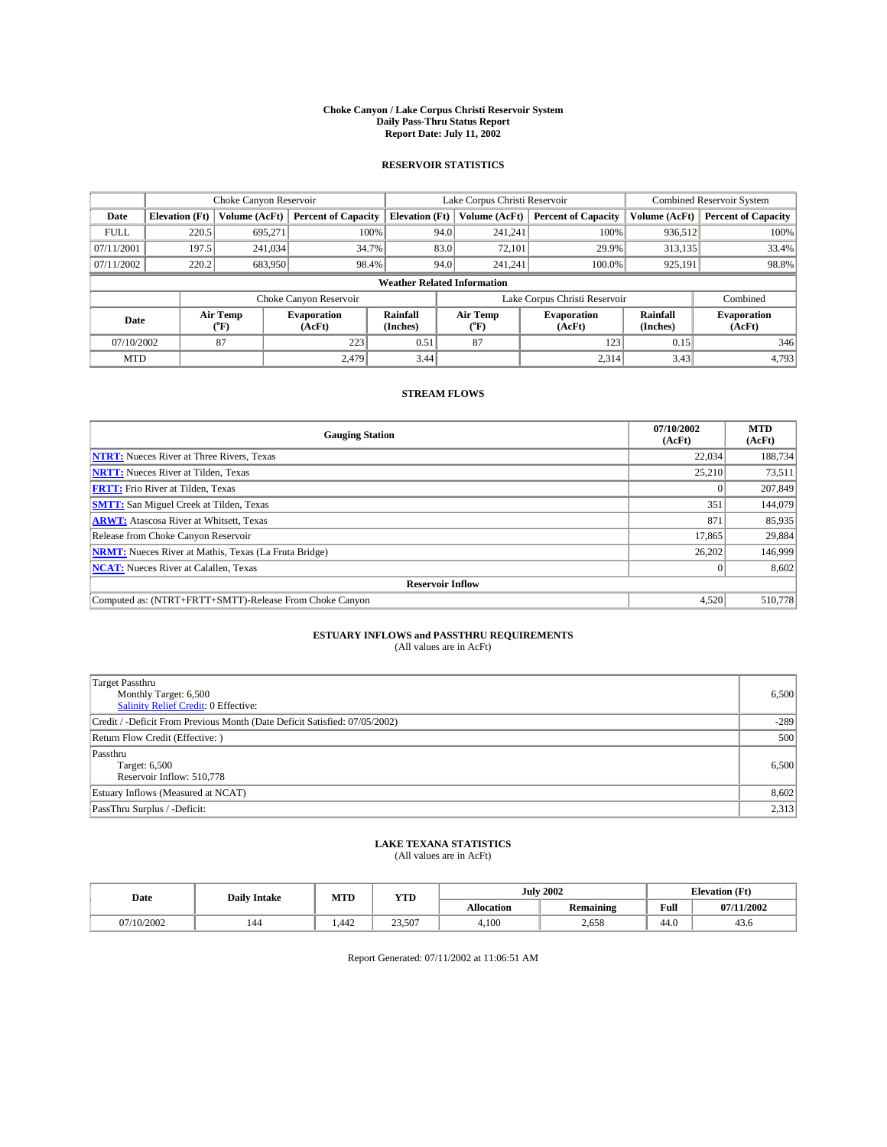#### **Choke Canyon / Lake Corpus Christi Reservoir System Daily Pass-Thru Status Report Report Date: July 11, 2002**

### **RESERVOIR STATISTICS**

|             | Choke Canyon Reservoir             |                             | Lake Corpus Christi Reservoir |                             |      |                  | <b>Combined Reservoir System</b> |                      |                              |  |
|-------------|------------------------------------|-----------------------------|-------------------------------|-----------------------------|------|------------------|----------------------------------|----------------------|------------------------------|--|
| Date        | <b>Elevation</b> (Ft)              | Volume (AcFt)               | <b>Percent of Capacity</b>    | <b>Elevation</b> (Ft)       |      | Volume (AcFt)    | <b>Percent of Capacity</b>       | Volume (AcFt)        | <b>Percent of Capacity</b>   |  |
| <b>FULL</b> | 220.5                              | 695,271                     |                               | 100%                        | 94.0 | 241,241          | 100%                             | 936.512              | 100%                         |  |
| 07/11/2001  | 197.5                              | 241,034                     |                               | 34.7%                       | 83.0 | 72,101           | 29.9%                            | 313,135              | 33.4%                        |  |
| 07/11/2002  | 220.2                              | 683,950                     | 98.4%                         |                             | 94.0 | 241.241          | $100.0\%$                        | 925,191              | 98.8%                        |  |
|             | <b>Weather Related Information</b> |                             |                               |                             |      |                  |                                  |                      |                              |  |
|             |                                    |                             | Choke Canyon Reservoir        |                             |      |                  | Lake Corpus Christi Reservoir    |                      | Combined                     |  |
| Date        |                                    | Air Temp<br>${}^{\circ}$ F) | <b>Evaporation</b><br>(AcFt)  | <b>Rainfall</b><br>(Inches) |      | Air Temp<br>("F) | <b>Evaporation</b><br>(AcFt)     | Rainfall<br>(Inches) | <b>Evaporation</b><br>(AcFt) |  |
| 07/10/2002  |                                    | 87                          | 223                           | 0.51                        |      | 87               | 123                              | 0.15                 | 346                          |  |
| <b>MTD</b>  |                                    |                             | 2,479                         | 3.44                        |      |                  | 2,314                            | 3.43                 | 4,793                        |  |

### **STREAM FLOWS**

| <b>Gauging Station</b>                                       | 07/10/2002<br>(AcFt) | <b>MTD</b><br>(AcFt) |  |  |  |  |  |
|--------------------------------------------------------------|----------------------|----------------------|--|--|--|--|--|
| <b>NTRT:</b> Nueces River at Three Rivers, Texas             | 22,034               | 188,734              |  |  |  |  |  |
| <b>NRTT:</b> Nueces River at Tilden, Texas                   | 25.210               | 73,511               |  |  |  |  |  |
| <b>FRTT:</b> Frio River at Tilden, Texas                     | $\Omega$             | 207,849              |  |  |  |  |  |
| <b>SMTT:</b> San Miguel Creek at Tilden, Texas               | 351                  | 144,079              |  |  |  |  |  |
| <b>ARWT:</b> Atascosa River at Whitsett, Texas               | 871                  | 85,935               |  |  |  |  |  |
| Release from Choke Canyon Reservoir                          | 17.865               | 29,884               |  |  |  |  |  |
| <b>NRMT:</b> Nueces River at Mathis, Texas (La Fruta Bridge) | 26,202               | 146,999              |  |  |  |  |  |
| <b>NCAT:</b> Nueces River at Calallen, Texas                 | $\theta$             | 8,602                |  |  |  |  |  |
| <b>Reservoir Inflow</b>                                      |                      |                      |  |  |  |  |  |
| Computed as: (NTRT+FRTT+SMTT)-Release From Choke Canyon      | 4.520                | 510,778              |  |  |  |  |  |

# **ESTUARY INFLOWS and PASSTHRU REQUIREMENTS**<br>(All values are in AcFt)

| Target Passthru<br>Monthly Target: 6,500<br>Salinity Relief Credit: 0 Effective: | 6,500  |
|----------------------------------------------------------------------------------|--------|
| Credit / -Deficit From Previous Month (Date Deficit Satisfied: 07/05/2002)       | $-289$ |
| Return Flow Credit (Effective: )                                                 | 500    |
| Passthru<br>Target: 6,500<br>Reservoir Inflow: 510,778                           | 6,500  |
| Estuary Inflows (Measured at NCAT)                                               | 8,602  |
| PassThru Surplus / -Deficit:                                                     | 2,313  |

# **LAKE TEXANA STATISTICS** (All values are in AcFt)

| (All values are in Act t) |  |  |
|---------------------------|--|--|
|                           |  |  |

| Date       | <b>Daily Intake</b> | MTD  | <b>YTD</b> |                   | <b>July 2002</b> | <b>Elevation</b> (Ft) |                |
|------------|---------------------|------|------------|-------------------|------------------|-----------------------|----------------|
|            |                     |      |            | <b>Allocation</b> | Remaining        | Full                  | 1/2002<br>07/2 |
| 07/10/2002 | 144                 | .442 | 23.507     | 4,100             | 2,658            | 44.0                  | 43.0           |

Report Generated: 07/11/2002 at 11:06:51 AM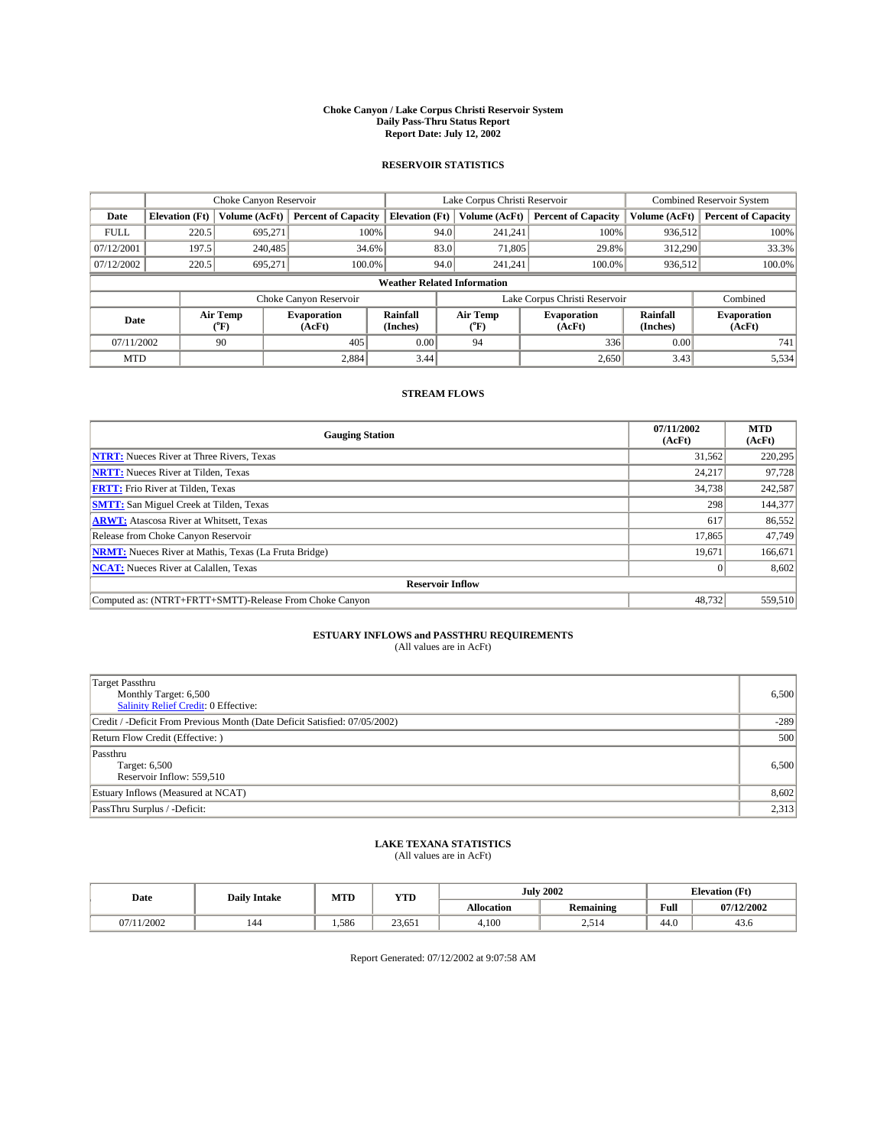#### **Choke Canyon / Lake Corpus Christi Reservoir System Daily Pass-Thru Status Report Report Date: July 12, 2002**

### **RESERVOIR STATISTICS**

|             | Choke Canyon Reservoir |                  | Lake Corpus Christi Reservoir |                                    |      |                  | <b>Combined Reservoir System</b> |                      |                              |
|-------------|------------------------|------------------|-------------------------------|------------------------------------|------|------------------|----------------------------------|----------------------|------------------------------|
| Date        | <b>Elevation</b> (Ft)  | Volume (AcFt)    | <b>Percent of Capacity</b>    | <b>Elevation</b> (Ft)              |      | Volume (AcFt)    | <b>Percent of Capacity</b>       | Volume (AcFt)        | <b>Percent of Capacity</b>   |
| <b>FULL</b> | 220.5                  | 695,271          | 100%                          |                                    | 94.0 | 241,241          | 100%                             | 936,512              | 100%                         |
| 07/12/2001  | 197.5                  | 240,485          | 34.6%                         |                                    | 83.0 | 71,805           | 29.8%                            | 312,290              | 33.3%                        |
| 07/12/2002  | 220.5                  | 695.271          | $100.0\%$                     |                                    | 94.0 | 241.241          | $100.0\%$                        | 936,512              | 100.0%                       |
|             |                        |                  |                               | <b>Weather Related Information</b> |      |                  |                                  |                      |                              |
|             |                        |                  | Choke Canyon Reservoir        |                                    |      |                  | Lake Corpus Christi Reservoir    |                      | Combined                     |
| Date        |                        | Air Temp<br>(°F) | <b>Evaporation</b><br>(AcFt)  | <b>Rainfall</b><br>(Inches)        |      | Air Temp<br>("F) | <b>Evaporation</b><br>(AcFt)     | Rainfall<br>(Inches) | <b>Evaporation</b><br>(AcFt) |
| 07/11/2002  |                        | 90               | 405                           | 0.00                               |      | 94               | 336                              | 0.00                 | 741                          |
| <b>MTD</b>  |                        |                  | 2,884                         | 3.44                               |      |                  | 2,650                            | 3.43                 | 5,534                        |

## **STREAM FLOWS**

| <b>Gauging Station</b>                                       | 07/11/2002<br>(AcFt) | <b>MTD</b><br>(AcFt) |  |  |  |  |  |
|--------------------------------------------------------------|----------------------|----------------------|--|--|--|--|--|
| <b>NTRT:</b> Nueces River at Three Rivers, Texas             | 31,562               | 220,295              |  |  |  |  |  |
| <b>NRTT:</b> Nueces River at Tilden, Texas                   | 24,217               | 97.728               |  |  |  |  |  |
| <b>FRTT:</b> Frio River at Tilden, Texas                     | 34,738               | 242,587              |  |  |  |  |  |
| <b>SMTT:</b> San Miguel Creek at Tilden, Texas               | 298                  | 144,377              |  |  |  |  |  |
| <b>ARWT:</b> Atascosa River at Whitsett, Texas               | 617                  | 86,552               |  |  |  |  |  |
| Release from Choke Canyon Reservoir                          | 17.865               | 47,749               |  |  |  |  |  |
| <b>NRMT:</b> Nueces River at Mathis, Texas (La Fruta Bridge) | 19,671               | 166,671              |  |  |  |  |  |
| <b>NCAT:</b> Nueces River at Calallen, Texas                 | $\Omega$             | 8,602                |  |  |  |  |  |
| <b>Reservoir Inflow</b>                                      |                      |                      |  |  |  |  |  |
| Computed as: (NTRT+FRTT+SMTT)-Release From Choke Canyon      | 48.732               | 559,510              |  |  |  |  |  |

## **ESTUARY INFLOWS and PASSTHRU REQUIREMENTS**<br>(All values are in AcFt)

| Target Passthru<br>Monthly Target: 6,500<br>Salinity Relief Credit: 0 Effective: | 6,500  |
|----------------------------------------------------------------------------------|--------|
| Credit / -Deficit From Previous Month (Date Deficit Satisfied: 07/05/2002)       | $-289$ |
| Return Flow Credit (Effective: )                                                 | 500    |
| Passthru<br>Target: 6,500<br>Reservoir Inflow: 559,510                           | 6,500  |
| Estuary Inflows (Measured at NCAT)                                               | 8,602  |
| PassThru Surplus / -Deficit:                                                     | 2,313  |

## **LAKE TEXANA STATISTICS** (All values are in AcFt)

| Date   | <b>Daily Intake</b> | MTD   | <b>YTD</b> |                   | <b>July 2002</b>             | <b>Elevation</b> (Ft) |            |
|--------|---------------------|-------|------------|-------------------|------------------------------|-----------------------|------------|
|        |                     |       |            | <b>Allocation</b> | Remaining                    | Full                  | 07/12/2002 |
| 1/2002 | 144                 | 1.586 | 23,651     | 4,100             | ⊾1 ^<br>$\sim$ $\sim$ $\sim$ | $\sim$<br>44.O        | 45.0       |

Report Generated: 07/12/2002 at 9:07:58 AM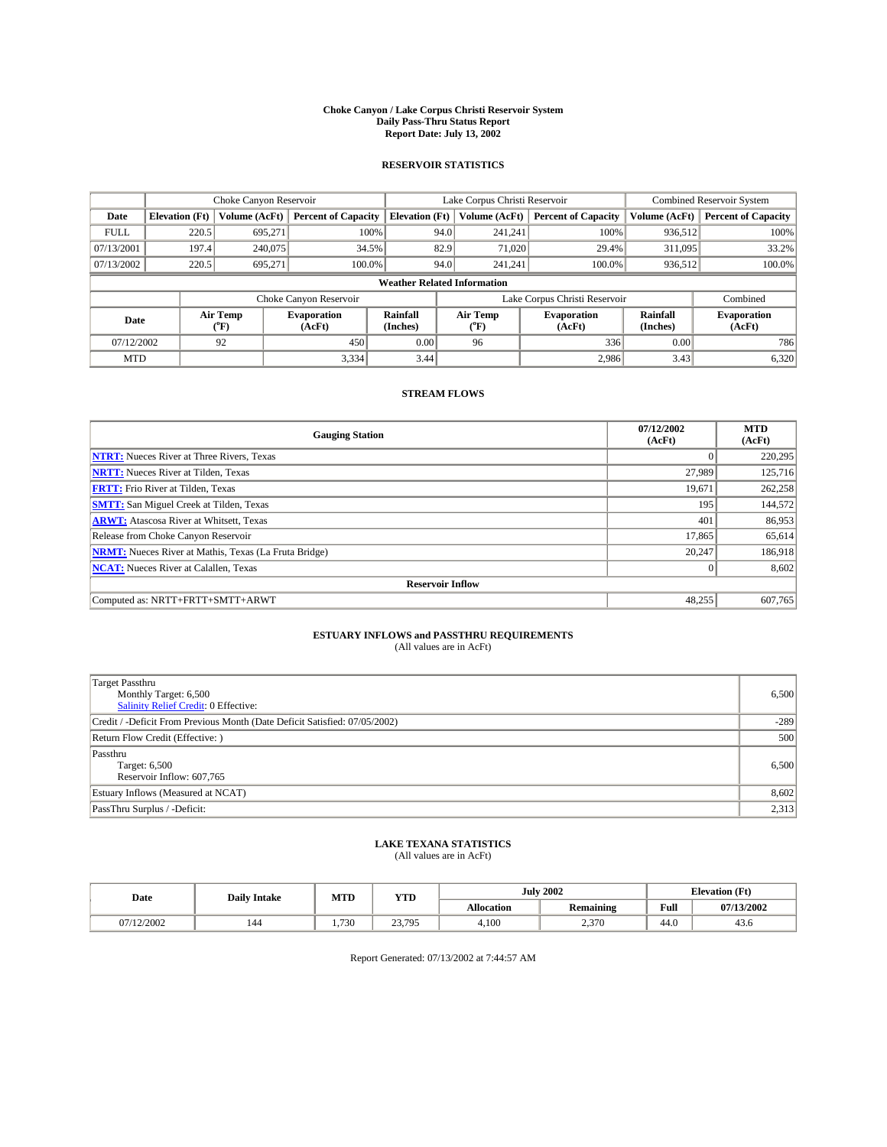#### **Choke Canyon / Lake Corpus Christi Reservoir System Daily Pass-Thru Status Report Report Date: July 13, 2002**

### **RESERVOIR STATISTICS**

|             | Choke Canyon Reservoir             |                             | Lake Corpus Christi Reservoir |                             |                               |                  | Combined Reservoir System    |                      |                              |  |
|-------------|------------------------------------|-----------------------------|-------------------------------|-----------------------------|-------------------------------|------------------|------------------------------|----------------------|------------------------------|--|
| Date        | <b>Elevation</b> (Ft)              | Volume (AcFt)               | <b>Percent of Capacity</b>    | <b>Elevation</b> (Ft)       |                               | Volume (AcFt)    | <b>Percent of Capacity</b>   | Volume (AcFt)        | <b>Percent of Capacity</b>   |  |
| <b>FULL</b> | 220.5                              | 695,271                     |                               | 100%                        | 94.0                          | 241,241          | 100%                         | 936.512              | 100%                         |  |
| 07/13/2001  | 197.4                              | 240,075                     | 34.5%                         |                             | 82.9                          | 71,020           | 29.4%                        | 311.095              | 33.2%                        |  |
| 07/13/2002  | 220.5                              | 695.271                     | 100.0%                        |                             | 94.0                          | 241.241          | $100.0\%$                    | 936,512              | 100.0%                       |  |
|             | <b>Weather Related Information</b> |                             |                               |                             |                               |                  |                              |                      |                              |  |
|             |                                    |                             | Choke Canyon Reservoir        |                             | Lake Corpus Christi Reservoir |                  |                              |                      | Combined                     |  |
| Date        |                                    | Air Temp<br>${}^{\circ}$ F) | <b>Evaporation</b><br>(AcFt)  | <b>Rainfall</b><br>(Inches) |                               | Air Temp<br>("F) | <b>Evaporation</b><br>(AcFt) | Rainfall<br>(Inches) | <b>Evaporation</b><br>(AcFt) |  |
| 07/12/2002  |                                    | 92                          | 450                           | 0.00                        |                               | 96               | 336                          | 0.00                 | 786                          |  |
| <b>MTD</b>  |                                    |                             | 3,334                         | 3.44                        |                               |                  | 2,986                        | 3.43                 | 6,320                        |  |

## **STREAM FLOWS**

| <b>Gauging Station</b>                                       | 07/12/2002<br>(AcFt) | <b>MTD</b><br>(AcFt) |  |  |  |  |  |
|--------------------------------------------------------------|----------------------|----------------------|--|--|--|--|--|
| <b>NTRT:</b> Nueces River at Three Rivers, Texas             |                      | 220,295              |  |  |  |  |  |
| <b>NRTT:</b> Nueces River at Tilden, Texas                   | 27.989               | 125,716              |  |  |  |  |  |
| <b>FRTT:</b> Frio River at Tilden, Texas                     | 19,671               | 262,258              |  |  |  |  |  |
| <b>SMTT:</b> San Miguel Creek at Tilden, Texas               | 195                  | 144,572              |  |  |  |  |  |
| <b>ARWT:</b> Atascosa River at Whitsett, Texas               | 401                  | 86,953               |  |  |  |  |  |
| Release from Choke Canyon Reservoir                          | 17,865               | 65,614               |  |  |  |  |  |
| <b>NRMT:</b> Nueces River at Mathis, Texas (La Fruta Bridge) | 20,247               | 186,918              |  |  |  |  |  |
| <b>NCAT:</b> Nueces River at Calallen, Texas                 |                      | 8,602                |  |  |  |  |  |
| <b>Reservoir Inflow</b>                                      |                      |                      |  |  |  |  |  |
| Computed as: NRTT+FRTT+SMTT+ARWT                             | 48,255               | 607,765              |  |  |  |  |  |

## **ESTUARY INFLOWS and PASSTHRU REQUIREMENTS**

(All values are in AcFt)

| <b>Target Passthru</b><br>Monthly Target: 6,500<br>Salinity Relief Credit: 0 Effective: | 6,500  |
|-----------------------------------------------------------------------------------------|--------|
| Credit / -Deficit From Previous Month (Date Deficit Satisfied: 07/05/2002)              | $-289$ |
| Return Flow Credit (Effective:)                                                         | 500    |
| Passthru<br>Target: 6,500<br>Reservoir Inflow: 607,765                                  | 6,500  |
| Estuary Inflows (Measured at NCAT)                                                      | 8,602  |
| PassThru Surplus / -Deficit:                                                            | 2,313  |

## **LAKE TEXANA STATISTICS** (All values are in AcFt)

| Date     | <b>Daily Intake</b> | MTD  | <b>YTD</b>       |                   | <b>July 2002</b>                  | <b>Elevation</b> (Ft) |            |
|----------|---------------------|------|------------------|-------------------|-----------------------------------|-----------------------|------------|
|          |                     |      |                  | <b>Allocation</b> | $\sim$ $\sim$<br><b>Remaining</b> | Full                  | 07/13/2002 |
| /12/2002 | 144                 | .730 | 23.795<br>23,193 | 4,100             | 270<br>2.370                      | $\sqrt{ }$<br>44.0    | 45.0       |

Report Generated: 07/13/2002 at 7:44:57 AM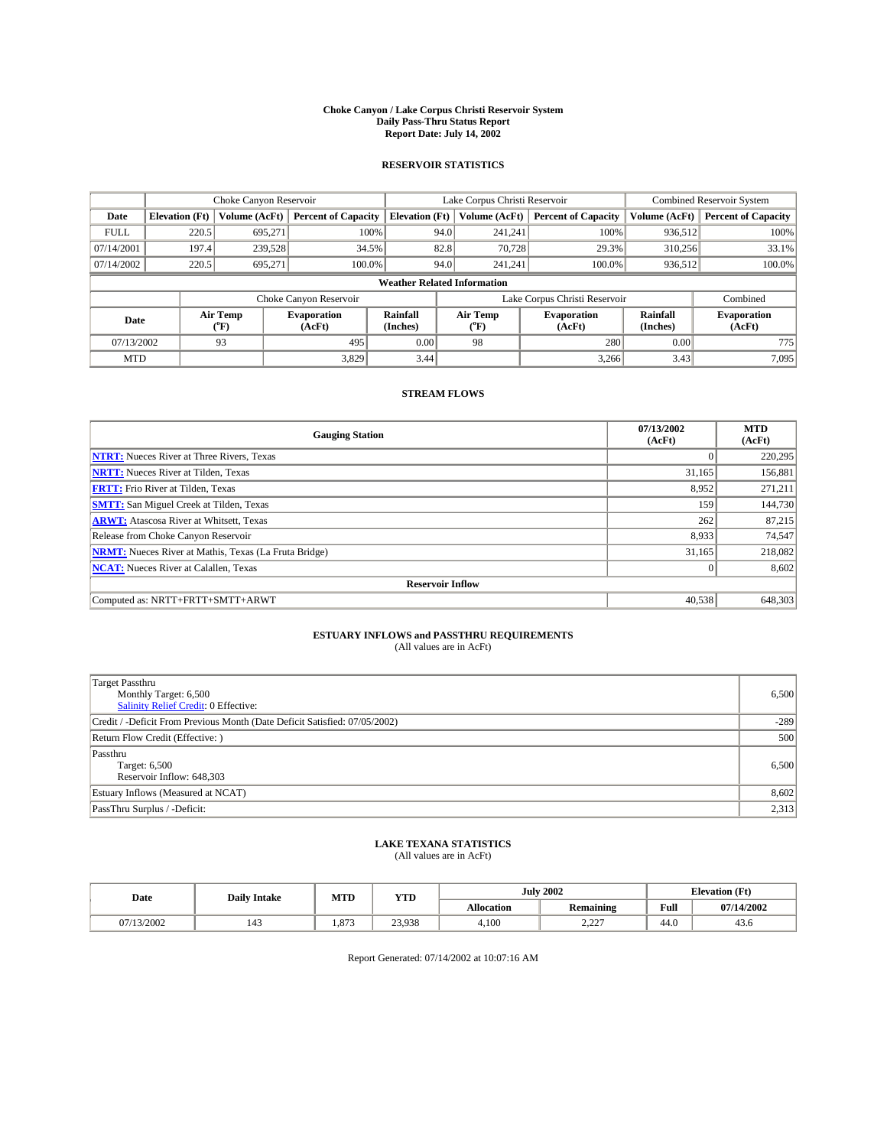#### **Choke Canyon / Lake Corpus Christi Reservoir System Daily Pass-Thru Status Report Report Date: July 14, 2002**

### **RESERVOIR STATISTICS**

|             | Choke Canyon Reservoir |                  | Lake Corpus Christi Reservoir |                                    |                               |                  | <b>Combined Reservoir System</b> |                      |                              |
|-------------|------------------------|------------------|-------------------------------|------------------------------------|-------------------------------|------------------|----------------------------------|----------------------|------------------------------|
| Date        | <b>Elevation</b> (Ft)  | Volume (AcFt)    | <b>Percent of Capacity</b>    | <b>Elevation (Ft)</b>              |                               | Volume (AcFt)    | <b>Percent of Capacity</b>       | Volume (AcFt)        | <b>Percent of Capacity</b>   |
| <b>FULL</b> | 220.5                  | 695,271          | 100%                          |                                    | 94.0                          | 241,241          | 100%                             | 936.512              | 100%                         |
| 07/14/2001  | 197.4                  | 239,528          | 34.5%                         |                                    | 82.8                          | 70.728           | 29.3%                            | 310.256              | 33.1%                        |
| 07/14/2002  | 220.5                  | 695.271          | 100.0%                        |                                    | 94.0                          | 241.241          | $100.0\%$                        | 936,512              | 100.0%                       |
|             |                        |                  |                               | <b>Weather Related Information</b> |                               |                  |                                  |                      |                              |
|             |                        |                  | Choke Canyon Reservoir        |                                    | Lake Corpus Christi Reservoir |                  |                                  |                      | Combined                     |
| Date        |                        | Air Temp<br>(°F) | <b>Evaporation</b><br>(AcFt)  | Rainfall<br>(Inches)               |                               | Air Temp<br>("F) | <b>Evaporation</b><br>(AcFt)     | Rainfall<br>(Inches) | <b>Evaporation</b><br>(AcFt) |
| 07/13/2002  |                        | 93               | 495                           | 0.00                               |                               | 98               | 280                              | 0.00                 | 775                          |
| <b>MTD</b>  |                        |                  | 3,829                         | 3.44                               |                               |                  | 3,266                            | 3.43                 | 7,095                        |

## **STREAM FLOWS**

| <b>Gauging Station</b>                                       | 07/13/2002<br>(AcFt) | <b>MTD</b><br>(AcFt) |  |  |  |  |  |
|--------------------------------------------------------------|----------------------|----------------------|--|--|--|--|--|
| <b>NTRT:</b> Nueces River at Three Rivers, Texas             |                      | 220,295              |  |  |  |  |  |
| <b>NRTT:</b> Nueces River at Tilden, Texas                   | 31.165               | 156,881              |  |  |  |  |  |
| <b>FRTT:</b> Frio River at Tilden, Texas                     | 8,952                | 271,211              |  |  |  |  |  |
| <b>SMTT:</b> San Miguel Creek at Tilden, Texas               | 159                  | 144,730              |  |  |  |  |  |
| <b>ARWT:</b> Atascosa River at Whitsett, Texas               | 262                  | 87,215               |  |  |  |  |  |
| Release from Choke Canyon Reservoir                          | 8,933                | 74,547               |  |  |  |  |  |
| <b>NRMT:</b> Nueces River at Mathis, Texas (La Fruta Bridge) | 31,165               | 218,082              |  |  |  |  |  |
| <b>NCAT:</b> Nueces River at Calallen, Texas                 |                      | 8,602                |  |  |  |  |  |
| <b>Reservoir Inflow</b>                                      |                      |                      |  |  |  |  |  |
| Computed as: NRTT+FRTT+SMTT+ARWT                             | 40,538               | 648,303              |  |  |  |  |  |

## **ESTUARY INFLOWS and PASSTHRU REQUIREMENTS**

(All values are in AcFt)

| <b>Target Passthru</b><br>Monthly Target: 6,500<br><b>Salinity Relief Credit: 0 Effective:</b> | 6,500  |
|------------------------------------------------------------------------------------------------|--------|
| Credit / -Deficit From Previous Month (Date Deficit Satisfied: 07/05/2002)                     | $-289$ |
| Return Flow Credit (Effective:)                                                                | 500    |
| Passthru<br>Target: 6,500<br>Reservoir Inflow: 648,303                                         | 6,500  |
| Estuary Inflows (Measured at NCAT)                                                             | 8,602  |
| PassThru Surplus / -Deficit:                                                                   | 2,313  |

## **LAKE TEXANA STATISTICS** (All values are in AcFt)

| Date    | <b>Daily Intake</b> | MTD   | <b>YTD</b> |                   | <b>July 2002</b> | <b>Elevation</b> (Ft) |            |
|---------|---------------------|-------|------------|-------------------|------------------|-----------------------|------------|
|         |                     |       |            | <b>Allocation</b> | <b>Remaining</b> | Full                  | 07/14/2002 |
| 13/2002 | 143                 | 1.873 | 23,938     | 4,100             | $\sim$<br>ے بے   | $\sqrt{ }$<br>44.0    | 45.0       |

Report Generated: 07/14/2002 at 10:07:16 AM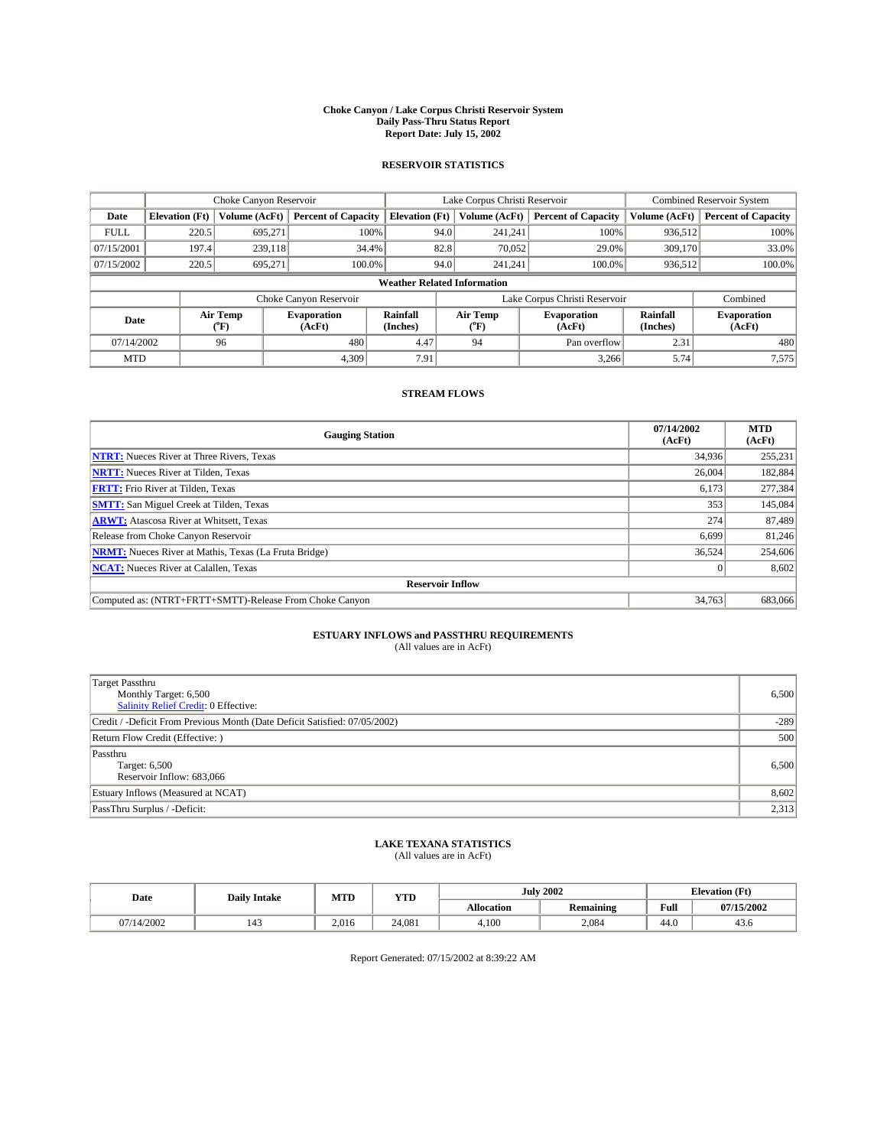#### **Choke Canyon / Lake Corpus Christi Reservoir System Daily Pass-Thru Status Report Report Date: July 15, 2002**

### **RESERVOIR STATISTICS**

|             | Choke Canyon Reservoir |                  | Lake Corpus Christi Reservoir |                                    |                               |                  | Combined Reservoir System    |                      |                              |
|-------------|------------------------|------------------|-------------------------------|------------------------------------|-------------------------------|------------------|------------------------------|----------------------|------------------------------|
| Date        | <b>Elevation</b> (Ft)  | Volume (AcFt)    | <b>Percent of Capacity</b>    | <b>Elevation</b> (Ft)              |                               | Volume (AcFt)    | <b>Percent of Capacity</b>   | Volume (AcFt)        | <b>Percent of Capacity</b>   |
| <b>FULL</b> | 220.5                  | 695,271          |                               | 100%                               | 94.0                          | 241,241          | 100%                         | 936.512              | 100%                         |
| 07/15/2001  | 197.4                  | 239.118          | 34.4%                         |                                    | 82.8                          | 70.052           | 29.0%                        | 309,170              | 33.0%                        |
| 07/15/2002  | 220.5                  | 695.271          | 100.0%                        |                                    | 94.0                          | 241.241          | $100.0\%$                    | 936,512              | 100.0%                       |
|             |                        |                  |                               | <b>Weather Related Information</b> |                               |                  |                              |                      |                              |
|             |                        |                  | Choke Canyon Reservoir        |                                    | Lake Corpus Christi Reservoir |                  |                              |                      | Combined                     |
| Date        |                        | Air Temp<br>(°F) | <b>Evaporation</b><br>(AcFt)  | Rainfall<br>(Inches)               |                               | Air Temp<br>("F) | <b>Evaporation</b><br>(AcFt) | Rainfall<br>(Inches) | <b>Evaporation</b><br>(AcFt) |
| 07/14/2002  |                        | 96               | 480                           | 4.47                               |                               | 94               | Pan overflow                 | 2.31                 | 480                          |
| <b>MTD</b>  |                        |                  | 4,309                         | 7.91                               |                               |                  | 3,266                        | 5.74                 | 7,575                        |

## **STREAM FLOWS**

| <b>Gauging Station</b>                                       | 07/14/2002<br>(AcFt) | <b>MTD</b><br>(AcFt) |  |  |  |  |  |
|--------------------------------------------------------------|----------------------|----------------------|--|--|--|--|--|
| <b>NTRT:</b> Nueces River at Three Rivers, Texas             | 34,936               | 255,231              |  |  |  |  |  |
| <b>NRTT:</b> Nueces River at Tilden, Texas                   | 26,004               | 182.884              |  |  |  |  |  |
| <b>FRTT:</b> Frio River at Tilden, Texas                     | 6,173                | 277,384              |  |  |  |  |  |
| <b>SMTT:</b> San Miguel Creek at Tilden, Texas               | 353                  | 145,084              |  |  |  |  |  |
| <b>ARWT:</b> Atascosa River at Whitsett, Texas               | 274                  | 87,489               |  |  |  |  |  |
| Release from Choke Canyon Reservoir                          | 6.699                | 81,246               |  |  |  |  |  |
| <b>NRMT:</b> Nueces River at Mathis, Texas (La Fruta Bridge) | 36,524               | 254,606              |  |  |  |  |  |
| <b>NCAT:</b> Nueces River at Calallen, Texas                 | $\Omega$             | 8,602                |  |  |  |  |  |
| <b>Reservoir Inflow</b>                                      |                      |                      |  |  |  |  |  |
| Computed as: (NTRT+FRTT+SMTT)-Release From Choke Canyon      | 34.763               | 683,066              |  |  |  |  |  |

## **ESTUARY INFLOWS and PASSTHRU REQUIREMENTS**<br>(All values are in AcFt)

| <b>Target Passthru</b><br>Monthly Target: 6,500<br>Salinity Relief Credit: 0 Effective: | 6,500  |
|-----------------------------------------------------------------------------------------|--------|
| Credit / -Deficit From Previous Month (Date Deficit Satisfied: 07/05/2002)              | $-289$ |
| Return Flow Credit (Effective:)                                                         | 500    |
| Passthru<br>Target: 6,500<br>Reservoir Inflow: 683,066                                  | 6,500  |
| Estuary Inflows (Measured at NCAT)                                                      | 8,602  |
| PassThru Surplus / -Deficit:                                                            | 2,313  |

## **LAKE TEXANA STATISTICS** (All values are in AcFt)

| Date      | <b>Daily Intake</b> | MTD   | <b>YTD</b> |                   | <b>July 2002</b> | <b>Elevation</b> (Ft) |            |  |
|-----------|---------------------|-------|------------|-------------------|------------------|-----------------------|------------|--|
|           |                     |       |            | <b>Allocation</b> | Remaining        | Full                  | 07/15/2002 |  |
| 7/14/2002 | 143                 | 2.016 | 24.081     | 4,100             | 2,084            | $\sim$<br>44.U        | 45.0       |  |

Report Generated: 07/15/2002 at 8:39:22 AM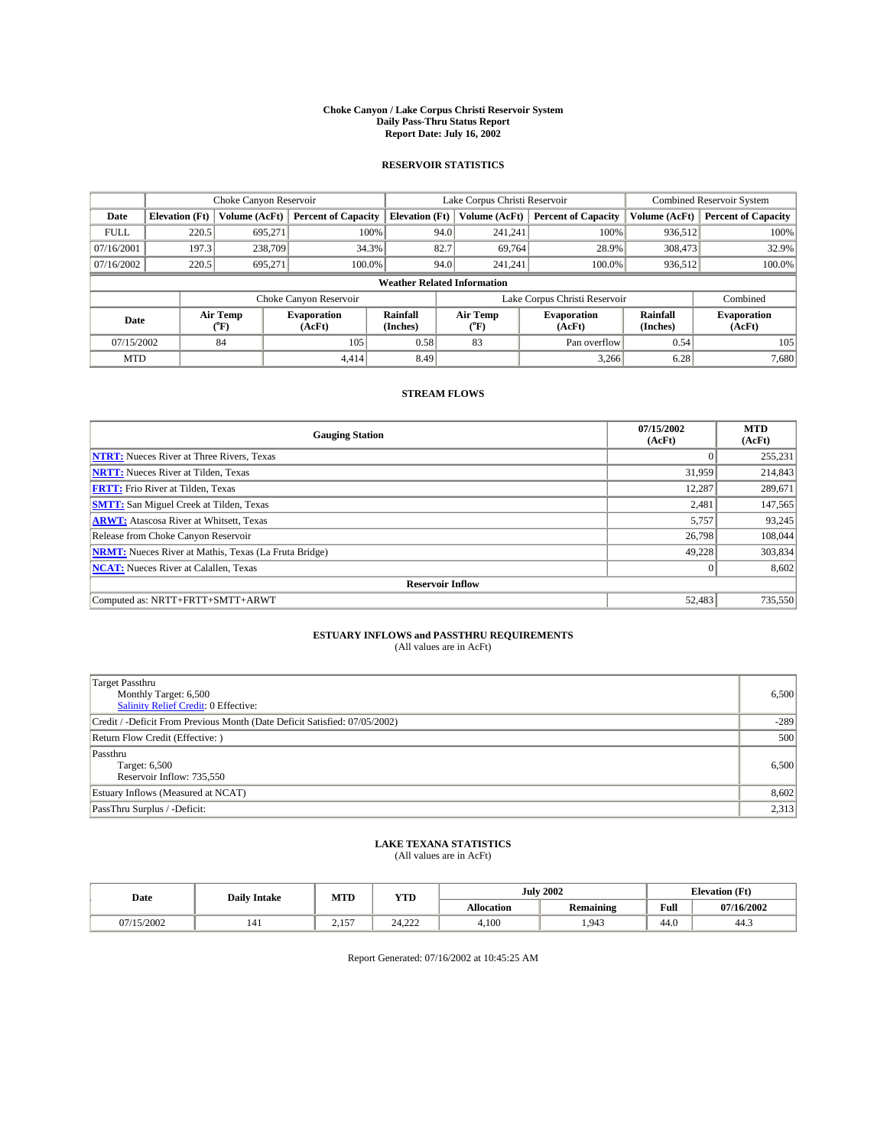#### **Choke Canyon / Lake Corpus Christi Reservoir System Daily Pass-Thru Status Report Report Date: July 16, 2002**

### **RESERVOIR STATISTICS**

|             | Choke Canyon Reservoir |                          | Lake Corpus Christi Reservoir |                                    |                               |                 | <b>Combined Reservoir System</b> |                      |                              |
|-------------|------------------------|--------------------------|-------------------------------|------------------------------------|-------------------------------|-----------------|----------------------------------|----------------------|------------------------------|
| Date        | <b>Elevation</b> (Ft)  | Volume (AcFt)            | <b>Percent of Capacity</b>    | <b>Elevation (Ft)</b>              |                               | Volume (AcFt)   | <b>Percent of Capacity</b>       | Volume (AcFt)        | <b>Percent of Capacity</b>   |
| <b>FULL</b> | 220.5                  | 695,271                  |                               | 100%                               | 94.0                          | 241,241         | 100%                             | 936.512              | 100%                         |
| 07/16/2001  | 197.3                  | 238,709                  |                               | 34.3%                              | 82.7                          | 69,764          | 28.9%                            | 308,473              | 32.9%                        |
| 07/16/2002  | 220.5                  | 695.271                  | 100.0%                        |                                    | 94.0                          | 241.241         | $100.0\%$                        | 936,512              | 100.0%                       |
|             |                        |                          |                               | <b>Weather Related Information</b> |                               |                 |                                  |                      |                              |
|             |                        |                          | Choke Canyon Reservoir        |                                    | Lake Corpus Christi Reservoir |                 |                                  |                      | Combined                     |
| Date        |                        | Air Temp<br>$\rm ^{o}F)$ | <b>Evaporation</b><br>(AcFt)  | Rainfall<br>(Inches)               |                               | Air Temp<br>"F) | <b>Evaporation</b><br>(AcFt)     | Rainfall<br>(Inches) | <b>Evaporation</b><br>(AcFt) |
| 07/15/2002  |                        | 84                       | 105                           | 0.58                               |                               | 83              | Pan overflow                     | 0.54                 | 105                          |
| <b>MTD</b>  |                        |                          | 4.414                         | 8.49                               |                               |                 | 3,266                            | 6.28                 | 7,680                        |

## **STREAM FLOWS**

| <b>Gauging Station</b>                                       | 07/15/2002<br>(AcFt) | <b>MTD</b><br>(AcFt) |  |  |  |  |  |
|--------------------------------------------------------------|----------------------|----------------------|--|--|--|--|--|
| <b>NTRT:</b> Nueces River at Three Rivers, Texas             |                      | 255,231              |  |  |  |  |  |
| <b>NRTT:</b> Nueces River at Tilden, Texas                   | 31.959               | 214,843              |  |  |  |  |  |
| <b>FRTT:</b> Frio River at Tilden, Texas                     | 12,287               | 289,671              |  |  |  |  |  |
| <b>SMTT:</b> San Miguel Creek at Tilden, Texas               | 2,481                | 147,565              |  |  |  |  |  |
| <b>ARWT:</b> Atascosa River at Whitsett, Texas               | 5,757                | 93,245               |  |  |  |  |  |
| Release from Choke Canyon Reservoir                          | 26,798               | 108,044              |  |  |  |  |  |
| <b>NRMT:</b> Nueces River at Mathis, Texas (La Fruta Bridge) | 49,228               | 303,834              |  |  |  |  |  |
| <b>NCAT:</b> Nueces River at Calallen, Texas                 |                      | 8,602                |  |  |  |  |  |
| <b>Reservoir Inflow</b>                                      |                      |                      |  |  |  |  |  |
| Computed as: NRTT+FRTT+SMTT+ARWT                             | 52,483               | 735,550              |  |  |  |  |  |

## **ESTUARY INFLOWS and PASSTHRU REQUIREMENTS**

(All values are in AcFt)

| <b>Target Passthru</b><br>Monthly Target: 6,500<br><b>Salinity Relief Credit: 0 Effective:</b> | 6,500  |
|------------------------------------------------------------------------------------------------|--------|
| Credit / -Deficit From Previous Month (Date Deficit Satisfied: 07/05/2002)                     | $-289$ |
| Return Flow Credit (Effective:)                                                                | 500    |
| Passthru<br>Target: 6,500<br>Reservoir Inflow: 735,550                                         | 6,500  |
| Estuary Inflows (Measured at NCAT)                                                             | 8,602  |
| PassThru Surplus / -Deficit:                                                                   | 2,313  |

## **LAKE TEXANA STATISTICS** (All values are in AcFt)

| Date    | <b>Daily Intake</b> | MTD                              | <b>YTD</b> |                   | <b>July 2002</b> | <b>Elevation</b> (Ft) |            |
|---------|---------------------|----------------------------------|------------|-------------------|------------------|-----------------------|------------|
|         |                     |                                  |            | <b>Allocation</b> | <b>Remaining</b> | Full                  | 07/16/2002 |
| 15/2002 | 141                 | $\sim$ $\sim$ $\sim$<br><u>_</u> | 24.222     | 4,100             | 1.943            | $\sim$<br>44.0        | 44.5       |

Report Generated: 07/16/2002 at 10:45:25 AM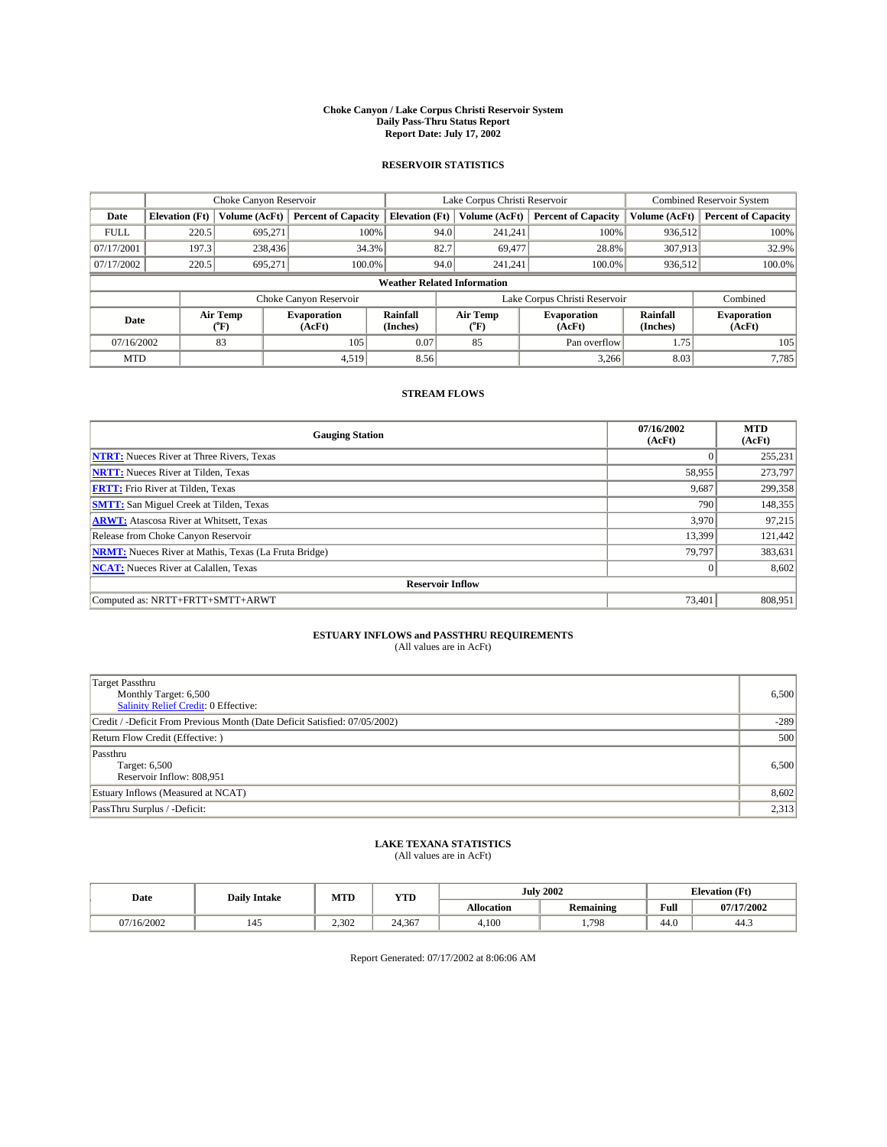#### **Choke Canyon / Lake Corpus Christi Reservoir System Daily Pass-Thru Status Report Report Date: July 17, 2002**

### **RESERVOIR STATISTICS**

|             | Choke Canyon Reservoir             |                  | Lake Corpus Christi Reservoir |                       |                               |                          | <b>Combined Reservoir System</b> |                      |                              |  |
|-------------|------------------------------------|------------------|-------------------------------|-----------------------|-------------------------------|--------------------------|----------------------------------|----------------------|------------------------------|--|
| Date        | <b>Elevation</b> (Ft)              | Volume (AcFt)    | <b>Percent of Capacity</b>    | <b>Elevation (Ft)</b> |                               | Volume (AcFt)            | <b>Percent of Capacity</b>       | Volume (AcFt)        | <b>Percent of Capacity</b>   |  |
| <b>FULL</b> | 220.5                              | 695,271          |                               | 100%                  | 94.0                          | 241,241                  | 100%                             | 936.512              | 100%                         |  |
| 07/17/2001  | 197.3                              | 238,436          | 34.3%                         |                       | 82.7                          | 69,477                   | 28.8%                            | 307,913              | 32.9%                        |  |
| 07/17/2002  | 220.5                              | 695.271          | 100.0%                        |                       | 94.0                          | 241.241                  | $100.0\%$                        | 936,512              | 100.0%                       |  |
|             | <b>Weather Related Information</b> |                  |                               |                       |                               |                          |                                  |                      |                              |  |
|             |                                    |                  | Choke Canyon Reservoir        |                       | Lake Corpus Christi Reservoir |                          |                                  |                      | Combined                     |  |
| Date        |                                    | Air Temp<br>(°F) | <b>Evaporation</b><br>(AcFt)  | Rainfall<br>(Inches)  |                               | Air Temp<br>$\rm ^{o}F)$ | <b>Evaporation</b><br>(AcFt)     | Rainfall<br>(Inches) | <b>Evaporation</b><br>(AcFt) |  |
| 07/16/2002  |                                    | 83               | 105                           | 0.07                  |                               | 85                       | Pan overflow                     | 1.75                 | 105                          |  |
| <b>MTD</b>  |                                    |                  | 4,519                         | 8.56                  |                               |                          | 3,266                            | 8.03                 | 7,785                        |  |

## **STREAM FLOWS**

| <b>Gauging Station</b>                                       | 07/16/2002<br>(AcFt) | <b>MTD</b><br>(AcFt) |  |  |  |  |  |
|--------------------------------------------------------------|----------------------|----------------------|--|--|--|--|--|
| <b>NTRT:</b> Nueces River at Three Rivers, Texas             |                      | 255,231              |  |  |  |  |  |
| <b>NRTT:</b> Nueces River at Tilden, Texas                   | 58,955               | 273,797              |  |  |  |  |  |
| <b>FRTT:</b> Frio River at Tilden, Texas                     | 9,687                | 299,358              |  |  |  |  |  |
| <b>SMTT:</b> San Miguel Creek at Tilden, Texas               | 790                  | 148,355              |  |  |  |  |  |
| <b>ARWT:</b> Atascosa River at Whitsett, Texas               | 3,970                | 97,215               |  |  |  |  |  |
| Release from Choke Canyon Reservoir                          | 13,399               | 121,442              |  |  |  |  |  |
| <b>NRMT:</b> Nueces River at Mathis, Texas (La Fruta Bridge) | 79.797               | 383,631              |  |  |  |  |  |
| <b>NCAT:</b> Nueces River at Calallen, Texas                 |                      | 8,602                |  |  |  |  |  |
| <b>Reservoir Inflow</b>                                      |                      |                      |  |  |  |  |  |
| Computed as: NRTT+FRTT+SMTT+ARWT                             | 73.401               | 808,951              |  |  |  |  |  |

## **ESTUARY INFLOWS and PASSTHRU REQUIREMENTS**

(All values are in AcFt)

| <b>Target Passthru</b><br>Monthly Target: 6,500<br><b>Salinity Relief Credit: 0 Effective:</b> | 6,500  |
|------------------------------------------------------------------------------------------------|--------|
| Credit / -Deficit From Previous Month (Date Deficit Satisfied: 07/05/2002)                     | $-289$ |
| Return Flow Credit (Effective:)                                                                | 500    |
| Passthru<br>Target: 6,500<br>Reservoir Inflow: 808,951                                         | 6,500  |
| Estuary Inflows (Measured at NCAT)                                                             | 8,602  |
| PassThru Surplus / -Deficit:                                                                   | 2,313  |

## **LAKE TEXANA STATISTICS** (All values are in AcFt)

| Date     | <b>Daily Intake</b> | MTD   | <b>YTD</b> |                   | <b>July 2002</b> | <b>Elevation</b> (Ft) |            |
|----------|---------------------|-------|------------|-------------------|------------------|-----------------------|------------|
|          |                     |       |            | <b>Allocation</b> | <b>Remaining</b> | Full                  | 07/17/2002 |
| /16/2002 | 145                 | 2.302 | 24.367     | 4,100             | . ,798           | $\sqrt{ }$<br>44.0    | 44.3       |

Report Generated: 07/17/2002 at 8:06:06 AM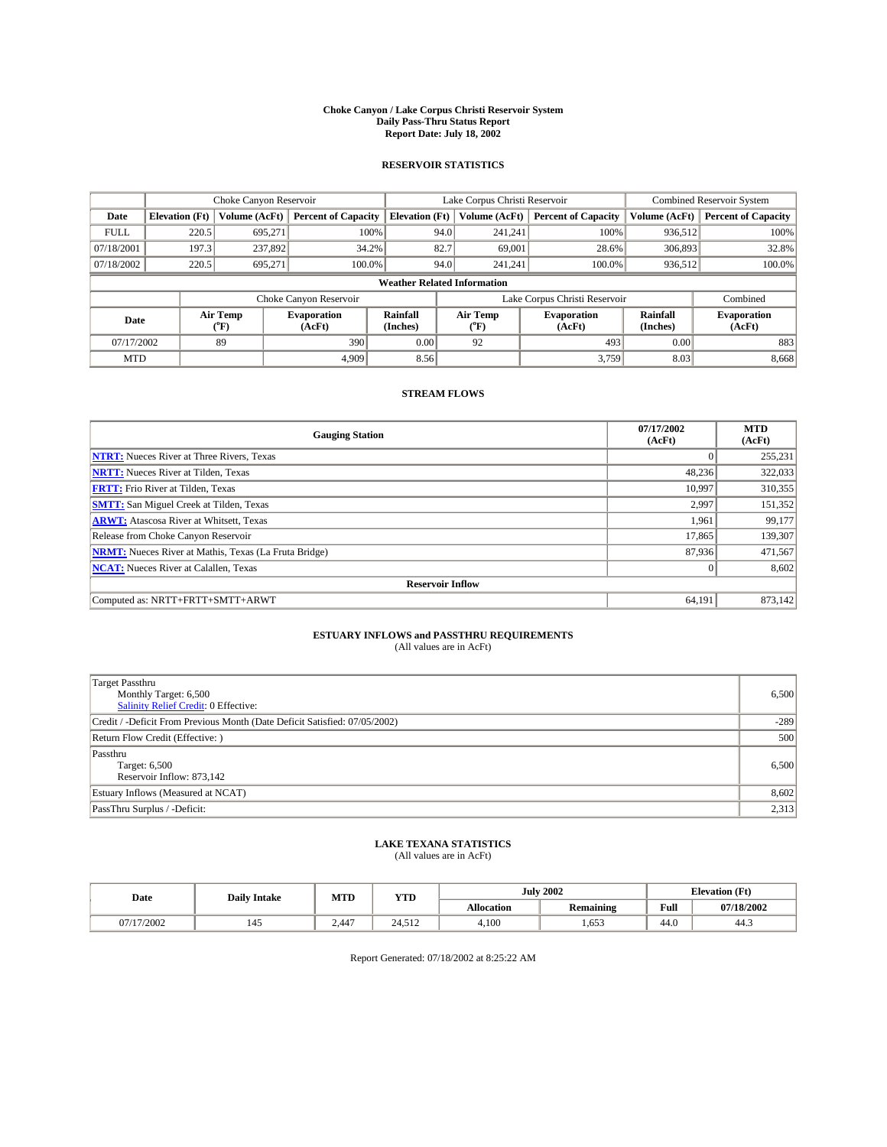#### **Choke Canyon / Lake Corpus Christi Reservoir System Daily Pass-Thru Status Report Report Date: July 18, 2002**

### **RESERVOIR STATISTICS**

|             | Choke Canyon Reservoir             |                  | Lake Corpus Christi Reservoir |                             |                               |                  | Combined Reservoir System    |                      |                              |  |
|-------------|------------------------------------|------------------|-------------------------------|-----------------------------|-------------------------------|------------------|------------------------------|----------------------|------------------------------|--|
| Date        | <b>Elevation</b> (Ft)              | Volume (AcFt)    | <b>Percent of Capacity</b>    | <b>Elevation</b> (Ft)       |                               | Volume (AcFt)    | <b>Percent of Capacity</b>   | Volume (AcFt)        | <b>Percent of Capacity</b>   |  |
| <b>FULL</b> | 220.5                              | 695,271          |                               | 100%                        | 94.0                          | 241,241          | 100%                         | 936.512              | 100%                         |  |
| 07/18/2001  | 197.3                              | 237,892          | 34.2%                         |                             | 82.7                          | 69,001           | 28.6%                        | 306,893              | 32.8%                        |  |
| 07/18/2002  | 220.5                              | 695.271          | 100.0%                        |                             | 94.0                          | 241.241          | $100.0\%$                    | 936,512              | 100.0%                       |  |
|             | <b>Weather Related Information</b> |                  |                               |                             |                               |                  |                              |                      |                              |  |
|             |                                    |                  | Choke Canyon Reservoir        |                             | Lake Corpus Christi Reservoir |                  |                              |                      | Combined                     |  |
| Date        |                                    | Air Temp<br>(°F) | <b>Evaporation</b><br>(AcFt)  | <b>Rainfall</b><br>(Inches) |                               | Air Temp<br>("F) | <b>Evaporation</b><br>(AcFt) | Rainfall<br>(Inches) | <b>Evaporation</b><br>(AcFt) |  |
| 07/17/2002  |                                    | 89               | 390                           | 0.00                        |                               | 92               | 493                          | 0.00                 | 883                          |  |
| <b>MTD</b>  |                                    |                  | 4.909                         | 8.56                        |                               |                  | 3,759                        | 8.03                 | 8,668                        |  |

### **STREAM FLOWS**

| <b>Gauging Station</b>                                       | 07/17/2002<br>(AcFt) | <b>MTD</b><br>(AcFt) |  |  |  |  |  |
|--------------------------------------------------------------|----------------------|----------------------|--|--|--|--|--|
| <b>NTRT:</b> Nueces River at Three Rivers, Texas             |                      | 255,231              |  |  |  |  |  |
| <b>NRTT:</b> Nueces River at Tilden, Texas                   | 48,236               | 322,033              |  |  |  |  |  |
| <b>FRTT:</b> Frio River at Tilden, Texas                     | 10,997               | 310,355              |  |  |  |  |  |
| <b>SMTT:</b> San Miguel Creek at Tilden, Texas               | 2.997                | 151,352              |  |  |  |  |  |
| <b>ARWT:</b> Atascosa River at Whitsett, Texas               | 1,961                | 99,177               |  |  |  |  |  |
| Release from Choke Canyon Reservoir                          | 17,865               | 139,307              |  |  |  |  |  |
| <b>NRMT:</b> Nueces River at Mathis, Texas (La Fruta Bridge) | 87,936               | 471,567              |  |  |  |  |  |
| <b>NCAT:</b> Nueces River at Calallen, Texas                 |                      | 8,602                |  |  |  |  |  |
| <b>Reservoir Inflow</b>                                      |                      |                      |  |  |  |  |  |
| Computed as: NRTT+FRTT+SMTT+ARWT                             | 64,191               | 873,142              |  |  |  |  |  |

## **ESTUARY INFLOWS and PASSTHRU REQUIREMENTS**

(All values are in AcFt)

| <b>Target Passthru</b><br>Monthly Target: 6,500<br>Salinity Relief Credit: 0 Effective: | 6,500  |
|-----------------------------------------------------------------------------------------|--------|
| Credit / -Deficit From Previous Month (Date Deficit Satisfied: 07/05/2002)              | $-289$ |
| Return Flow Credit (Effective:)                                                         | 500    |
| Passthru<br>Target: 6,500<br>Reservoir Inflow: 873,142                                  | 6,500  |
| Estuary Inflows (Measured at NCAT)                                                      | 8,602  |
| PassThru Surplus / -Deficit:                                                            | 2,313  |

# **LAKE TEXANA STATISTICS** (All values are in AcFt)

| Date    | <b>Daily Intake</b> | MTD   | <b>YTD</b> |                   | <b>July 2002</b> |                    | <b>Elevation</b> (Ft) |
|---------|---------------------|-------|------------|-------------------|------------------|--------------------|-----------------------|
|         |                     |       |            | <b>Allocation</b> | <b>Remaining</b> | Full               | 07/18/2002            |
| 17/2002 | 145                 | 2.447 | 24.512     | 4,100             | .653             | $\sqrt{ }$<br>44.0 | 44.3                  |

Report Generated: 07/18/2002 at 8:25:22 AM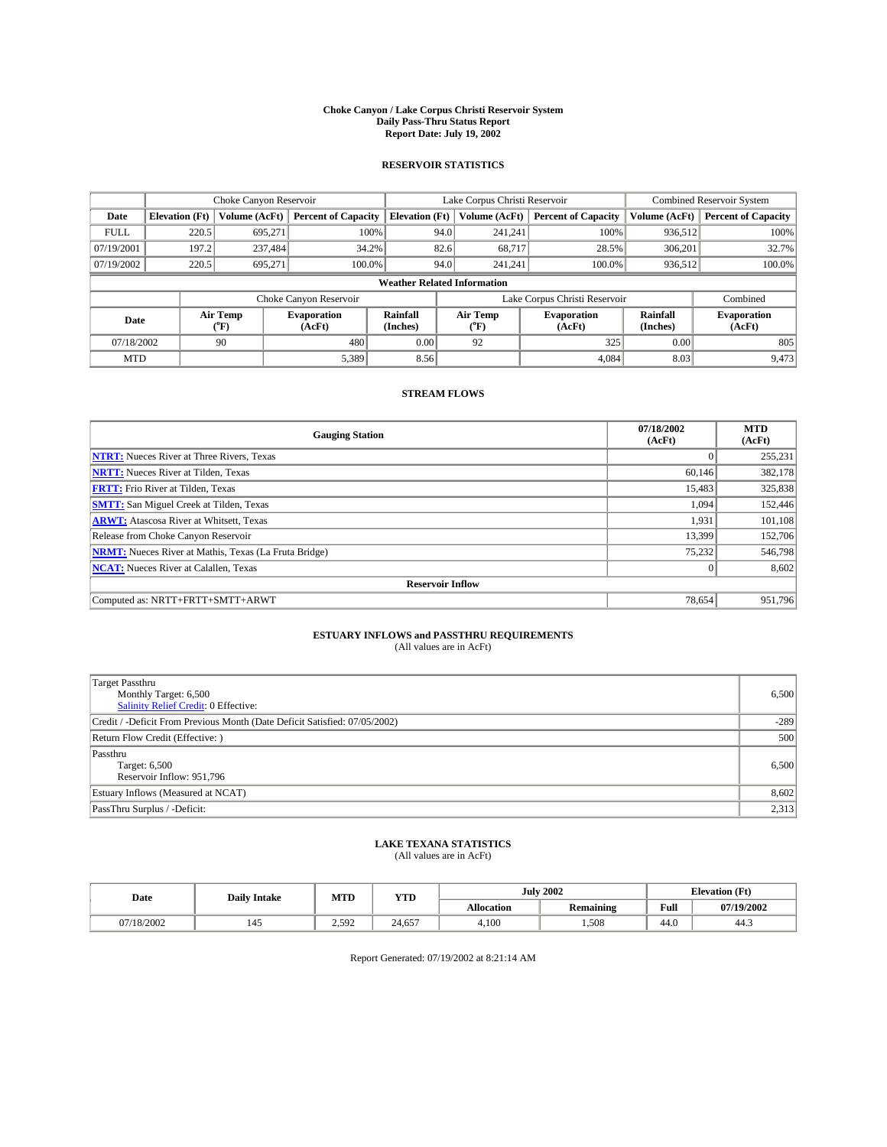#### **Choke Canyon / Lake Corpus Christi Reservoir System Daily Pass-Thru Status Report Report Date: July 19, 2002**

### **RESERVOIR STATISTICS**

|             | Choke Canyon Reservoir             |                  | Lake Corpus Christi Reservoir |                       |                               |                  | <b>Combined Reservoir System</b> |                      |                              |
|-------------|------------------------------------|------------------|-------------------------------|-----------------------|-------------------------------|------------------|----------------------------------|----------------------|------------------------------|
| Date        | <b>Elevation</b> (Ft)              | Volume (AcFt)    | <b>Percent of Capacity</b>    | <b>Elevation (Ft)</b> |                               | Volume (AcFt)    | <b>Percent of Capacity</b>       | Volume (AcFt)        | <b>Percent of Capacity</b>   |
| <b>FULL</b> | 220.5                              | 695,271          | 100%                          |                       | 94.0                          | 241,241          | 100%                             | 936.512              | 100%                         |
| 07/19/2001  | 197.2                              | 237.484          | $34.2\%$                      |                       | 82.6                          | 68.717           | 28.5%                            | 306.201              | 32.7%                        |
| 07/19/2002  | 220.5                              | 695.271          | 100.0%                        |                       | 94.0                          | 241.241          | $100.0\%$                        | 936,512              | 100.0%                       |
|             | <b>Weather Related Information</b> |                  |                               |                       |                               |                  |                                  |                      |                              |
|             |                                    |                  | Choke Canyon Reservoir        |                       | Lake Corpus Christi Reservoir |                  |                                  |                      | Combined                     |
| Date        |                                    | Air Temp<br>(°F) | <b>Evaporation</b><br>(AcFt)  | Rainfall<br>(Inches)  |                               | Air Temp<br>("F) | <b>Evaporation</b><br>(AcFt)     | Rainfall<br>(Inches) | <b>Evaporation</b><br>(AcFt) |
| 07/18/2002  |                                    | 90               | 480                           | 0.00                  |                               | 92               | 325                              | 0.00                 | 805                          |
| <b>MTD</b>  |                                    |                  | 5,389                         | 8.56                  |                               |                  | 4,084                            | 8.03                 | 9,473                        |

## **STREAM FLOWS**

| <b>Gauging Station</b>                                       | 07/18/2002<br>(AcFt) | <b>MTD</b><br>(AcFt) |  |  |  |  |  |
|--------------------------------------------------------------|----------------------|----------------------|--|--|--|--|--|
| <b>NTRT:</b> Nueces River at Three Rivers, Texas             |                      | 255,231              |  |  |  |  |  |
| <b>NRTT:</b> Nueces River at Tilden, Texas                   | 60.146               | 382,178              |  |  |  |  |  |
| <b>FRTT:</b> Frio River at Tilden, Texas                     | 15,483               | 325,838              |  |  |  |  |  |
| <b>SMTT:</b> San Miguel Creek at Tilden, Texas               | 1,094                | 152,446              |  |  |  |  |  |
| <b>ARWT:</b> Atascosa River at Whitsett, Texas               | 1,931                | 101,108              |  |  |  |  |  |
| Release from Choke Canyon Reservoir                          | 13,399               | 152,706              |  |  |  |  |  |
| <b>NRMT:</b> Nueces River at Mathis, Texas (La Fruta Bridge) | 75,232               | 546,798              |  |  |  |  |  |
| <b>NCAT:</b> Nueces River at Calallen, Texas                 |                      | 8,602                |  |  |  |  |  |
| <b>Reservoir Inflow</b>                                      |                      |                      |  |  |  |  |  |
| Computed as: NRTT+FRTT+SMTT+ARWT                             | 78.654               | 951.796              |  |  |  |  |  |

## **ESTUARY INFLOWS and PASSTHRU REQUIREMENTS**

(All values are in AcFt)

| <b>Target Passthru</b><br>Monthly Target: 6,500<br><b>Salinity Relief Credit: 0 Effective:</b> | 6,500  |
|------------------------------------------------------------------------------------------------|--------|
| Credit / -Deficit From Previous Month (Date Deficit Satisfied: 07/05/2002)                     | $-289$ |
| Return Flow Credit (Effective:)                                                                | 500    |
| Passthru<br>Target: 6,500<br>Reservoir Inflow: 951,796                                         | 6,500  |
| Estuary Inflows (Measured at NCAT)                                                             | 8,602  |
| PassThru Surplus / -Deficit:                                                                   | 2,313  |

## **LAKE TEXANA STATISTICS** (All values are in AcFt)

| Date       | <b>Daily Intake</b> | MTD<br><b>YTD</b> |        |                   | <b>July 2002</b> |      | <b>Elevation</b> (Ft) |
|------------|---------------------|-------------------|--------|-------------------|------------------|------|-----------------------|
|            |                     |                   |        | <b>Allocation</b> | Remaining        | Full | 07/19/2002            |
| 07/18/2002 | 145                 | 2.592             | 24,657 | 4,100             | 1,508            | 44.0 | 44.3                  |

Report Generated: 07/19/2002 at 8:21:14 AM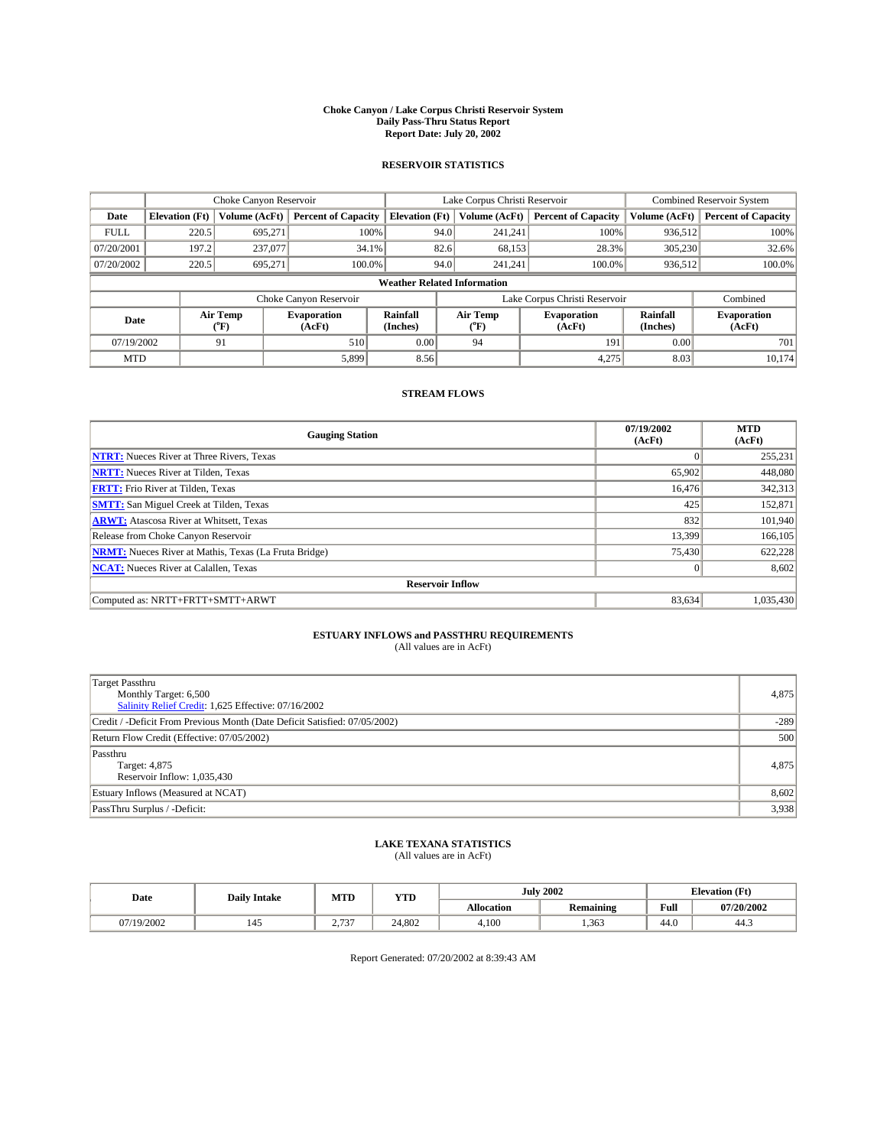#### **Choke Canyon / Lake Corpus Christi Reservoir System Daily Pass-Thru Status Report Report Date: July 20, 2002**

### **RESERVOIR STATISTICS**

|             | Choke Canyon Reservoir |                                    | Lake Corpus Christi Reservoir |                                    |                               |                  | Combined Reservoir System    |                      |                              |
|-------------|------------------------|------------------------------------|-------------------------------|------------------------------------|-------------------------------|------------------|------------------------------|----------------------|------------------------------|
| Date        | <b>Elevation</b> (Ft)  | Volume (AcFt)                      | <b>Percent of Capacity</b>    | <b>Elevation</b> (Ft)              |                               | Volume (AcFt)    | <b>Percent of Capacity</b>   | Volume (AcFt)        | <b>Percent of Capacity</b>   |
| <b>FULL</b> | 220.5                  | 695,271                            | 100%                          |                                    | 94.0                          | 241,241          | 100%                         | 936.512              | 100%                         |
| 07/20/2001  | 197.2                  | 237,077                            | $34.1\%$                      |                                    | 82.6                          | 68,153           | 28.3%                        | 305.230              | 32.6%                        |
| 07/20/2002  | 220.5                  | 695.271                            | $100.0\%$                     |                                    | 94.0                          | 241,241          | $100.0\%$                    | 936,512              | 100.0%                       |
|             |                        |                                    |                               | <b>Weather Related Information</b> |                               |                  |                              |                      |                              |
|             |                        |                                    | Choke Canyon Reservoir        |                                    | Lake Corpus Christi Reservoir |                  |                              |                      | Combined                     |
| Date        |                        | Air Temp<br>${}^{\prime\prime}$ F) | <b>Evaporation</b><br>(AcFt)  | Rainfall<br>(Inches)               |                               | Air Temp<br>("F) | <b>Evaporation</b><br>(AcFt) | Rainfall<br>(Inches) | <b>Evaporation</b><br>(AcFt) |
| 07/19/2002  |                        | 91                                 | 510                           | 0.00                               |                               | 94               | 191                          | 0.00                 | 701                          |
| <b>MTD</b>  |                        |                                    | 5,899                         | 8.56                               |                               |                  | 4,275                        | 8.03                 | 10.174                       |

### **STREAM FLOWS**

| <b>Gauging Station</b>                                       | 07/19/2002<br>(AcFt) | <b>MTD</b><br>(AcFt) |  |  |  |  |  |
|--------------------------------------------------------------|----------------------|----------------------|--|--|--|--|--|
| <b>NTRT:</b> Nueces River at Three Rivers, Texas             |                      | 255,231              |  |  |  |  |  |
| <b>NRTT:</b> Nueces River at Tilden, Texas                   | 65.902               | 448,080              |  |  |  |  |  |
| <b>FRTT:</b> Frio River at Tilden, Texas                     | 16,476               | 342,313              |  |  |  |  |  |
| <b>SMTT:</b> San Miguel Creek at Tilden, Texas               | 425                  | 152,871              |  |  |  |  |  |
| <b>ARWT:</b> Atascosa River at Whitsett, Texas               | 832                  | 101,940              |  |  |  |  |  |
| Release from Choke Canyon Reservoir                          | 13.399               | 166,105              |  |  |  |  |  |
| <b>NRMT:</b> Nueces River at Mathis, Texas (La Fruta Bridge) | 75,430               | 622,228              |  |  |  |  |  |
| <b>NCAT:</b> Nueces River at Calallen, Texas                 | $\Omega$             | 8,602                |  |  |  |  |  |
| <b>Reservoir Inflow</b>                                      |                      |                      |  |  |  |  |  |
| Computed as: NRTT+FRTT+SMTT+ARWT                             | 83,634               | 1,035,430            |  |  |  |  |  |

## **ESTUARY INFLOWS and PASSTHRU REQUIREMENTS**

(All values are in AcFt)

| <b>Target Passthru</b><br>Monthly Target: 6,500<br>Salinity Relief Credit: 1,625 Effective: 07/16/2002 | 4,875  |
|--------------------------------------------------------------------------------------------------------|--------|
| Credit / -Deficit From Previous Month (Date Deficit Satisfied: 07/05/2002)                             | $-289$ |
| Return Flow Credit (Effective: 07/05/2002)                                                             | 500    |
| Passthru<br>Target: 4,875<br>Reservoir Inflow: 1,035,430                                               | 4,875  |
| Estuary Inflows (Measured at NCAT)                                                                     | 8,602  |
| PassThru Surplus / -Deficit:                                                                           | 3,938  |

# **LAKE TEXANA STATISTICS** (All values are in AcFt)

| Date    | <b>Daily Intake</b> | MTD                                | <b>YTD</b> | <b>July 2002</b>  |                                   |                    | <b>Elevation</b> (Ft) |
|---------|---------------------|------------------------------------|------------|-------------------|-----------------------------------|--------------------|-----------------------|
|         |                     |                                    |            | <b>Allocation</b> | $\sim$ $\sim$<br><b>Remaining</b> | Full               | 07/20/2002            |
| 19/2002 | 145                 | $\overline{22}$<br><u>.</u><br>. ت | 24.802     | 4,100             | .363                              | $\sqrt{ }$<br>44.0 | 44.3                  |

Report Generated: 07/20/2002 at 8:39:43 AM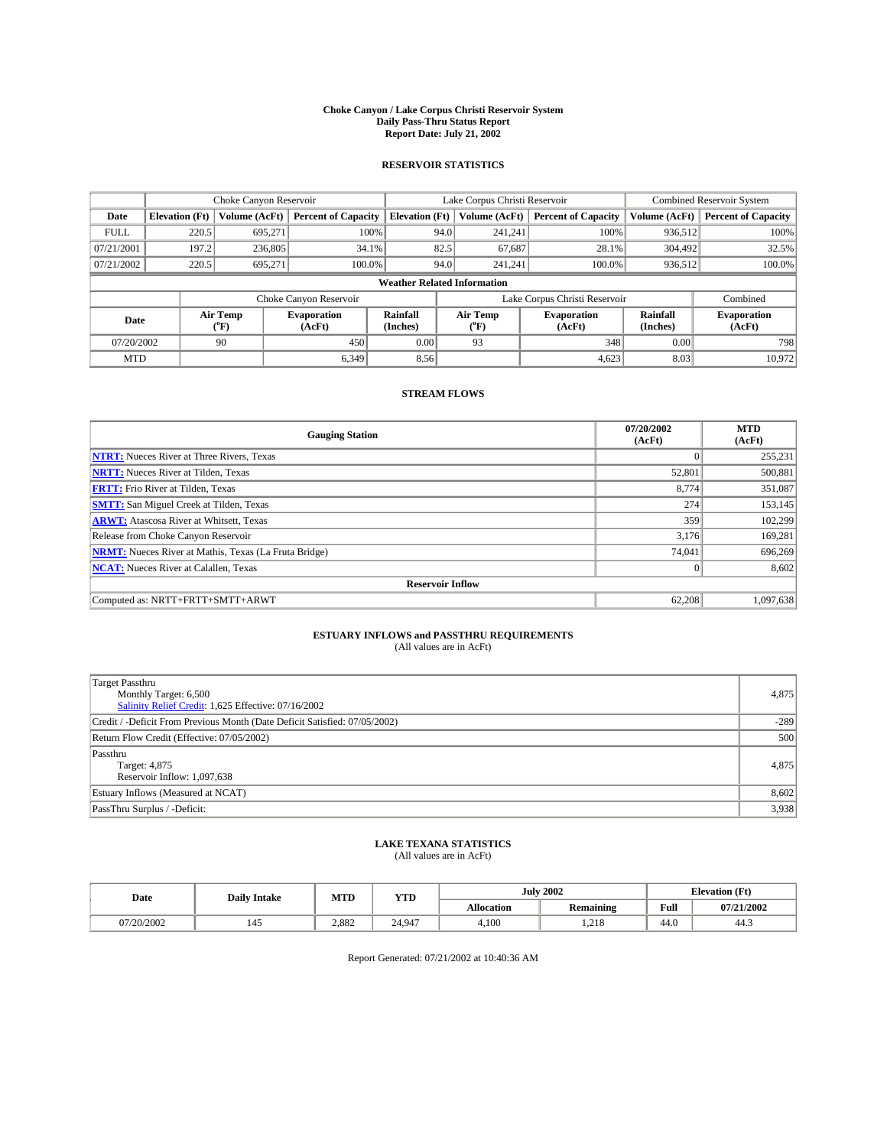#### **Choke Canyon / Lake Corpus Christi Reservoir System Daily Pass-Thru Status Report Report Date: July 21, 2002**

### **RESERVOIR STATISTICS**

|             |                                    | Choke Canyon Reservoir             |                              |                             | Lake Corpus Christi Reservoir | <b>Combined Reservoir System</b> |                      |                              |  |
|-------------|------------------------------------|------------------------------------|------------------------------|-----------------------------|-------------------------------|----------------------------------|----------------------|------------------------------|--|
| Date        | <b>Elevation</b> (Ft)              | Volume (AcFt)                      | <b>Percent of Capacity</b>   | <b>Elevation</b> (Ft)       | Volume (AcFt)                 | <b>Percent of Capacity</b>       | Volume (AcFt)        | <b>Percent of Capacity</b>   |  |
| <b>FULL</b> | 220.5                              | 695,271                            | 100%                         | 94.0                        | 241,241                       | 100%                             | 936,512              | 100%                         |  |
| 07/21/2001  | 197.2                              | 236,805                            | $34.1\%$                     | 82.5                        | 67,687                        | 28.1%                            | 304.492              | 32.5%                        |  |
| 07/21/2002  | 220.5                              | 695,271                            | 100.0%                       | 94.0                        | 241,241                       | $100.0\%$                        | 936,512              | 100.0%                       |  |
|             | <b>Weather Related Information</b> |                                    |                              |                             |                               |                                  |                      |                              |  |
|             |                                    |                                    | Choke Canyon Reservoir       |                             | Lake Corpus Christi Reservoir |                                  |                      | Combined                     |  |
| Date        |                                    | Air Temp<br>${}^{\prime\prime}$ F) | <b>Evaporation</b><br>(AcFt) | <b>Rainfall</b><br>(Inches) | Air Temp<br>("F)              | <b>Evaporation</b><br>(AcFt)     | Rainfall<br>(Inches) | <b>Evaporation</b><br>(AcFt) |  |
| 07/20/2002  |                                    | 90                                 | 450                          | 0.00                        | 93                            | 348                              | 0.00                 | 798                          |  |
| <b>MTD</b>  |                                    |                                    | 6.349                        | 8.56                        |                               | 4,623                            | 8.03                 | 10.972                       |  |

## **STREAM FLOWS**

| <b>Gauging Station</b>                                       | 07/20/2002<br>(AcFt) | <b>MTD</b><br>(AcFt) |  |  |  |  |  |
|--------------------------------------------------------------|----------------------|----------------------|--|--|--|--|--|
| <b>NTRT:</b> Nueces River at Three Rivers, Texas             | $\Omega$             | 255,231              |  |  |  |  |  |
| <b>NRTT:</b> Nueces River at Tilden, Texas                   | 52,801               | 500,881              |  |  |  |  |  |
| <b>FRTT:</b> Frio River at Tilden, Texas                     | 8,774                | 351,087              |  |  |  |  |  |
| <b>SMTT:</b> San Miguel Creek at Tilden, Texas               | 274                  | 153,145              |  |  |  |  |  |
| <b>ARWT:</b> Atascosa River at Whitsett, Texas               | 359                  | 102,299              |  |  |  |  |  |
| Release from Choke Canyon Reservoir                          | 3.176                | 169,281              |  |  |  |  |  |
| <b>NRMT:</b> Nueces River at Mathis, Texas (La Fruta Bridge) | 74,041               | 696,269              |  |  |  |  |  |
| <b>NCAT:</b> Nueces River at Calallen, Texas                 | $\mathbf{0}$         | 8,602                |  |  |  |  |  |
| <b>Reservoir Inflow</b>                                      |                      |                      |  |  |  |  |  |
| Computed as: NRTT+FRTT+SMTT+ARWT                             | 62,208               | 1.097.638            |  |  |  |  |  |

## **ESTUARY INFLOWS and PASSTHRU REQUIREMENTS**

(All values are in AcFt)

| <b>Target Passthru</b><br>Monthly Target: 6,500<br>Salinity Relief Credit: 1,625 Effective: 07/16/2002 | 4,875  |
|--------------------------------------------------------------------------------------------------------|--------|
| Credit / -Deficit From Previous Month (Date Deficit Satisfied: 07/05/2002)                             | $-289$ |
| Return Flow Credit (Effective: 07/05/2002)                                                             | 500    |
| Passthru<br>Target: 4,875<br>Reservoir Inflow: 1,097,638                                               | 4,875  |
| Estuary Inflows (Measured at NCAT)                                                                     | 8,602  |
| PassThru Surplus / -Deficit:                                                                           | 3,938  |

# **LAKE TEXANA STATISTICS** (All values are in AcFt)

| Date       | <b>Daily Intake</b> | MTD   | <b>YTD</b> |                   | <b>July 2002</b> | <b>Elevation</b> (Ft) |            |
|------------|---------------------|-------|------------|-------------------|------------------|-----------------------|------------|
|            |                     |       |            | <b>Allocation</b> | Remaining        | Full                  | 07/21/2002 |
| 07/20/2002 | 142                 | 2.882 | 24.947     | 4,100             | 1.218            | $\sim$<br>44.V        | 44.5       |

Report Generated: 07/21/2002 at 10:40:36 AM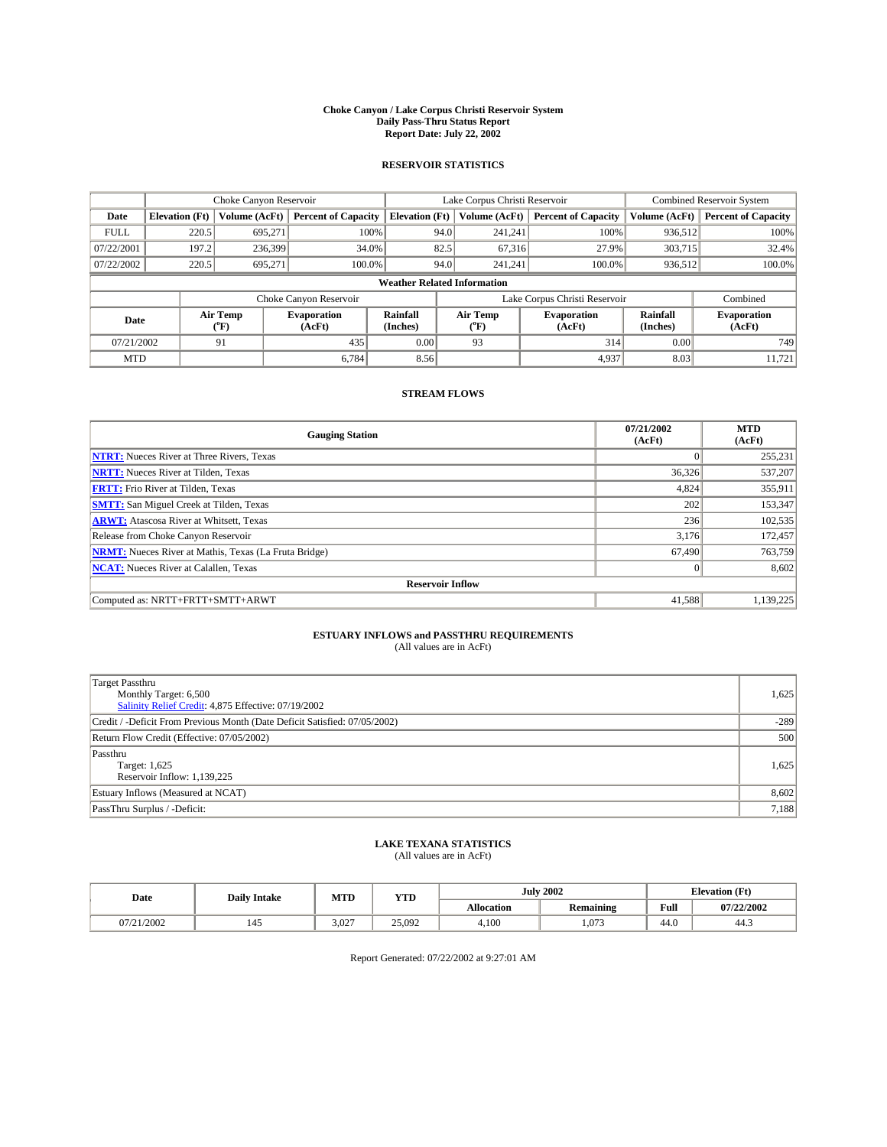#### **Choke Canyon / Lake Corpus Christi Reservoir System Daily Pass-Thru Status Report Report Date: July 22, 2002**

### **RESERVOIR STATISTICS**

|             | Choke Canyon Reservoir |                  |                              |                                    | Lake Corpus Christi Reservoir |                  |                              |                      | Combined Reservoir System    |  |
|-------------|------------------------|------------------|------------------------------|------------------------------------|-------------------------------|------------------|------------------------------|----------------------|------------------------------|--|
| Date        | <b>Elevation</b> (Ft)  | Volume (AcFt)    | <b>Percent of Capacity</b>   | <b>Elevation</b> (Ft)              |                               | Volume (AcFt)    | <b>Percent of Capacity</b>   | Volume (AcFt)        | <b>Percent of Capacity</b>   |  |
| <b>FULL</b> | 220.5                  | 695,271          |                              | 100%                               | 94.0                          | 241,241          | 100%                         | 936.512              | 100%                         |  |
| 07/22/2001  | 197.2                  | 236,399          | 34.0%                        |                                    | 82.5                          | 67.316           | 27.9%                        | 303,715              | 32.4%                        |  |
| 07/22/2002  | 220.5                  | 695.271          | 100.0%                       |                                    | 94.0                          | 241.241          | $100.0\%$                    | 936,512              | 100.0%                       |  |
|             |                        |                  |                              | <b>Weather Related Information</b> |                               |                  |                              |                      |                              |  |
|             |                        |                  | Choke Canyon Reservoir       |                                    | Lake Corpus Christi Reservoir |                  |                              |                      | Combined                     |  |
| Date        |                        | Air Temp<br>(°F) | <b>Evaporation</b><br>(AcFt) | <b>Rainfall</b><br>(Inches)        |                               | Air Temp<br>("F) | <b>Evaporation</b><br>(AcFt) | Rainfall<br>(Inches) | <b>Evaporation</b><br>(AcFt) |  |
| 07/21/2002  |                        | 91               | 435                          | 0.00                               |                               | 93               | 314                          | 0.00                 | 749                          |  |
| <b>MTD</b>  |                        |                  | 6.784                        | 8.56                               |                               |                  | 4,937                        | 8.03                 | 11,721                       |  |

## **STREAM FLOWS**

| <b>Gauging Station</b>                                       | 07/21/2002<br>(AcFt) | <b>MTD</b><br>(AcFt) |  |  |  |  |  |
|--------------------------------------------------------------|----------------------|----------------------|--|--|--|--|--|
| <b>NTRT:</b> Nueces River at Three Rivers, Texas             |                      | 255,231              |  |  |  |  |  |
| <b>NRTT:</b> Nueces River at Tilden, Texas                   | 36,326               | 537,207              |  |  |  |  |  |
| <b>FRTT:</b> Frio River at Tilden, Texas                     | 4,824                | 355,911              |  |  |  |  |  |
| <b>SMTT:</b> San Miguel Creek at Tilden, Texas               | 202                  | 153,347              |  |  |  |  |  |
| <b>ARWT:</b> Atascosa River at Whitsett, Texas               | 236                  | 102,535              |  |  |  |  |  |
| Release from Choke Canyon Reservoir                          | 3,176                | 172,457              |  |  |  |  |  |
| <b>NRMT:</b> Nueces River at Mathis, Texas (La Fruta Bridge) | 67,490               | 763,759              |  |  |  |  |  |
| <b>NCAT:</b> Nueces River at Calallen, Texas                 | $\Omega$             | 8,602                |  |  |  |  |  |
| <b>Reservoir Inflow</b>                                      |                      |                      |  |  |  |  |  |
| Computed as: NRTT+FRTT+SMTT+ARWT                             | 41,588               | 1,139,225            |  |  |  |  |  |

## **ESTUARY INFLOWS and PASSTHRU REQUIREMENTS**

(All values are in AcFt)

| <b>Target Passthru</b><br>Monthly Target: 6,500<br>Salinity Relief Credit: 4,875 Effective: 07/19/2002 | 1,625  |
|--------------------------------------------------------------------------------------------------------|--------|
| Credit / -Deficit From Previous Month (Date Deficit Satisfied: 07/05/2002)                             | $-289$ |
| Return Flow Credit (Effective: 07/05/2002)                                                             | 500    |
| Passthru<br>Target: 1,625<br>Reservoir Inflow: 1,139,225                                               | 1,625  |
| Estuary Inflows (Measured at NCAT)                                                                     | 8,602  |
| PassThru Surplus / -Deficit:                                                                           | 7,188  |

# **LAKE TEXANA STATISTICS** (All values are in AcFt)

| Date       | <b>Daily Intake</b> | MTD   | <b>YTD</b> |                   | <b>July 2002</b>                  | <b>Elevation</b> (Ft) |            |
|------------|---------------------|-------|------------|-------------------|-----------------------------------|-----------------------|------------|
|            |                     |       |            | <b>Allocation</b> | $\sim$ $\sim$<br><b>Remaining</b> | Full                  | 07/22/2002 |
| 07/21/2002 | 145                 | 3.027 | 25.092     | 4,100             | .073                              | $\sqrt{ }$<br>44.0    | 44.3       |

Report Generated: 07/22/2002 at 9:27:01 AM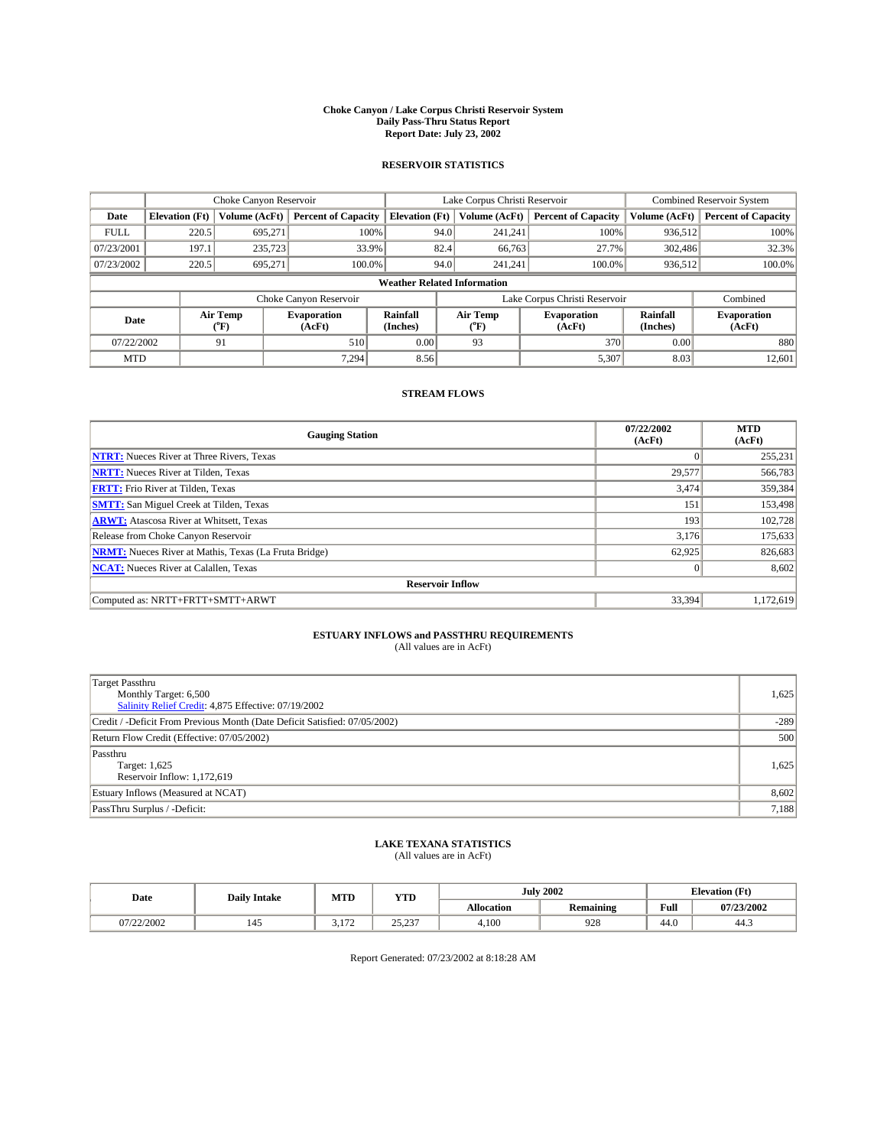#### **Choke Canyon / Lake Corpus Christi Reservoir System Daily Pass-Thru Status Report Report Date: July 23, 2002**

### **RESERVOIR STATISTICS**

|             | Choke Canyon Reservoir |                  | Lake Corpus Christi Reservoir |                                    |                               |                  | <b>Combined Reservoir System</b> |                             |                              |
|-------------|------------------------|------------------|-------------------------------|------------------------------------|-------------------------------|------------------|----------------------------------|-----------------------------|------------------------------|
| Date        | <b>Elevation</b> (Ft)  | Volume (AcFt)    | <b>Percent of Capacity</b>    | <b>Elevation</b> (Ft)              |                               | Volume (AcFt)    | <b>Percent of Capacity</b>       | Volume (AcFt)               | <b>Percent of Capacity</b>   |
| <b>FULL</b> | 220.5                  | 695,271          | 100%                          |                                    | 94.0                          | 241,241          | 100%                             | 936,512                     | 100%                         |
| 07/23/2001  | 197.1                  | 235,723          | 33.9%                         |                                    | 82.4                          | 66.763           | 27.7%                            | 302,486                     | 32.3%                        |
| 07/23/2002  | 220.5                  | 695.271          | $100.0\%$                     |                                    | 94.0                          | 241.241          | $100.0\%$                        | 936,512                     | 100.0%                       |
|             |                        |                  |                               | <b>Weather Related Information</b> |                               |                  |                                  |                             |                              |
|             |                        |                  | Choke Canyon Reservoir        |                                    | Lake Corpus Christi Reservoir |                  |                                  |                             | Combined                     |
| Date        |                        | Air Temp<br>(°F) | <b>Evaporation</b><br>(AcFt)  | <b>Rainfall</b><br>(Inches)        |                               | Air Temp<br>("F) | <b>Evaporation</b><br>(AcFt)     | <b>Rainfall</b><br>(Inches) | <b>Evaporation</b><br>(AcFt) |
| 07/22/2002  |                        | 91               | 510                           | 0.00                               |                               | 93               | 370                              | 0.00                        | 880                          |
| <b>MTD</b>  |                        |                  | 7,294                         | 8.56                               |                               |                  | 5,307                            | 8.03                        | 12,601                       |

## **STREAM FLOWS**

| <b>Gauging Station</b>                                       | 07/22/2002<br>(AcFt) | <b>MTD</b><br>(AcFt) |  |  |  |  |  |  |
|--------------------------------------------------------------|----------------------|----------------------|--|--|--|--|--|--|
| <b>NTRT:</b> Nueces River at Three Rivers, Texas             |                      | 255,231              |  |  |  |  |  |  |
| <b>NRTT:</b> Nueces River at Tilden, Texas                   | 29,577               | 566,783              |  |  |  |  |  |  |
| <b>FRTT:</b> Frio River at Tilden, Texas                     | 3,474                | 359,384              |  |  |  |  |  |  |
| <b>SMTT:</b> San Miguel Creek at Tilden, Texas               | 151                  | 153,498              |  |  |  |  |  |  |
| <b>ARWT:</b> Atascosa River at Whitsett, Texas               | 193                  | 102,728              |  |  |  |  |  |  |
| Release from Choke Canyon Reservoir                          | 3.176                | 175,633              |  |  |  |  |  |  |
| <b>NRMT:</b> Nueces River at Mathis, Texas (La Fruta Bridge) | 62,925               | 826,683              |  |  |  |  |  |  |
| <b>NCAT:</b> Nueces River at Calallen, Texas                 | $\Omega$             | 8,602                |  |  |  |  |  |  |
| <b>Reservoir Inflow</b>                                      |                      |                      |  |  |  |  |  |  |
| Computed as: NRTT+FRTT+SMTT+ARWT                             | 33,394               | 1,172,619            |  |  |  |  |  |  |

## **ESTUARY INFLOWS and PASSTHRU REQUIREMENTS**

(All values are in AcFt)

| <b>Target Passthru</b><br>Monthly Target: 6,500<br>Salinity Relief Credit: 4,875 Effective: 07/19/2002 | 1,625  |
|--------------------------------------------------------------------------------------------------------|--------|
| Credit / -Deficit From Previous Month (Date Deficit Satisfied: 07/05/2002)                             | $-289$ |
| Return Flow Credit (Effective: 07/05/2002)                                                             | 500    |
| Passthru<br>Target: 1,625<br>Reservoir Inflow: 1,172,619                                               | 1,625  |
| Estuary Inflows (Measured at NCAT)                                                                     | 8,602  |
| PassThru Surplus / -Deficit:                                                                           | 7,188  |

# **LAKE TEXANA STATISTICS** (All values are in AcFt)

| Date       | <b>Daily Intake</b> | MTD          | <b>YTD</b>      |                   | <b>July 2002</b> | <b>Elevation</b> (Ft) |            |
|------------|---------------------|--------------|-----------------|-------------------|------------------|-----------------------|------------|
|            |                     |              |                 | <b>Allocation</b> | <b>Remaining</b> | Full                  | 07/23/2002 |
| 07/22/2002 | 145                 | 1.72<br>---- | 2522<br>، بے دے | 4,100             | 928              | $\sim$<br>44.V        | 44.5       |

Report Generated: 07/23/2002 at 8:18:28 AM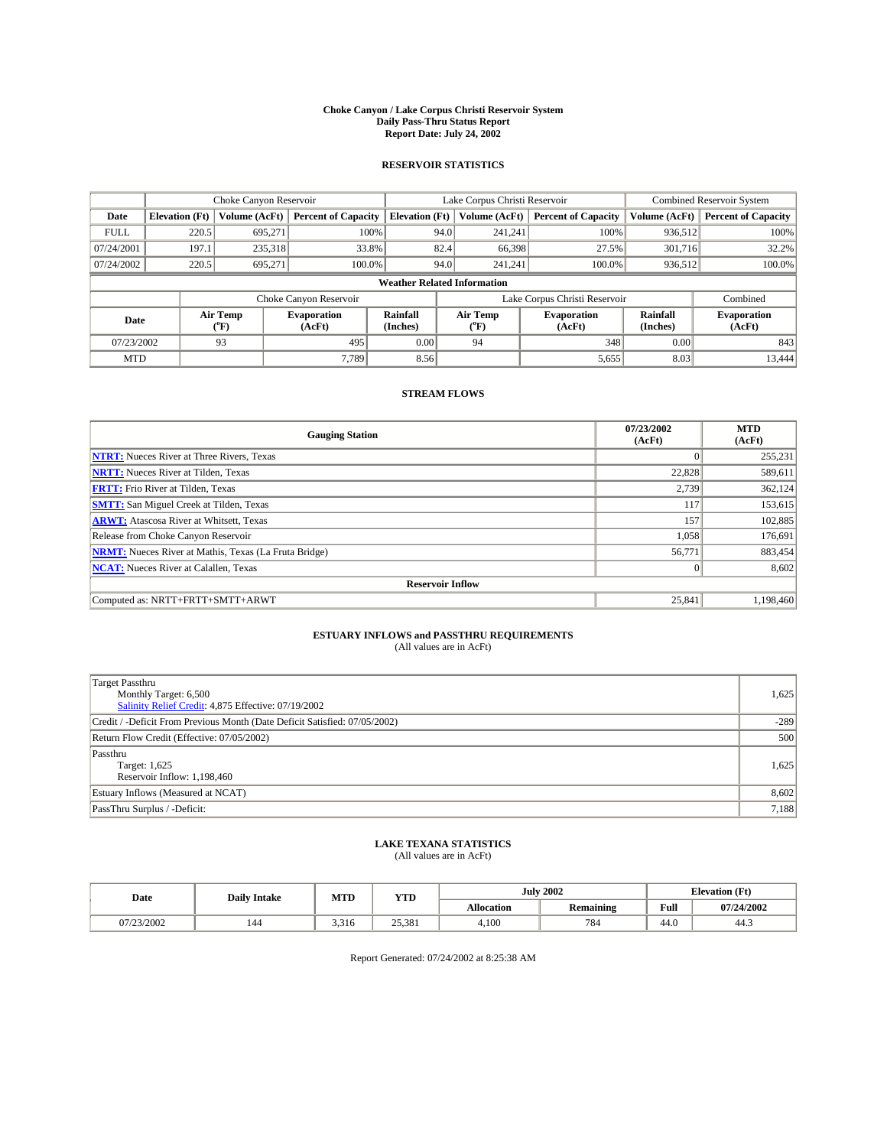#### **Choke Canyon / Lake Corpus Christi Reservoir System Daily Pass-Thru Status Report Report Date: July 24, 2002**

### **RESERVOIR STATISTICS**

|             | Choke Canyon Reservoir |                  |                              |                                    | Lake Corpus Christi Reservoir |                  |                              |                             | Combined Reservoir System    |  |  |
|-------------|------------------------|------------------|------------------------------|------------------------------------|-------------------------------|------------------|------------------------------|-----------------------------|------------------------------|--|--|
| Date        | <b>Elevation</b> (Ft)  | Volume (AcFt)    | <b>Percent of Capacity</b>   | <b>Elevation</b> (Ft)              |                               | Volume (AcFt)    | <b>Percent of Capacity</b>   | Volume (AcFt)               | <b>Percent of Capacity</b>   |  |  |
| <b>FULL</b> | 220.5                  | 695,271          |                              | 100%                               | 94.0                          | 241,241          | 100%                         | 936.512                     | 100%                         |  |  |
| 07/24/2001  | 197.1                  | 235,318          | 33.8%                        |                                    | 82.4                          | 66,398           | 27.5%                        | 301.716                     | 32.2%                        |  |  |
| 07/24/2002  | 220.5                  | 695.271          | 100.0%                       |                                    | 94.0                          | 241.241          | $100.0\%$                    | 936,512                     | 100.0%                       |  |  |
|             |                        |                  |                              | <b>Weather Related Information</b> |                               |                  |                              |                             |                              |  |  |
|             |                        |                  | Choke Canyon Reservoir       |                                    | Lake Corpus Christi Reservoir |                  |                              |                             | Combined                     |  |  |
| Date        |                        | Air Temp<br>(°F) | <b>Evaporation</b><br>(AcFt) | <b>Rainfall</b><br>(Inches)        |                               | Air Temp<br>("F) | <b>Evaporation</b><br>(AcFt) | <b>Rainfall</b><br>(Inches) | <b>Evaporation</b><br>(AcFt) |  |  |
| 07/23/2002  |                        | 93               | 495                          | 0.00                               |                               | 94               | 348                          | 0.00                        | 843                          |  |  |
| <b>MTD</b>  |                        |                  | 7.789                        | 8.56                               |                               |                  | 5,655                        | 8.03                        | 13,444                       |  |  |

## **STREAM FLOWS**

| <b>Gauging Station</b>                                       | 07/23/2002<br>(AcFt) | <b>MTD</b><br>(AcFt) |  |  |  |  |  |  |
|--------------------------------------------------------------|----------------------|----------------------|--|--|--|--|--|--|
| <b>NTRT:</b> Nueces River at Three Rivers, Texas             |                      | 255,231              |  |  |  |  |  |  |
| <b>NRTT:</b> Nueces River at Tilden, Texas                   | 22.828               | 589,611              |  |  |  |  |  |  |
| <b>FRTT:</b> Frio River at Tilden, Texas                     | 2,739                | 362,124              |  |  |  |  |  |  |
| <b>SMTT:</b> San Miguel Creek at Tilden, Texas               | 117                  | 153,615              |  |  |  |  |  |  |
| <b>ARWT:</b> Atascosa River at Whitsett, Texas               | 157                  | 102,885              |  |  |  |  |  |  |
| Release from Choke Canyon Reservoir                          | 1,058                | 176,691              |  |  |  |  |  |  |
| <b>NRMT:</b> Nueces River at Mathis, Texas (La Fruta Bridge) | 56,771               | 883,454              |  |  |  |  |  |  |
| <b>NCAT:</b> Nueces River at Calallen, Texas                 | $\Omega$             | 8,602                |  |  |  |  |  |  |
| <b>Reservoir Inflow</b>                                      |                      |                      |  |  |  |  |  |  |
| Computed as: NRTT+FRTT+SMTT+ARWT                             | 25,841               | 1,198,460            |  |  |  |  |  |  |

## **ESTUARY INFLOWS and PASSTHRU REQUIREMENTS**

(All values are in AcFt)

| <b>Target Passthru</b><br>Monthly Target: 6,500<br>Salinity Relief Credit: 4,875 Effective: 07/19/2002 | 1,625  |
|--------------------------------------------------------------------------------------------------------|--------|
| Credit / -Deficit From Previous Month (Date Deficit Satisfied: 07/05/2002)                             | $-289$ |
| Return Flow Credit (Effective: 07/05/2002)                                                             | 500    |
| Passthru<br>Target: 1,625<br>Reservoir Inflow: 1,198,460                                               | 1,625  |
| Estuary Inflows (Measured at NCAT)                                                                     | 8,602  |
| PassThru Surplus / -Deficit:                                                                           | 7,188  |

# **LAKE TEXANA STATISTICS** (All values are in AcFt)

| Date       | <b>Daily Intake</b> | MTD   | <b>YTD</b> |                   | <b>July 2002</b> |                | <b>Elevation</b> (Ft) |  |
|------------|---------------------|-------|------------|-------------------|------------------|----------------|-----------------------|--|
|            |                     |       |            | <b>Allocation</b> | <b>Remaining</b> | Full           | 07/24/2002            |  |
| 07/23/2002 | 144                 | 3.316 | 25,381     | 4,100             | 784              | $\sim$<br>44.V | 44.5                  |  |

Report Generated: 07/24/2002 at 8:25:38 AM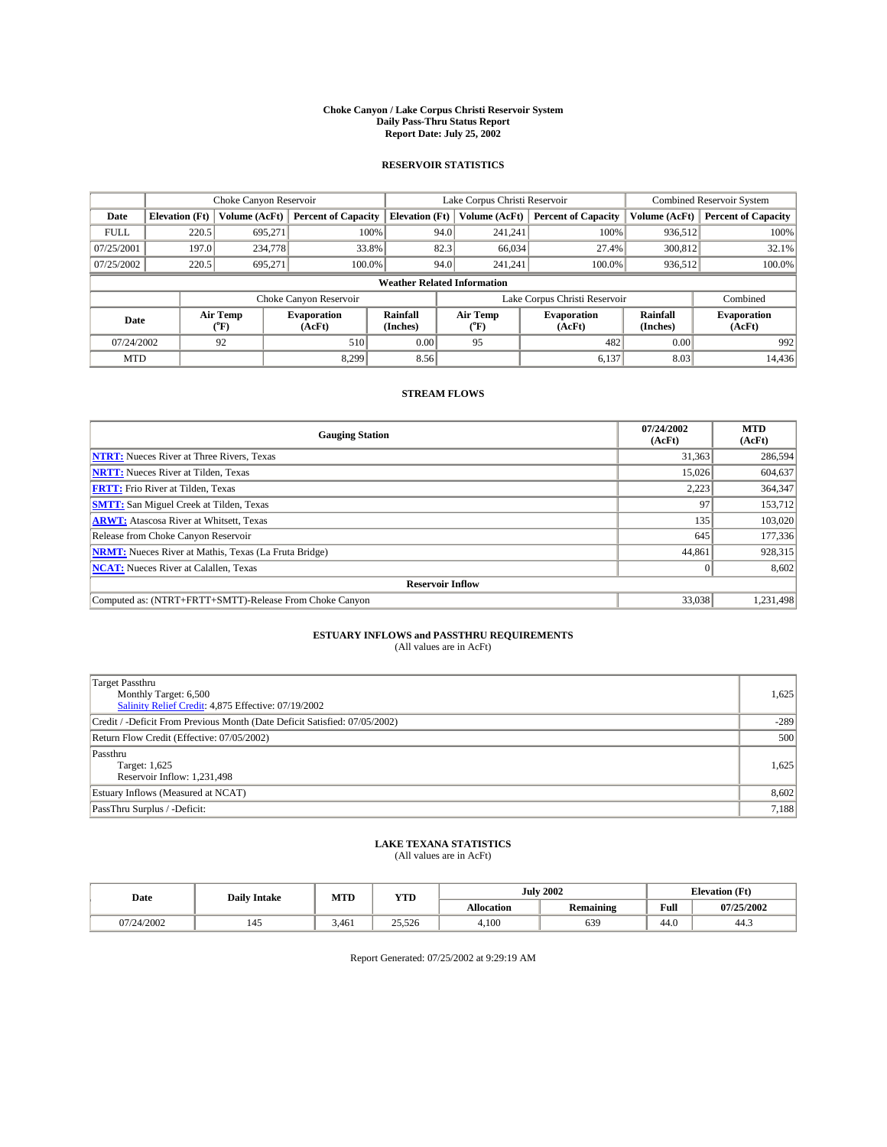#### **Choke Canyon / Lake Corpus Christi Reservoir System Daily Pass-Thru Status Report Report Date: July 25, 2002**

### **RESERVOIR STATISTICS**

|             | Choke Canyon Reservoir |                             | Lake Corpus Christi Reservoir |                                    |                               |                  | Combined Reservoir System    |                             |                              |
|-------------|------------------------|-----------------------------|-------------------------------|------------------------------------|-------------------------------|------------------|------------------------------|-----------------------------|------------------------------|
| Date        | <b>Elevation</b> (Ft)  | Volume (AcFt)               | <b>Percent of Capacity</b>    | <b>Elevation</b> (Ft)              |                               | Volume (AcFt)    | <b>Percent of Capacity</b>   | Volume (AcFt)               | <b>Percent of Capacity</b>   |
| <b>FULL</b> | 220.5                  | 695,271                     |                               | 100%                               | 94.0                          | 241,241          | 100%                         | 936.512                     | 100%                         |
| 07/25/2001  | 197.0                  | 234,778                     |                               | 33.8%                              | 82.3                          | 66.034           | 27.4%                        | 300,812                     | 32.1%                        |
| 07/25/2002  | 220.5                  | 695.271                     | 100.0%                        |                                    | 94.0                          | 241.241          | $100.0\%$                    | 936,512                     | 100.0%                       |
|             |                        |                             |                               | <b>Weather Related Information</b> |                               |                  |                              |                             |                              |
|             |                        |                             | Choke Canyon Reservoir        |                                    | Lake Corpus Christi Reservoir |                  |                              |                             | Combined                     |
| Date        |                        | Air Temp<br>${}^{\circ}$ F) | <b>Evaporation</b><br>(AcFt)  | <b>Rainfall</b><br>(Inches)        |                               | Air Temp<br>("F) | <b>Evaporation</b><br>(AcFt) | <b>Rainfall</b><br>(Inches) | <b>Evaporation</b><br>(AcFt) |
| 07/24/2002  |                        | 92                          | 510                           | 0.00                               |                               | 95               | 482                          | 0.00                        | 992                          |
| <b>MTD</b>  |                        |                             | 8.299                         | 8.56                               |                               |                  | 6,137                        | 8.03                        | 14,436                       |

## **STREAM FLOWS**

| <b>Gauging Station</b>                                       | 07/24/2002<br>(AcFt) | <b>MTD</b><br>(AcFt) |  |  |  |  |  |
|--------------------------------------------------------------|----------------------|----------------------|--|--|--|--|--|
| <b>NTRT:</b> Nueces River at Three Rivers, Texas             | 31,363               | 286,594              |  |  |  |  |  |
| <b>NRTT:</b> Nueces River at Tilden, Texas                   | 15,026               | 604,637              |  |  |  |  |  |
| <b>FRTT:</b> Frio River at Tilden, Texas                     | 2,223                | 364,347              |  |  |  |  |  |
| <b>SMTT:</b> San Miguel Creek at Tilden, Texas               | 97                   | 153.712              |  |  |  |  |  |
| <b>ARWT:</b> Atascosa River at Whitsett, Texas               | 135                  | 103,020              |  |  |  |  |  |
| Release from Choke Canyon Reservoir                          | 645                  | 177,336              |  |  |  |  |  |
| <b>NRMT:</b> Nueces River at Mathis, Texas (La Fruta Bridge) | 44,861               | 928,315              |  |  |  |  |  |
| <b>NCAT:</b> Nueces River at Calallen, Texas                 |                      | 8,602                |  |  |  |  |  |
| <b>Reservoir Inflow</b>                                      |                      |                      |  |  |  |  |  |
| Computed as: (NTRT+FRTT+SMTT)-Release From Choke Canyon      | 33,038               | 1.231.498            |  |  |  |  |  |

## **ESTUARY INFLOWS and PASSTHRU REQUIREMENTS**<br>(All values are in AcFt)

| Target Passthru<br>Monthly Target: 6,500<br>Salinity Relief Credit: 4,875 Effective: 07/19/2002 | 1,625  |
|-------------------------------------------------------------------------------------------------|--------|
| Credit / -Deficit From Previous Month (Date Deficit Satisfied: 07/05/2002)                      | $-289$ |
| Return Flow Credit (Effective: 07/05/2002)                                                      | 500    |
| Passthru<br>Target: 1,625<br>Reservoir Inflow: 1,231,498                                        | 1,625  |
| Estuary Inflows (Measured at NCAT)                                                              | 8,602  |
| PassThru Surplus / -Deficit:                                                                    | 7,188  |

## **LAKE TEXANA STATISTICS** (All values are in AcFt)

| Date       | <b>Daily Intake</b> | MTD   | <b>YTD</b> |                   | <b>July 2002</b> | <b>Elevation</b> (Ft) |            |
|------------|---------------------|-------|------------|-------------------|------------------|-----------------------|------------|
|            |                     |       |            | <b>Allocation</b> | <b>Remaining</b> | Full                  | 07/25/2002 |
| 07/24/2002 | 142                 | 3.461 | 25,526     | 4,100             | 639              | $\sim$<br>44.V        | 44.5       |

Report Generated: 07/25/2002 at 9:29:19 AM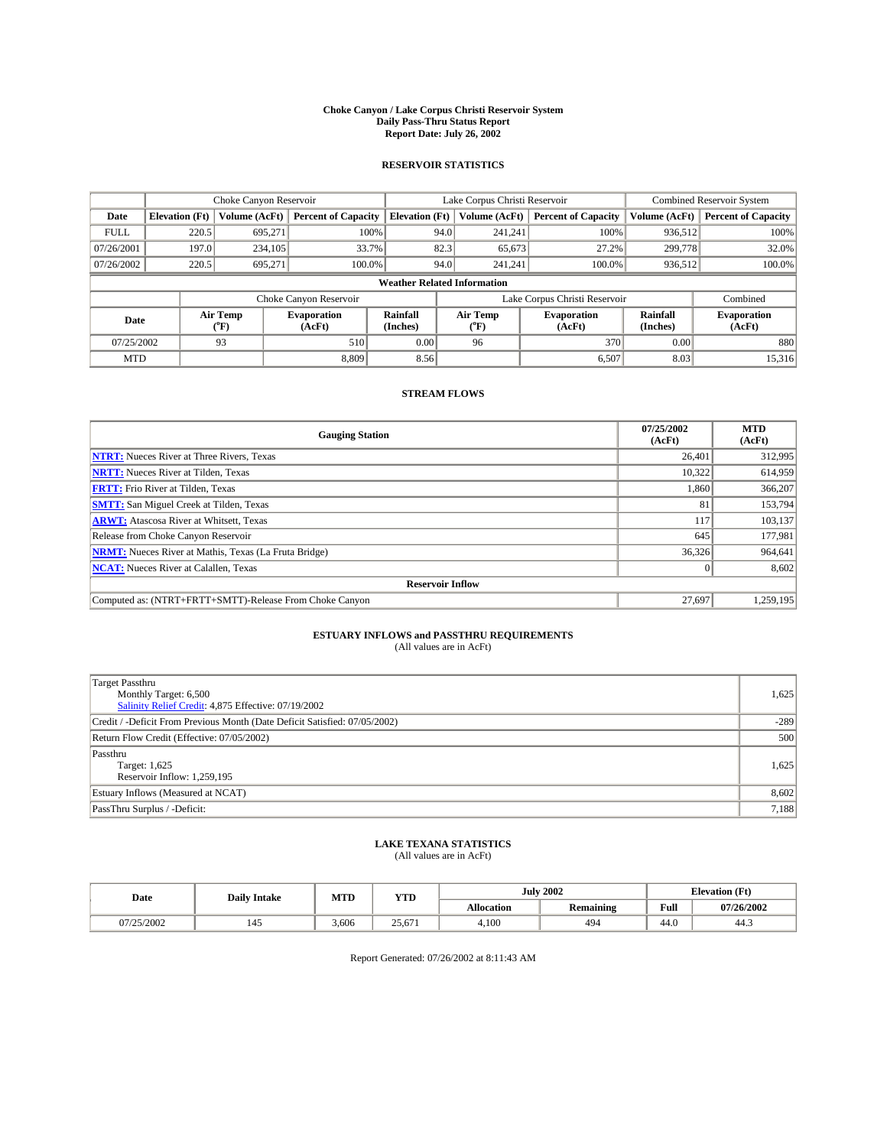#### **Choke Canyon / Lake Corpus Christi Reservoir System Daily Pass-Thru Status Report Report Date: July 26, 2002**

### **RESERVOIR STATISTICS**

|             | Choke Canyon Reservoir |                  | Lake Corpus Christi Reservoir |                                    |                               |                  | Combined Reservoir System    |                             |                              |
|-------------|------------------------|------------------|-------------------------------|------------------------------------|-------------------------------|------------------|------------------------------|-----------------------------|------------------------------|
| Date        | <b>Elevation</b> (Ft)  | Volume (AcFt)    | <b>Percent of Capacity</b>    | <b>Elevation</b> (Ft)              |                               | Volume (AcFt)    | <b>Percent of Capacity</b>   | Volume (AcFt)               | <b>Percent of Capacity</b>   |
| <b>FULL</b> | 220.5                  | 695,271          |                               | 100%                               | 94.0                          | 241,241          | 100%                         | 936.512                     | 100%                         |
| 07/26/2001  | 197.0                  | 234,105          |                               | 33.7%                              | 82.3                          | 65,673           | 27.2%                        | 299,778                     | 32.0%                        |
| 07/26/2002  | 220.5                  | 695.271          | 100.0%                        |                                    | 94.0                          | 241.241          | $100.0\%$                    | 936,512                     | 100.0%                       |
|             |                        |                  |                               | <b>Weather Related Information</b> |                               |                  |                              |                             |                              |
|             |                        |                  | Choke Canyon Reservoir        |                                    | Lake Corpus Christi Reservoir |                  |                              |                             | Combined                     |
| Date        |                        | Air Temp<br>(°F) | <b>Evaporation</b><br>(AcFt)  | <b>Rainfall</b><br>(Inches)        |                               | Air Temp<br>("F) | <b>Evaporation</b><br>(AcFt) | <b>Rainfall</b><br>(Inches) | <b>Evaporation</b><br>(AcFt) |
| 07/25/2002  |                        | 93               | 510                           | 0.00                               |                               | 96               | 370                          | 0.00                        | 880                          |
| <b>MTD</b>  |                        |                  | 8.809                         | 8.56                               |                               |                  | 6,507                        | 8.03                        | 15,316                       |

## **STREAM FLOWS**

| <b>Gauging Station</b>                                       | 07/25/2002<br>(AcFt) | <b>MTD</b><br>(AcFt) |  |  |  |  |  |
|--------------------------------------------------------------|----------------------|----------------------|--|--|--|--|--|
| <b>NTRT:</b> Nueces River at Three Rivers, Texas             | 26,401               | 312,995              |  |  |  |  |  |
| <b>NRTT:</b> Nueces River at Tilden, Texas                   | 10.322               | 614.959              |  |  |  |  |  |
| <b>FRTT:</b> Frio River at Tilden, Texas                     | 1,860                | 366,207              |  |  |  |  |  |
| <b>SMTT:</b> San Miguel Creek at Tilden, Texas               | 81                   | 153,794              |  |  |  |  |  |
| <b>ARWT:</b> Atascosa River at Whitsett, Texas               | 117                  | 103,137              |  |  |  |  |  |
| Release from Choke Canyon Reservoir                          | 645                  | 177,981              |  |  |  |  |  |
| <b>NRMT:</b> Nueces River at Mathis, Texas (La Fruta Bridge) | 36,326               | 964,641              |  |  |  |  |  |
| <b>NCAT:</b> Nueces River at Calallen, Texas                 |                      | 8,602                |  |  |  |  |  |
| <b>Reservoir Inflow</b>                                      |                      |                      |  |  |  |  |  |
| Computed as: (NTRT+FRTT+SMTT)-Release From Choke Canyon      | 27.697               | 1.259.195            |  |  |  |  |  |

## **ESTUARY INFLOWS and PASSTHRU REQUIREMENTS**<br>(All values are in AcFt)

| Target Passthru<br>Monthly Target: 6,500<br>Salinity Relief Credit: 4,875 Effective: 07/19/2002 | 1,625  |
|-------------------------------------------------------------------------------------------------|--------|
| Credit / -Deficit From Previous Month (Date Deficit Satisfied: 07/05/2002)                      | $-289$ |
| Return Flow Credit (Effective: 07/05/2002)                                                      | 500    |
| Passthru<br>Target: 1,625<br>Reservoir Inflow: 1,259,195                                        | 1,625  |
| Estuary Inflows (Measured at NCAT)                                                              | 8,602  |
| PassThru Surplus / -Deficit:                                                                    | 7,188  |

# **LAKE TEXANA STATISTICS** (All values are in AcFt)

| Date       | <b>Daily Intake</b> | MTD   | YTD    |                   | <b>July 2002</b>              | <b>Elevation</b> (Ft) |            |
|------------|---------------------|-------|--------|-------------------|-------------------------------|-----------------------|------------|
|            |                     |       |        | <b>Allocation</b> | $\cdot$ .<br><b>Remaining</b> | Full                  | 07/26/2002 |
| 07/25/2002 | 145                 | 3,606 | 25.671 | 4,100             | 494                           | $\sim$<br>44.U        | 44.5       |

Report Generated: 07/26/2002 at 8:11:43 AM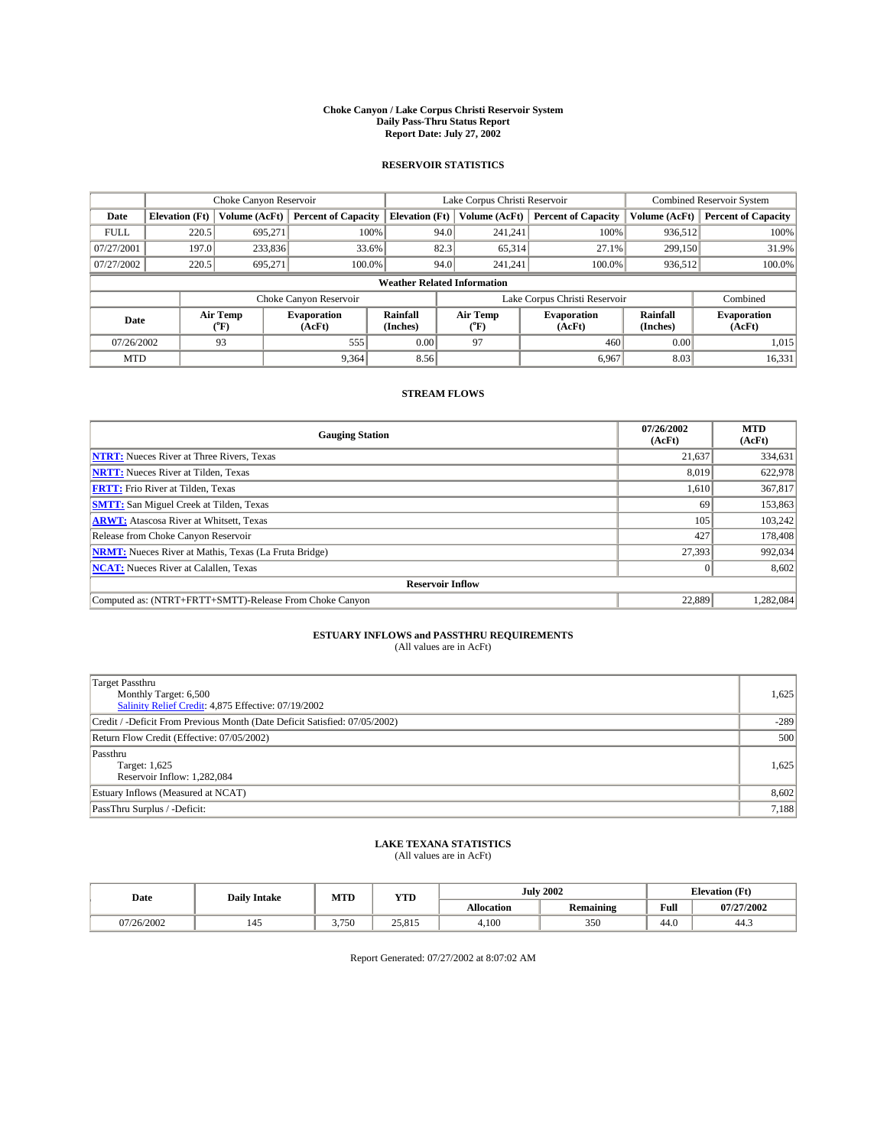#### **Choke Canyon / Lake Corpus Christi Reservoir System Daily Pass-Thru Status Report Report Date: July 27, 2002**

### **RESERVOIR STATISTICS**

|             | Choke Canyon Reservoir |                  | Lake Corpus Christi Reservoir |                                    |                               |                  | <b>Combined Reservoir System</b> |                      |                              |
|-------------|------------------------|------------------|-------------------------------|------------------------------------|-------------------------------|------------------|----------------------------------|----------------------|------------------------------|
| Date        | <b>Elevation</b> (Ft)  | Volume (AcFt)    | <b>Percent of Capacity</b>    | <b>Elevation</b> (Ft)              |                               | Volume (AcFt)    | <b>Percent of Capacity</b>       | Volume (AcFt)        | <b>Percent of Capacity</b>   |
| <b>FULL</b> | 220.5                  | 695.271          | 100%                          |                                    | 94.0                          | 241,241          | 100%                             | 936,512              | 100%                         |
| 07/27/2001  | 197.0                  | 233,836          | 33.6%                         |                                    | 82.3                          | 65,314           | 27.1%                            | 299,150              | 31.9%                        |
| 07/27/2002  | 220.5                  | 695.271          | $100.0\%$                     |                                    | 94.0                          | 241.241          | $100.0\%$                        | 936,512              | 100.0%                       |
|             |                        |                  |                               | <b>Weather Related Information</b> |                               |                  |                                  |                      |                              |
|             |                        |                  | Choke Canyon Reservoir        |                                    | Lake Corpus Christi Reservoir |                  |                                  |                      | Combined                     |
| Date        |                        | Air Temp<br>(°F) | <b>Evaporation</b><br>(AcFt)  | Rainfall<br>(Inches)               |                               | Air Temp<br>("F) | <b>Evaporation</b><br>(AcFt)     | Rainfall<br>(Inches) | <b>Evaporation</b><br>(AcFt) |
| 07/26/2002  |                        | 93               | 555                           | 0.00                               |                               | 97               | 460                              | 0.00                 | 1.015                        |
| <b>MTD</b>  |                        |                  | 9.364                         | 8.56                               |                               |                  | 6,967                            | 8.03                 | 16,331                       |

## **STREAM FLOWS**

| <b>Gauging Station</b>                                       | 07/26/2002<br>(AcFt) | <b>MTD</b><br>(AcFt) |  |  |  |  |  |
|--------------------------------------------------------------|----------------------|----------------------|--|--|--|--|--|
| <b>NTRT:</b> Nueces River at Three Rivers, Texas             | 21,637               | 334,631              |  |  |  |  |  |
| <b>NRTT:</b> Nueces River at Tilden, Texas                   | 8,019                | 622,978              |  |  |  |  |  |
| <b>FRTT:</b> Frio River at Tilden, Texas                     | 1,610                | 367,817              |  |  |  |  |  |
| <b>SMTT:</b> San Miguel Creek at Tilden, Texas               | 69                   | 153,863              |  |  |  |  |  |
| <b>ARWT:</b> Atascosa River at Whitsett, Texas               | 105                  | 103.242              |  |  |  |  |  |
| Release from Choke Canyon Reservoir                          | 427                  | 178,408              |  |  |  |  |  |
| <b>NRMT:</b> Nueces River at Mathis, Texas (La Fruta Bridge) | 27,393               | 992,034              |  |  |  |  |  |
| <b>NCAT:</b> Nueces River at Calallen, Texas                 |                      | 8,602                |  |  |  |  |  |
| <b>Reservoir Inflow</b>                                      |                      |                      |  |  |  |  |  |
| Computed as: (NTRT+FRTT+SMTT)-Release From Choke Canyon      | 22.889               | 1.282.084            |  |  |  |  |  |

## **ESTUARY INFLOWS and PASSTHRU REQUIREMENTS**<br>(All values are in AcFt)

| <b>Target Passthru</b><br>Monthly Target: 6,500<br>Salinity Relief Credit: 4,875 Effective: 07/19/2002 | 1,625  |
|--------------------------------------------------------------------------------------------------------|--------|
| Credit / -Deficit From Previous Month (Date Deficit Satisfied: 07/05/2002)                             | $-289$ |
| Return Flow Credit (Effective: 07/05/2002)                                                             | 500    |
| Passthru<br>Target: 1,625<br>Reservoir Inflow: 1,282,084                                               | 1,625  |
| Estuary Inflows (Measured at NCAT)                                                                     | 8,602  |
| PassThru Surplus / -Deficit:                                                                           | 7,188  |

# **LAKE TEXANA STATISTICS** (All values are in AcFt)

| Date       | <b>Daily Intake</b> | MTD   | <b>YTD</b> |                   | <b>July 2002</b>                  | <b>Elevation</b> (Ft) |            |
|------------|---------------------|-------|------------|-------------------|-----------------------------------|-----------------------|------------|
|            |                     |       |            | <b>Allocation</b> | $\sim$ $\sim$<br><b>Remaining</b> | Full                  | 07/27/2002 |
| 07/26/2002 | 145                 | 3.750 | 25.815     | 4,100             | 350                               | $\sqrt{ }$<br>44.0    | 44.3       |

Report Generated: 07/27/2002 at 8:07:02 AM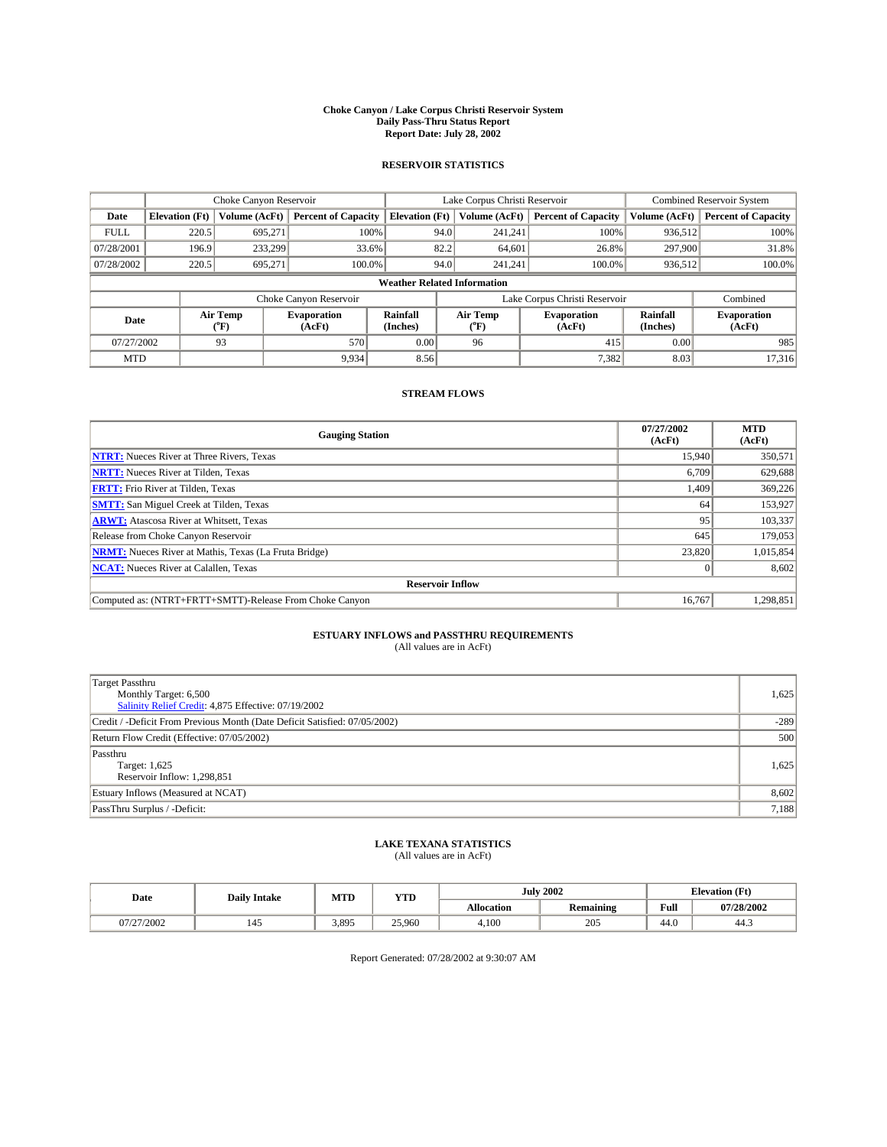#### **Choke Canyon / Lake Corpus Christi Reservoir System Daily Pass-Thru Status Report Report Date: July 28, 2002**

### **RESERVOIR STATISTICS**

|             | Choke Canyon Reservoir             |                  | Lake Corpus Christi Reservoir |                             |                               |                  | Combined Reservoir System    |                             |                              |  |
|-------------|------------------------------------|------------------|-------------------------------|-----------------------------|-------------------------------|------------------|------------------------------|-----------------------------|------------------------------|--|
| Date        | <b>Elevation</b> (Ft)              | Volume (AcFt)    | <b>Percent of Capacity</b>    | <b>Elevation</b> (Ft)       |                               | Volume (AcFt)    | <b>Percent of Capacity</b>   | Volume (AcFt)               | <b>Percent of Capacity</b>   |  |
| <b>FULL</b> | 220.5                              | 695,271          |                               | 100%                        | 94.0                          | 241,241          | 100%                         | 936.512                     | 100%                         |  |
| 07/28/2001  | 196.9                              | 233,299          |                               | 33.6%                       | 82.2                          | 64.601           | 26.8%                        | 297,900                     | 31.8%                        |  |
| 07/28/2002  | 220.5                              | 695.271          | 100.0%                        |                             | 94.0                          | 241.241          | $100.0\%$                    | 936,512                     | 100.0%                       |  |
|             | <b>Weather Related Information</b> |                  |                               |                             |                               |                  |                              |                             |                              |  |
|             |                                    |                  | Choke Canyon Reservoir        |                             | Lake Corpus Christi Reservoir |                  |                              |                             | Combined                     |  |
| Date        |                                    | Air Temp<br>(°F) | <b>Evaporation</b><br>(AcFt)  | <b>Rainfall</b><br>(Inches) |                               | Air Temp<br>("F) | <b>Evaporation</b><br>(AcFt) | <b>Rainfall</b><br>(Inches) | <b>Evaporation</b><br>(AcFt) |  |
| 07/27/2002  |                                    | 93               | 570                           | 0.00                        |                               | 96               | 415                          | 0.00                        | 985                          |  |
| <b>MTD</b>  |                                    |                  | 9,934                         | 8.56                        |                               |                  | 7,382                        | 8.03                        | 17,316                       |  |

## **STREAM FLOWS**

| <b>Gauging Station</b>                                       | 07/27/2002<br>(AcFt) | <b>MTD</b><br>(AcFt) |  |  |  |  |  |  |
|--------------------------------------------------------------|----------------------|----------------------|--|--|--|--|--|--|
| <b>NTRT:</b> Nueces River at Three Rivers, Texas             | 15,940               | 350,571              |  |  |  |  |  |  |
| <b>NRTT:</b> Nueces River at Tilden, Texas                   | 6,709                | 629,688              |  |  |  |  |  |  |
| <b>FRTT:</b> Frio River at Tilden, Texas                     | 1,409                | 369,226              |  |  |  |  |  |  |
| <b>SMTT:</b> San Miguel Creek at Tilden, Texas               | 64                   | 153.927              |  |  |  |  |  |  |
| <b>ARWT:</b> Atascosa River at Whitsett, Texas               | 95                   | 103.337              |  |  |  |  |  |  |
| Release from Choke Canyon Reservoir                          | 645                  | 179,053              |  |  |  |  |  |  |
| <b>NRMT:</b> Nueces River at Mathis, Texas (La Fruta Bridge) | 23,820               | 1,015,854            |  |  |  |  |  |  |
| <b>NCAT:</b> Nueces River at Calallen, Texas                 |                      | 8,602                |  |  |  |  |  |  |
| <b>Reservoir Inflow</b>                                      |                      |                      |  |  |  |  |  |  |
| Computed as: (NTRT+FRTT+SMTT)-Release From Choke Canyon      | 16.767               | 1,298,851            |  |  |  |  |  |  |

## **ESTUARY INFLOWS and PASSTHRU REQUIREMENTS**<br>(All values are in AcFt)

| Target Passthru<br>Monthly Target: 6,500<br>Salinity Relief Credit: 4,875 Effective: 07/19/2002 | 1,625  |
|-------------------------------------------------------------------------------------------------|--------|
| Credit / -Deficit From Previous Month (Date Deficit Satisfied: 07/05/2002)                      | $-289$ |
| Return Flow Credit (Effective: 07/05/2002)                                                      | 500    |
| Passthru<br>Target: 1,625<br>Reservoir Inflow: 1,298,851                                        | 1,625  |
| Estuary Inflows (Measured at NCAT)                                                              | 8,602  |
| PassThru Surplus / -Deficit:                                                                    | 7,188  |

# **LAKE TEXANA STATISTICS** (All values are in AcFt)

| Date       | <b>Daily Intake</b> | MTD   | <b>YTD</b> |                   | <b>July 2002</b> |                | <b>Elevation</b> (Ft) |  |
|------------|---------------------|-------|------------|-------------------|------------------|----------------|-----------------------|--|
|            |                     |       |            | <b>Allocation</b> | <b>Remaining</b> | Full           | 07/28/2002            |  |
| 07/27/2002 | 142                 | 3,895 | 25,960     | 4,100             | 205              | $\sim$<br>44.V | 44.5                  |  |

Report Generated: 07/28/2002 at 9:30:07 AM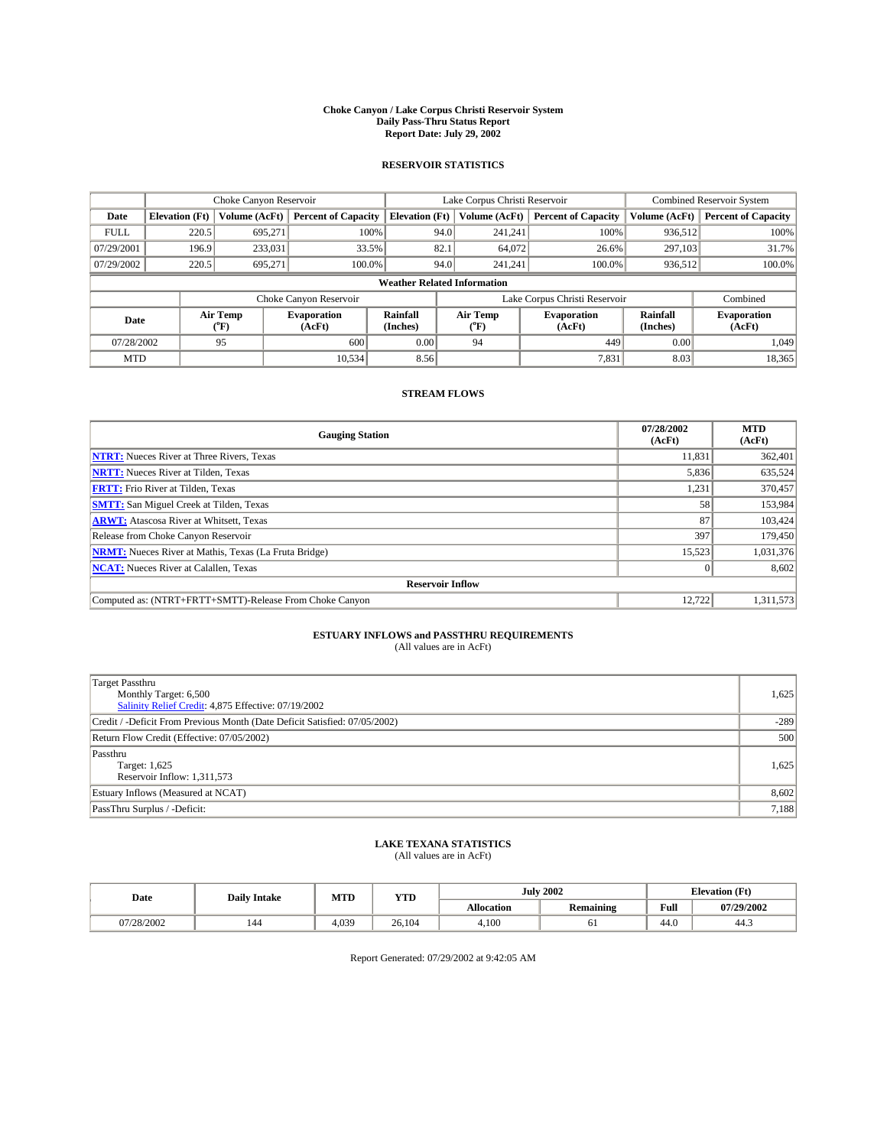#### **Choke Canyon / Lake Corpus Christi Reservoir System Daily Pass-Thru Status Report Report Date: July 29, 2002**

### **RESERVOIR STATISTICS**

|             | Choke Canyon Reservoir             |                  | Lake Corpus Christi Reservoir |                             |                               |                  | Combined Reservoir System    |                             |                              |  |
|-------------|------------------------------------|------------------|-------------------------------|-----------------------------|-------------------------------|------------------|------------------------------|-----------------------------|------------------------------|--|
| Date        | <b>Elevation</b> (Ft)              | Volume (AcFt)    | <b>Percent of Capacity</b>    | <b>Elevation</b> (Ft)       |                               | Volume (AcFt)    | <b>Percent of Capacity</b>   | Volume (AcFt)               | <b>Percent of Capacity</b>   |  |
| <b>FULL</b> | 220.5                              | 695,271          |                               | 100%                        | 94.0                          | 241,241          | 100%                         | 936.512                     | 100%                         |  |
| 07/29/2001  | 196.9                              | 233,031          | 33.5%                         |                             | 82.1                          | 64,072           | 26.6%                        | 297.103                     | 31.7%                        |  |
| 07/29/2002  | 220.5                              | 695.271          | 100.0%                        |                             | 94.0                          | 241.241          | $100.0\%$                    | 936,512                     | 100.0%                       |  |
|             | <b>Weather Related Information</b> |                  |                               |                             |                               |                  |                              |                             |                              |  |
|             |                                    |                  | Choke Canyon Reservoir        |                             | Lake Corpus Christi Reservoir |                  |                              |                             | Combined                     |  |
| Date        |                                    | Air Temp<br>(°F) | <b>Evaporation</b><br>(AcFt)  | <b>Rainfall</b><br>(Inches) |                               | Air Temp<br>("F) | <b>Evaporation</b><br>(AcFt) | <b>Rainfall</b><br>(Inches) | <b>Evaporation</b><br>(AcFt) |  |
| 07/28/2002  |                                    | 95               | 600                           | 0.00                        |                               | 94               | 449                          | 0.00                        | 1.049                        |  |
| <b>MTD</b>  |                                    |                  | 10.534                        | 8.56                        |                               |                  | 7,831                        | 8.03                        | 18,365                       |  |

## **STREAM FLOWS**

| <b>Gauging Station</b>                                       | 07/28/2002<br>(AcFt) | <b>MTD</b><br>(AcFt) |  |  |  |  |  |
|--------------------------------------------------------------|----------------------|----------------------|--|--|--|--|--|
| <b>NTRT:</b> Nueces River at Three Rivers, Texas             | 11,831               | 362,401              |  |  |  |  |  |
| <b>NRTT:</b> Nueces River at Tilden, Texas                   | 5,836                | 635,524              |  |  |  |  |  |
| <b>FRTT:</b> Frio River at Tilden, Texas                     | 1,231                | 370,457              |  |  |  |  |  |
| <b>SMTT:</b> San Miguel Creek at Tilden, Texas               | 58                   | 153.984              |  |  |  |  |  |
| <b>ARWT:</b> Atascosa River at Whitsett, Texas               | 87                   | 103,424              |  |  |  |  |  |
| Release from Choke Canyon Reservoir                          | 397                  | 179,450              |  |  |  |  |  |
| <b>NRMT:</b> Nueces River at Mathis, Texas (La Fruta Bridge) | 15,523               | 1,031,376            |  |  |  |  |  |
| <b>NCAT:</b> Nueces River at Calallen, Texas                 |                      | 8,602                |  |  |  |  |  |
| <b>Reservoir Inflow</b>                                      |                      |                      |  |  |  |  |  |
| Computed as: (NTRT+FRTT+SMTT)-Release From Choke Canyon      | 12.722               | 1,311,573            |  |  |  |  |  |

## **ESTUARY INFLOWS and PASSTHRU REQUIREMENTS**<br>(All values are in AcFt)

| Target Passthru<br>Monthly Target: 6,500<br>Salinity Relief Credit: 4,875 Effective: 07/19/2002 | 1,625  |
|-------------------------------------------------------------------------------------------------|--------|
| Credit / -Deficit From Previous Month (Date Deficit Satisfied: 07/05/2002)                      | $-289$ |
| Return Flow Credit (Effective: 07/05/2002)                                                      | 500    |
| Passthru<br>Target: 1,625<br>Reservoir Inflow: 1,311,573                                        | 1,625  |
| Estuary Inflows (Measured at NCAT)                                                              | 8,602  |
| PassThru Surplus / -Deficit:                                                                    | 7,188  |

# **LAKE TEXANA STATISTICS** (All values are in AcFt)

| Date       | <b>Daily Intake</b> | MTD   | YTD    |                   | <b>July 2002</b>              |                | <b>Elevation</b> (Ft) |
|------------|---------------------|-------|--------|-------------------|-------------------------------|----------------|-----------------------|
|            |                     |       |        | <b>Allocation</b> | $\cdot$ .<br><b>Remaining</b> | Full           | 07/29/2002            |
| 07/28/2002 | 144                 | 4,039 | 26.104 | 4,100             | υı                            | $\sim$<br>44.U | 44.5                  |

Report Generated: 07/29/2002 at 9:42:05 AM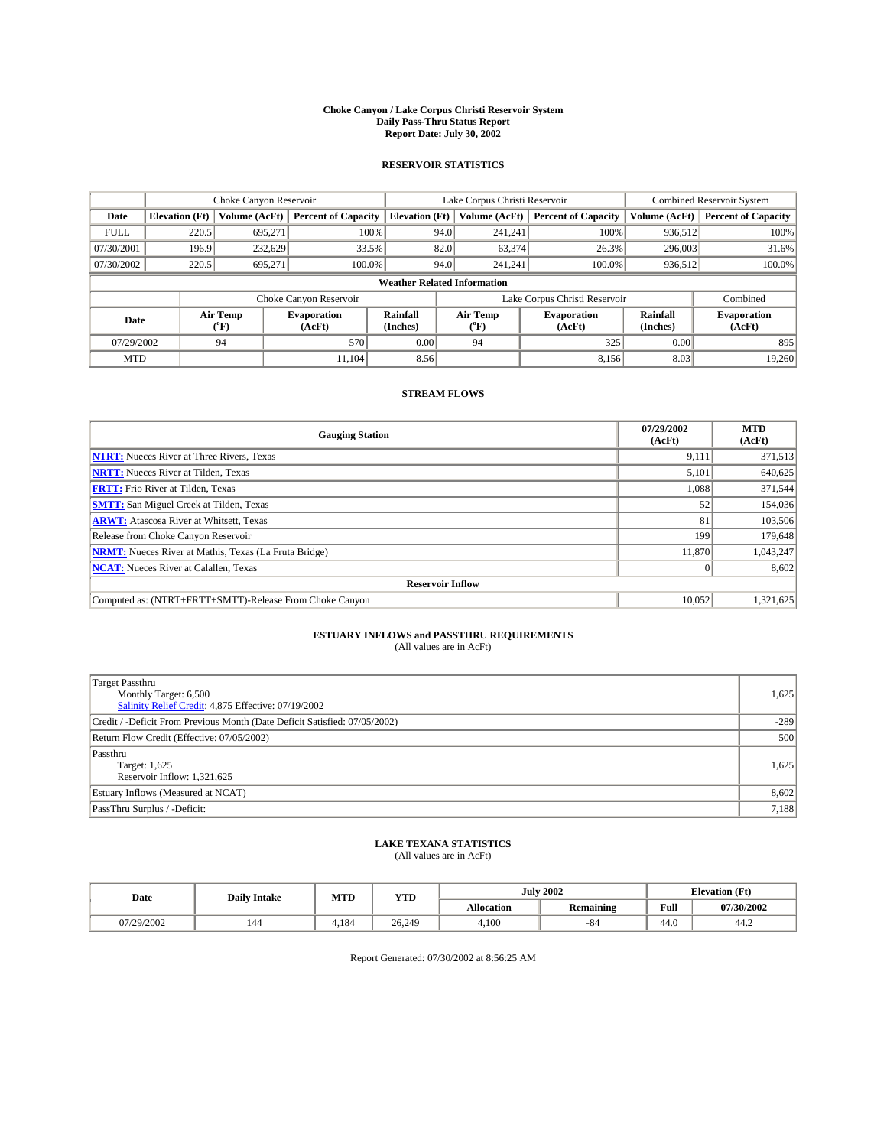#### **Choke Canyon / Lake Corpus Christi Reservoir System Daily Pass-Thru Status Report Report Date: July 30, 2002**

### **RESERVOIR STATISTICS**

|             | Choke Canyon Reservoir             |                  | Lake Corpus Christi Reservoir |                             |                               |                  | <b>Combined Reservoir System</b> |                             |                              |  |
|-------------|------------------------------------|------------------|-------------------------------|-----------------------------|-------------------------------|------------------|----------------------------------|-----------------------------|------------------------------|--|
| Date        | <b>Elevation (Ft)</b>              | Volume (AcFt)    | <b>Percent of Capacity</b>    | <b>Elevation</b> (Ft)       |                               | Volume (AcFt)    | <b>Percent of Capacity</b>       | Volume (AcFt)               | <b>Percent of Capacity</b>   |  |
| <b>FULL</b> | 220.5                              | 695,271          |                               | 100%                        | 94.0                          | 241,241          | 100%                             | 936.512                     | 100%                         |  |
| 07/30/2001  | 196.9                              | 232.629          |                               | 33.5%                       | 82.0                          | 63,374           | $26.3\%$                         | 296,003                     | 31.6%                        |  |
| 07/30/2002  | 220.5                              | 695.271          | 100.0%                        |                             | 94.0                          | 241.241          | $100.0\%$                        | 936,512                     | 100.0%                       |  |
|             | <b>Weather Related Information</b> |                  |                               |                             |                               |                  |                                  |                             |                              |  |
|             |                                    |                  | Choke Canyon Reservoir        |                             | Lake Corpus Christi Reservoir |                  |                                  |                             | Combined                     |  |
| Date        |                                    | Air Temp<br>(°F) | <b>Evaporation</b><br>(AcFt)  | <b>Rainfall</b><br>(Inches) |                               | Air Temp<br>("F) | <b>Evaporation</b><br>(AcFt)     | <b>Rainfall</b><br>(Inches) | <b>Evaporation</b><br>(AcFt) |  |
| 07/29/2002  |                                    | 94               | 570                           | 0.00                        |                               | 94               | 325                              | 0.00                        | 895                          |  |
| <b>MTD</b>  |                                    |                  | 11.104                        | 8.56                        |                               |                  | 8,156                            | 8.03                        | 19,260                       |  |

## **STREAM FLOWS**

| <b>Gauging Station</b>                                       | 07/29/2002<br>(AcFt) | <b>MTD</b><br>(AcFt) |  |  |  |  |  |
|--------------------------------------------------------------|----------------------|----------------------|--|--|--|--|--|
| <b>NTRT:</b> Nueces River at Three Rivers, Texas             | 9,111                | 371,513              |  |  |  |  |  |
| <b>NRTT:</b> Nueces River at Tilden, Texas                   | 5,101                | 640,625              |  |  |  |  |  |
| <b>FRTT:</b> Frio River at Tilden, Texas                     | 1,088                | 371,544              |  |  |  |  |  |
| <b>SMTT:</b> San Miguel Creek at Tilden, Texas               | 52                   | 154,036              |  |  |  |  |  |
| <b>ARWT:</b> Atascosa River at Whitsett, Texas               | 81                   | 103,506              |  |  |  |  |  |
| Release from Choke Canyon Reservoir                          | 199                  | 179,648              |  |  |  |  |  |
| <b>NRMT:</b> Nueces River at Mathis, Texas (La Fruta Bridge) | 11,870               | 1,043,247            |  |  |  |  |  |
| <b>NCAT:</b> Nueces River at Calallen, Texas                 |                      | 8,602                |  |  |  |  |  |
| <b>Reservoir Inflow</b>                                      |                      |                      |  |  |  |  |  |
| Computed as: (NTRT+FRTT+SMTT)-Release From Choke Canyon      | 10.052               | 1,321,625            |  |  |  |  |  |

## **ESTUARY INFLOWS and PASSTHRU REQUIREMENTS**

(All values are in AcFt)

| Target Passthru<br>Monthly Target: 6,500<br>Salinity Relief Credit: 4,875 Effective: 07/19/2002 | 1,625  |
|-------------------------------------------------------------------------------------------------|--------|
| Credit / -Deficit From Previous Month (Date Deficit Satisfied: 07/05/2002)                      | $-289$ |
| Return Flow Credit (Effective: 07/05/2002)                                                      | 500    |
| Passthru<br>Target: 1,625<br>Reservoir Inflow: 1,321,625                                        | 1,625  |
| Estuary Inflows (Measured at NCAT)                                                              | 8,602  |
| PassThru Surplus / -Deficit:                                                                    | 7,188  |

## **LAKE TEXANA STATISTICS** (All values are in AcFt)

| Date       | <b>Daily Intake</b> | MTD | <b>YTD</b> | <b>July 2002</b>  |                  | <b>Elevation</b> (Ft) |            |
|------------|---------------------|-----|------------|-------------------|------------------|-----------------------|------------|
|            |                     |     |            | <b>Allocation</b> | <b>Remaining</b> | Full                  | 07/30/2002 |
| 07/29/2002 | 144                 | 184 | 26.249     | 4,100             | -84              | $\sim$<br>44.V        | 44.∠       |

Report Generated: 07/30/2002 at 8:56:25 AM